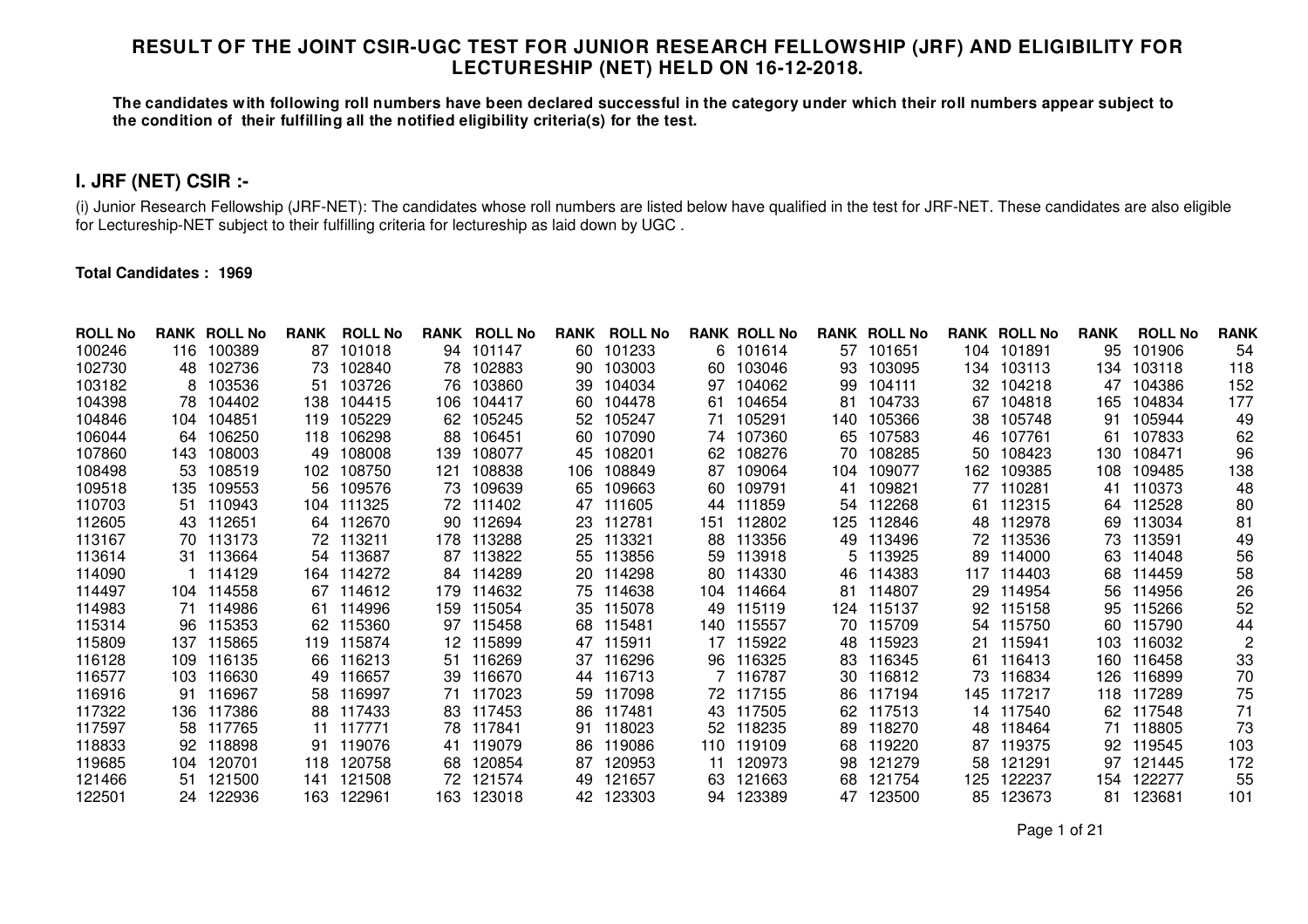## **RESULT OF THE JOINT CSIR-UGC TEST FOR JUNIOR RESEARCH FELLOWSHIP (JRF) AND ELIGIBILITY FOR LECTURESHIP (NET) HELD ON 16-12-2018.**

**The candidates with following roll numbers have been declared successful in the category under which their roll numbers appear subject to the condition of their fulfilling all the notified eligibility criteria(s) for the test.** 

# **I. JRF (NET) CSIR :-**

(i) Junior Research Fellowship (JRF-NET): The candidates whose roll numbers are listed below have qualified in the test for JRF-NET. These candidates are also eligible for Lectureship-NET subject to their fulfilling criteria for lectureship as laid down by UGC .

## **Total Candidates : 1969**

| <b>ROLL No</b> |      | <b>RANK ROLL No</b> | <b>RANK</b> | <b>ROLL No</b> | RANK | <b>ROLL No</b> | <b>RANK</b> | <b>ROLL No</b> |      | <b>RANK ROLL No</b> |     | <b>RANK ROLL No</b> |     | <b>RANK ROLL No</b> | <b>RANK</b> | <b>ROLL No</b> | <b>RANK</b> |
|----------------|------|---------------------|-------------|----------------|------|----------------|-------------|----------------|------|---------------------|-----|---------------------|-----|---------------------|-------------|----------------|-------------|
| 100246         | 116  | 100389              | 87          | 101018         | 94   | 101147         | 60          | 101233         | 6.   | 101614              | 57  | 101651              | 104 | 101891              | 95          | 101906         | 54          |
| 102730         | 48.  | 102736              | 73          | 102840         | 78   | 102883         | 90          | 103003         | 60   | 103046              | 93  | 103095              | 134 | 103113              | 134.        | 103118         | 118         |
| 103182         | 8    | 103536              | 51          | 103726         | 76   | 103860         | 39          | 104034         | 97   | 104062              | 99  | 104111              | 32  | 104218              | 47          | 104386         | 152         |
| 104398         | 78.  | 104402              | 138         | 104415         | 106  | 104417         | 60.         | 104478         | 61   | 104654              | 81  | 104733              | 67  | 104818              | 165         | 104834         | 177         |
| 104846         | 104  | 104851              | 119         | 105229         | 62   | 105245         | 52.         | 105247         | 71   | 105291              | 140 | 105366              | 38  | 105748              | 91          | 105944         | 49          |
| 106044         | 64.  | 106250              | 118         | 106298         | 88   | 106451         | 60.         | 107090         |      | 74 107360           | 65  | 107583              | 46  | 107761              | 61          | 107833         | 62          |
| 107860         | 143. | 108003              | 49          | 108008         | 139  | 108077         | 45          | 108201         | 62   | 108276              | 70  | 108285              | 50  | 108423              | 130         | 108471         | 96          |
| 108498         | 53   | 108519              | 102         | 108750         | 121  | 108838         | 106         | 108849         | 87   | 109064              | 104 | 109077              | 162 | 109385              | 108         | 109485         | 138         |
| 109518         | 135. | 109553              | 56          | 109576         | 73   | 109639         | 65          | 109663         | 60.  | 109791              | 41  | 109821              | 77  | 110281              | 41          | 110373         | 48          |
| 110703         | 51.  | 110943              | 104         | 111325         | 72   | 111402         | 47          | 111605         | 44   | 111859              | 54  | 112268              | 61  | 112315              | 64          | 112528         | 80          |
| 112605         | 43   | 112651              | 64          | 112670         | 90   | 112694         | 23          | 112781         | 151  | 112802              | 125 | 112846              | 48  | 112978              | 69          | 113034         | 81          |
| 113167         |      | 70 113173           | 72          | 113211         | 178  | 113288         | 25          | 113321         | 88   | 113356              | 49  | 113496              | 72. | 113536              | 73          | 113591         | 49          |
| 113614         | 31.  | 113664              | 54          | 113687         | 87   | 113822         | 55.         | 113856         | 59   | 113918              | 5   | 113925              | 89  | 114000              | 63          | 114048         | 56          |
| 114090         |      | 114129              | 164         | 114272         | 84   | 114289         | 20          | 114298         | 80   | 114330              | 46  | 114383              | 117 | 114403              | 68          | 114459         | 58          |
| 114497         |      | 104 114558          | 67          | 114612         | 179  | 114632         |             | 75 114638      |      | 104 114664          | 81  | 114807              | 29  | 114954              | 56          | 114956         | 26          |
| 114983         | 71.  | 114986              | 61          | 114996         | 159  | 115054         | 35          | 115078         | 49   | 115119              | 124 | 115137              | 92  | 115158              | 95          | 115266         | 52          |
| 115314         | 96.  | 115353              | 62          | 115360         | 97   | 115458         | 68          | 115481         | 140. | 115557              | 70  | 115709              | 54  | 115750              | 60          | 115790         | 44          |
| 115809         | 137  | 115865              | 119         | 115874         | 12   | 115899         | 47          | 115911         | 17   | 115922              | 48  | 115923              | 21  | 115941              | 103         | 116032         |             |
| 116128         | 109. | 116135              | 66          | 116213         | 51   | 116269         | 37          | 116296         | 96.  | 116325              | 83  | 116345              | 61  | 116413              | 160         | 116458         | 33          |
| 116577         | 103. | 116630              | 49          | 116657         | 39   | 116670         | 44          | 116713         |      | 7 116787            | 30  | 116812              | 73  | 116834              | 126         | 116899         | 70          |
| 116916         | 91   | 116967              | 58          | 116997         | 71   | 117023         | 59          | 117098         |      | 72 117155           | 86  | 117194              | 145 | 117217              | 118         | 117289         | 75          |
| 117322         | 136  | 117386              | 88          | 117433         | 83   | 117453         | 86          | 117481         | 43   | 117505              | 62  | 117513              | 14  | 117540              | 62          | 117548         | 71          |
| 117597         | 58   | 117765              | 11          | 117771         | 78   | 117841         | 91          | 118023         | 52   | 118235              | 89  | 118270              | 48  | 118464              | 71          | 118805         | 73          |
| 118833         | 92   | 118898              | 91          | 119076         | 41   | 119079         | 86          | 119086         | 110  | 119109              | 68  | 119220              | 87  | 119375              | 92          | 119545         | 103         |
| 119685         | 104  | 120701              | 118         | 120758         | 68   | 120854         | 87          | 120953         | 11   | 120973              | 98  | 121279              | 58  | 121291              | 97          | 121445         | 172         |
| 121466         | 51   | 121500              | 141         | 121508         | 72   | 121574         | 49          | 121657         | 63   | 121663              | 68  | 121754              | 125 | 122237              | 154         | 122277         | 55          |
| 122501         | 24.  | 122936              | 163.        | 122961         | 163  | 123018         | 42          | 123303         |      | 94 123389           | 47  | 123500              | 85  | 123673              | 81          | 123681         | 101         |

Page 1 of 21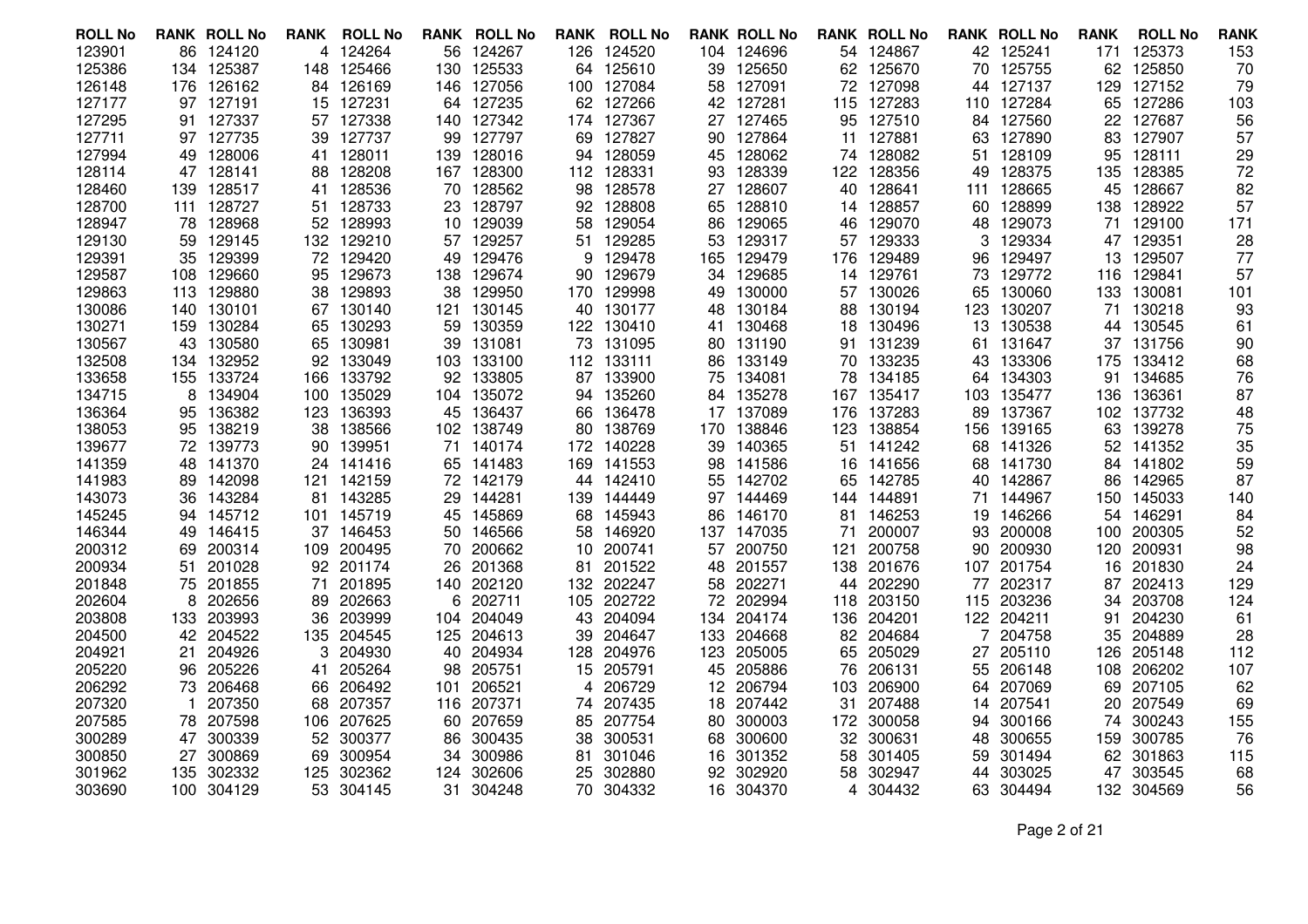| <b>ROLL No</b>   |     | <b>RANK ROLL No</b> | RANK      | <b>ROLL No</b>   |          | <b>RANK ROLL No</b> |          | <b>RANK ROLL No</b> |          | <b>RANK ROLL No</b>    |           | <b>RANK ROLL No</b> |          | <b>RANK ROLL No</b> | <b>RANK</b> | <b>ROLL No</b>   | <b>RANK</b> |
|------------------|-----|---------------------|-----------|------------------|----------|---------------------|----------|---------------------|----------|------------------------|-----------|---------------------|----------|---------------------|-------------|------------------|-------------|
| 123901           |     | 86 124120           | 4         | 124264           |          | 56 124267           |          | 126 124520          |          | 104 124696             |           | 54 124867           |          | 42 125241           | 171         | 125373           | 153         |
| 125386           | 134 | 125387              | 148       | 125466           | 130      | 125533              | 64       | 125610              | 39       | 125650                 |           | 62 125670           | 70       | 125755              | 62          | 125850           | 70          |
| 126148           | 176 | 126162              |           | 84 126169        | 146      | 127056              | 100      | 127084              | 58       | 127091                 | 72        | 127098              | 44       | 127137              | 129         | 127152           | 79          |
| 127177           |     | 97 127191           | 15        | 127231           | 64       | 127235              |          | 62 127266           |          | 42 127281              |           | 115 127283          |          | 110 127284          |             | 65 127286        | 103         |
| 127295           | 91. | 127337              | 57        | 127338           | 140      | 127342              | 174      | 127367              | 27       | 127465                 | 95        | 127510              | 84       | 127560              | 22          | 127687           | 56          |
| 127711           |     | 97 127735           | 39        | 127737           | 99       | 127797              | 69       | 127827              | 90       | 127864                 | 11        | 127881              | 63       | 127890              | 83          | 127907           | 57          |
| 127994           |     | 49 128006           | 41        | 128011           | 139      | 128016              | 94       | 128059              | 45       | 128062                 | 74        | 128082              | 51       | 128109              | 95          | 128111           | 29          |
| 128114           |     | 47 128141           | 88        | 128208           | 167      | 128300              | 112      | 128331              | 93       | 128339                 | 122       | 128356              | 49       | 128375              | 135         | 128385           | 72          |
| 128460           | 139 | 128517              | 41        | 128536           | 70       | 128562              | 98       | 128578              | 27       | 128607                 | 40        | 128641              | 111      | 128665              | 45          | 128667           | 82          |
| 128700           |     | 111 128727          | 51        | 128733           | 23       | 128797              | 92.      | 128808              | 65       | 128810                 |           | 14 128857           | 60.      | 128899              |             | 138 128922       | 57          |
| 128947           | 78  | 128968              | 52        | 128993           | 10       | 129039              | 58       | 129054              | 86       | 129065                 | 46        | 129070              | 48       | 129073              | 71          | 129100           | 171         |
| 129130           | 59  | 129145              | 132       | 129210           | 57       | 129257              |          | 51 129285           | 53       | 129317                 | 57        | 129333              | 3        | 129334              |             | 47 129351        | 28          |
| 129391           |     | 35 129399           | 72        | 129420           | 49       | 129476              | 9        | 129478              | 165      | 129479                 |           | 176 129489          | 96       | 129497              | 13          | 129507           | 77          |
| 129587           | 108 | 129660              | 95        | 129673           | 138      | 129674              | 90.      | 129679              | 34       | 129685                 | 14        | 129761              | 73       | 129772              | 116         | 129841           | 57          |
| 129863           | 113 | 129880              | 38        | 129893           | 38       | 129950              | 170      | 129998              | 49       | 130000                 | 57        | 130026              | 65       | 130060              | 133         | 130081           | 101         |
| 130086           |     | 140 130101          | 67        | 130140           | 121      | 130145              |          | 40 130177           | 48       | 130184                 |           | 88 130194           | 123.     | 130207              | 71          | 130218           | 93          |
| 130271           | 159 | 130284              | 65        | 130293           | 59       | 130359              |          | 122 130410          |          | 41 130468              |           | 18 130496           | 13       | 130538              | 44          | 130545           | 61          |
| 130567           |     | 43 130580           | 65        | 130981           | 39       | 131081              |          | 73 131095           |          | 80 131190              |           | 91 131239           | 61       | 131647              |             | 37 131756        | 90          |
| 132508           |     | 134 132952          | 92        | 133049           |          | 103 133100          |          | 112 133111          | 86       | 133149                 |           | 70 133235           | 43       | 133306              |             | 175 133412       | 68          |
| 133658           | 155 | 133724              | 166       | 133792           | 92       | 133805              | 87       | 133900              | 75       | 134081                 | 78        | 134185              | 64       | 134303              | 91          | 134685           | 76          |
| 134715           | 8   | 134904              | 100       | 135029           | 104      | 135072              |          | 94 135260           |          | 84 135278              | 167       | 135417              | 103      | 135477              | 136         | 136361           | 87          |
| 136364           | 95. | 136382              | 123       | 136393           | 45       | 136437              |          | 66 136478           |          | 17 137089              | 176       | 137283              | 89.      | 137367              |             | 102 137732       | 48          |
| 138053           | 95  | 138219              | 38        | 138566           | 102      | 138749              | 80       | 138769              | 170      | 138846                 | 123       | 138854              | 156      | 139165              | 63          | 139278           | 75          |
| 139677           |     | 72 139773           | 90        | 139951           | 71       | 140174              |          | 172 140228          | 39       | 140365                 | 51        | 141242              | 68       | 141326              | 52          | 141352           | 35          |
| 141359           | 48  | 141370              | 24        | 141416           | 65       | 141483              |          | 169 141553          | 98       | 141586                 |           | 16 141656           |          | 68 141730           |             | 84 141802        | 59          |
| 141983           | 89. | 142098              | 121       | 142159           | 72       | 142179              |          | 44 142410           | 55       | 142702                 | 65        | 142785              | 40       | 142867              | 86          | 142965           | 87          |
| 143073           | 36  | 143284              | 81        | 143285           | 29       | 144281              | 139.     | 144449              | 97       | 144469                 | 144       | 144891              | 71       | 144967              | 150         | 145033           | 140         |
| 145245           |     | 94 145712           |           | 101 145719       | 45       | 145869              |          | 68 145943           | 86       | 146170                 | 81        | 146253              | 19       | 146266              | 54          | 146291           | 84          |
| 146344           | 49  | 146415              | 37        | 146453           | 50       | 146566              | 58       | 146920              | 137      | 147035                 | 71        | 200007              | 93       | 200008              | 100         | 200305           | 52          |
| 200312           | 69  | 200314              | 109       | 200495           | 70       | 200662              | 10       | 200741              |          | 57 200750              | 121       | 200758              | 90       | 200930              | 120         | 200931           | 98          |
| 200934           | 51  | 201028              | 92        | 201174           | 26       | 201368              | 81       | 201522              | 48       | 201557                 |           | 138 201676          | 107.     | 201754              | 16          | 201830           | 24          |
| 201848           | 75  | 201855              | 71        | 201895           | 140      | 202120              |          | 132 202247          | 58       | 202271                 | 44        | 202290              | 77       | 202317              | 87          | 202413           | 129         |
| 202604           | 8   | 202656              | 89        | 202663           | 6        | 202711              |          | 105 202722          | 72       | 202994                 | 118       | 203150              | 115      | 203236              | 34          | 203708           | 124         |
| 203808           |     | 133 203993          | 36        | 203999           | 104      | 204049              |          | 43 204094           | 134      | 204174                 | 136.      | 204201              |          | 122 204211          | 91          | 204230           | -61         |
| 204500           |     | 42 204522           | 135       | 204545           | 125      | 204613              | 39       | 204647              | 133      | 204668                 | 82        | 204684              |          | 204758              | 35          | 204889           | 28          |
| 204921           | 21  | 204926              | 3         | 204930           | 40       | 204934              | 128      | 204976              | 123      | 205005                 | 65        | 205029              | 27       | 205110              | 126         | 205148           | 112         |
| 205220<br>206292 |     | 96 205226<br>206468 | 41        | 205264           | 98       | 205751<br>206521    |          | 15 205791<br>206729 |          | 45 205886<br>12 206794 | 76        | 206131<br>206900    | 55       | 206148<br>207069    | 108         | 206202<br>207105 | 107         |
| 207320           | 73  | 207350              | 66<br>68  | 206492<br>207357 | 101      | 207371              | 4        | 74 207435           |          | 18 207442              | 103<br>31 | 207488              | 64       | 207541              | 69<br>20    | 207549           | 62<br>69    |
| 207585           | -1  | 78 207598           |           | 207625           | 116      | 207659              |          |                     |          | 300003                 |           |                     | 14       | 300166              |             | 300243           |             |
| 300289           | 47  | 300339              | 106<br>52 | 300377           | 60       | 300435              |          | 85 207754<br>300531 | 80       | 300600                 | 172<br>32 | 300058<br>300631    | 94       | 300655              | 74          | 300785           | 155<br>76   |
| 300850           | 27  | 300869              | 69        | 300954           | 86<br>34 | 300986              | 38<br>81 | 301046              | 68<br>16 | 301352                 | 58        | 301405              | 48<br>59 | 301494              | 159<br>62   | 301863           | 115         |
| 301962           |     | 135 302332          | 125       | 302362           | 124      | 302606              | 25       | 302880              |          | 92 302920              | 58        | 302947              | 44       | 303025              | 47          | 303545           | 68          |
| 303690           |     | 100 304129          | 53        | 304145           | 31       | 304248              | 70       | 304332              |          | 16 304370              | 4         | 304432              |          | 63 304494           |             | 132 304569       | 56          |
|                  |     |                     |           |                  |          |                     |          |                     |          |                        |           |                     |          |                     |             |                  |             |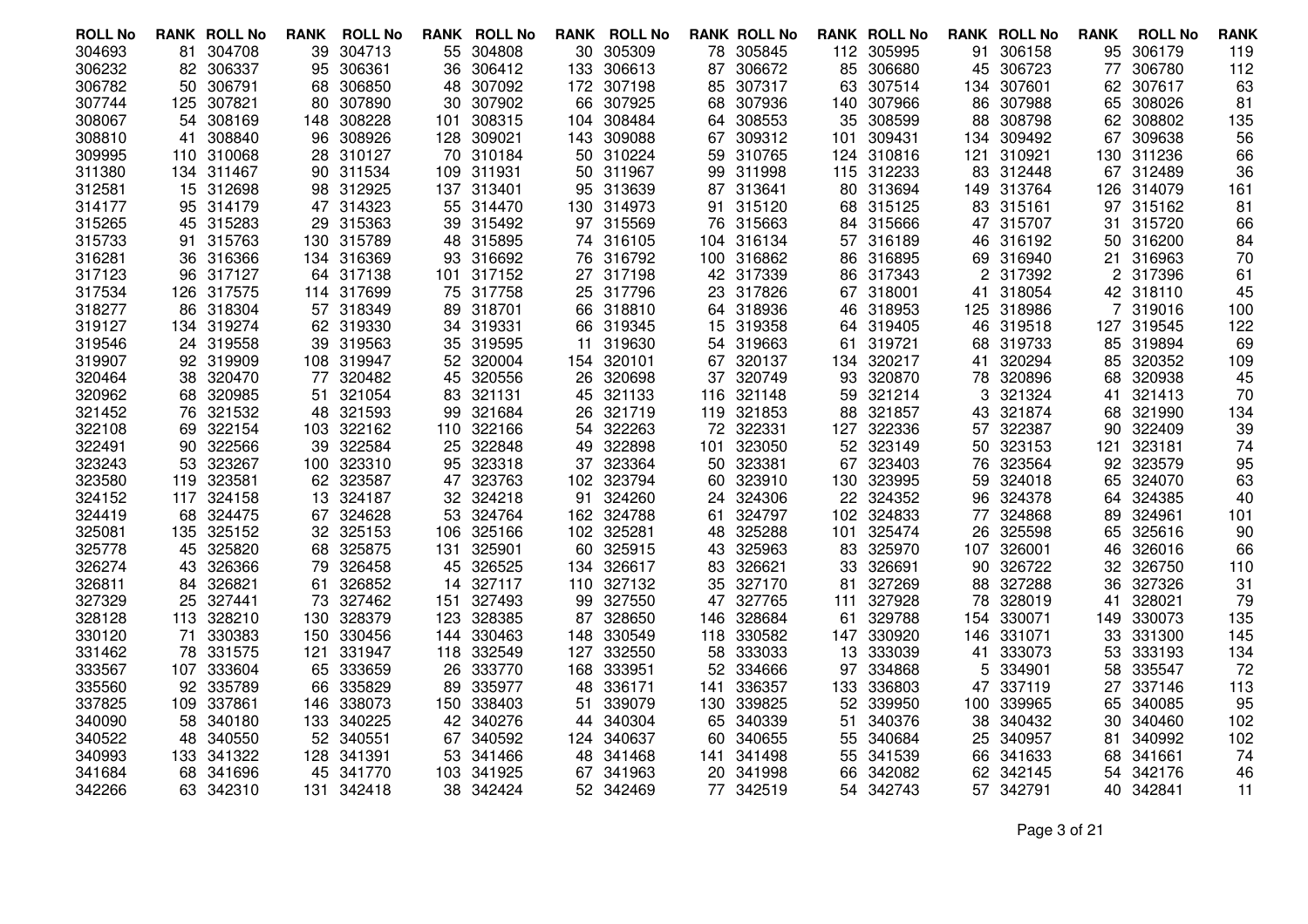| <b>ROLL No</b> |     | <b>RANK ROLL No</b> | <b>RANK</b> | <b>ROLL No</b> | RANK | <b>ROLL No</b> |     | <b>RANK ROLL No</b> |     | <b>RANK ROLL No</b> |     | <b>RANK ROLL No</b> |     | <b>RANK ROLL No</b> | <b>RANK</b> | <b>ROLL No</b> | <b>RANK</b> |
|----------------|-----|---------------------|-------------|----------------|------|----------------|-----|---------------------|-----|---------------------|-----|---------------------|-----|---------------------|-------------|----------------|-------------|
| 304693         |     | 81 304708           | 39          | 304713         | 55   | 304808         |     | 30 305309           |     | 78 305845           |     | 112 305995          | 91  | 306158              | 95          | 306179         | 119         |
| 306232         | 82  | 306337              | 95          | 306361         | 36   | 306412         |     | 133 306613          | 87  | 306672              | 85  | 306680              | 45  | 306723              | 77          | 306780         | 112         |
| 306782         |     | 50 306791           | 68          | 306850         | 48   | 307092         |     | 172 307198          | 85  | 307317              | 63  | 307514              | 134 | 307601              | 62          | 307617         | 63          |
| 307744         |     | 125 307821          | 80          | 307890         | 30   | 307902         |     | 66 307925           | 68  | 307936              |     | 140 307966          | 86  | 307988              | 65          | 308026         | 81          |
| 308067         | 54  | 308169              | 148         | 308228         | 101  | 308315         | 104 | 308484              | 64  | 308553              | 35  | 308599              | 88  | 308798              | 62          | 308802         | 135         |
| 308810         | 41  | 308840              | 96          | 308926         | 128  | 309021         | 143 | 309088              | 67  | 309312              | 101 | 309431              |     | 134 309492          | 67          | 309638         | 56          |
| 309995         |     | 110 310068          | 28          | 310127         | 70   | 310184         |     | 50 310224           | 59  | 310765              | 124 | 310816              | 121 | 310921              | 130         | 311236         | 66          |
| 311380         |     | 134 311467          | 90          | 311534         | 109  | 311931         | 50  | 311967              | 99  | 311998              | 115 | 312233              | 83  | 312448              | 67          | 312489         | 36          |
| 312581         |     | 15 312698           | 98          | 312925         | 137  | 313401         |     | 95 313639           |     | 87 313641           |     | 80 313694           |     | 149 313764          | 126         | 314079         | 161         |
| 314177         |     | 95 314179           | 47          | 314323         | 55   | 314470         |     | 130 314973          |     | 91 315120           |     | 68 315125           |     | 83 315161           | 97          | 315162         | 81          |
| 315265         |     | 45 315283           | 29          | 315363         | 39   | 315492         |     | 97 315569           | 76  | 315663              | 84  | 315666              | 47  | 315707              | 31          | 315720         | 66          |
| 315733         |     | 91 315763           | 130         | 315789         | 48   | 315895         |     | 74 316105           |     | 104 316134          |     | 57 316189           | 46  | 316192              | 50          | 316200         | 84          |
| 316281         |     | 36 316366           | 134         | 316369         | 93   | 316692         |     | 76 316792           |     | 100 316862          |     | 86 316895           |     | 69 316940           | 21          | 316963         | 70          |
| 317123         | 96  | 317127              | 64          | 317138         | 101  | 317152         |     | 27 317198           | 42  | 317339              | 86  | 317343              | 2   | 317392              |             | 317396         | 61          |
| 317534         |     | 126 317575          |             | 114 317699     | 75   | 317758         |     | 25 317796           | 23  | 317826              | 67  | 318001              | 41  | 318054              |             | 42 318110      | 45          |
| 318277         |     | 86 318304           |             | 57 318349      | 89   | 318701         |     | 66 318810           |     | 64 318936           |     | 46 318953           |     | 125 318986          |             | 319016         | 100         |
| 319127         |     | 134 319274          | 62          | 319330         | 34   | 319331         | 66  | 319345              | 15  | 319358              | 64  | 319405              | 46  | 319518              | 127         | 319545         | 122         |
| 319546         |     | 24 319558           | 39          | 319563         | 35   | 319595         | 11  | 319630              |     | 54 319663           | 61  | 319721              | 68  | 319733              | 85          | 319894         | 69          |
| 319907         |     | 92 319909           | 108         | 319947         | 52   | 320004         |     | 154 320101          | 67  | 320137              | 134 | 320217              | 41  | 320294              | 85          | 320352         | 109         |
| 320464         | 38. | 320470              | 77          | 320482         | 45   | 320556         | 26  | 320698              | 37  | 320749              | 93  | 320870              | 78  | 320896              | 68          | 320938         | 45          |
| 320962         | 68  | 320985              | 51          | 321054         | 83   | 321131         | 45  | 321133              | 116 | 321148              | 59  | 321214              | 3   | 321324              | 41          | 321413         | 70          |
| 321452         | 76  | 321532              | 48          | 321593         | 99   | 321684         | 26  | 321719              | 119 | 321853              | 88  | 321857              | 43  | 321874              | 68          | 321990         | 134         |
| 322108         | 69. | 322154              | 103         | 322162         | 110  | 322166         | 54  | 322263              | 72  | 322331              | 127 | 322336              | 57  | 322387              | 90          | 322409         | 39          |
| 322491         | 90  | 322566              | 39          | 322584         | 25   | 322848         | 49  | 322898              | 101 | 323050              | 52  | 323149              | 50  | 323153              | 121         | 323181         | 74          |
| 323243         |     | 53 323267           | 100         | 323310         | 95   | 323318         | 37  | 323364              | 50  | 323381              | 67  | 323403              | 76  | 323564              | 92          | 323579         | 95          |
| 323580         | 119 | 323581              | 62          | 323587         | 47   | 323763         | 102 | 323794              | 60  | 323910              | 130 | 323995              | 59  | 324018              | 65          | 324070         | 63          |
| 324152         | 117 | 324158              | 13          | 324187         | 32   | 324218         | 91  | 324260              |     | 24 324306           | 22  | 324352              | 96  | 324378              | 64          | 324385         | 40          |
| 324419         |     | 68 324475           | 67          | 324628         | 53   | 324764         |     | 162 324788          | 61  | 324797              | 102 | 324833              | 77  | 324868              | 89          | 324961         | 101         |
| 325081         |     | 135 325152          | 32          | 325153         | 106  | 325166         |     | 102 325281          | 48  | 325288              | 101 | 325474              | 26  | 325598              | 65          | 325616         | 90          |
| 325778         |     | 45 325820           | 68          | 325875         | 131  | 325901         | 60  | 325915              | 43  | 325963              | 83  | 325970              | 107 | 326001              | 46          | 326016         | 66          |
| 326274         | 43  | 326366              | 79          | 326458         | 45   | 326525         |     | 134 326617          | 83  | 326621              | 33  | 326691              | 90  | 326722              | 32          | 326750         | 110         |
| 326811         | 84  | 326821              | 61          | 326852         | 14   | 327117         |     | 110 327132          | 35  | 327170              | 81  | 327269              | 88  | 327288              | 36          | 327326         | 31          |
| 327329         |     | 25 327441           | 73          | 327462         | 151  | 327493         | 99  | 327550              | 47  | 327765              | 111 | 327928              | 78  | 328019              | 41          | 328021         | 79          |
| 328128         |     | 113 328210          | 130         | 328379         | 123  | 328385         | 87  | 328650              | 146 | 328684              | 61  | 329788              | 154 | 330071              | 149         | 330073         | 135         |
| 330120         | 71  | 330383              | 150         | 330456         | 144  | 330463         | 148 | 330549              |     | 118 330582          | 147 | 330920              | 146 | 331071              | 33          | 331300         | 145         |
| 331462         | 78  | 331575              | 121         | 331947         | 118  | 332549         | 127 | 332550              | 58  | 333033              | 13  | 333039              | 41  | 333073              | 53          | 333193         | 134         |
| 333567         |     | 107 333604          | 65          | 333659         | 26   | 333770         |     | 168 333951          | 52  | 334666              | 97  | 334868              | 5   | 334901              | 58          | 335547         | 72          |
| 335560         | 92  | 335789              | 66          | 335829         | 89   | 335977         | 48  | 336171              | 141 | 336357              | 133 | 336803              | 47  | 337119              | 27          | 337146         | 113         |
| 337825         | 109 | 337861              | 146         | 338073         | 150  | 338403         | 51  | 339079              | 130 | 339825              | 52  | 339950              | 100 | 339965              | 65          | 340085         | 95          |
| 340090         |     | 58 340180           | 133         | 340225         | 42   | 340276         |     | 44 340304           | 65  | 340339              | 51  | 340376              | 38  | 340432              | 30          | 340460         | 102         |
| 340522         | 48  | 340550              | 52          | 340551         | 67   | 340592         |     | 124 340637          | 60  | 340655              | 55  | 340684              | 25  | 340957              | 81          | 340992         | 102         |
| 340993         |     | 133 341322          | 128         | 341391         | 53   | 341466         | 48  | 341468              | 141 | 341498              | 55  | 341539              | 66  | 341633              | 68          | 341661         | 74          |
| 341684         |     | 68 341696           | 45          | 341770         | 103  | 341925         |     | 67 341963           | 20  | 341998              | 66  | 342082              | 62  | 342145              | 54          | 342176         | 46          |
| 342266         |     | 63 342310           | 131         | 342418         | 38   | 342424         |     | 52 342469           |     | 77 342519           | 54  | 342743              |     | 57 342791           | 40          | 342841         | 11          |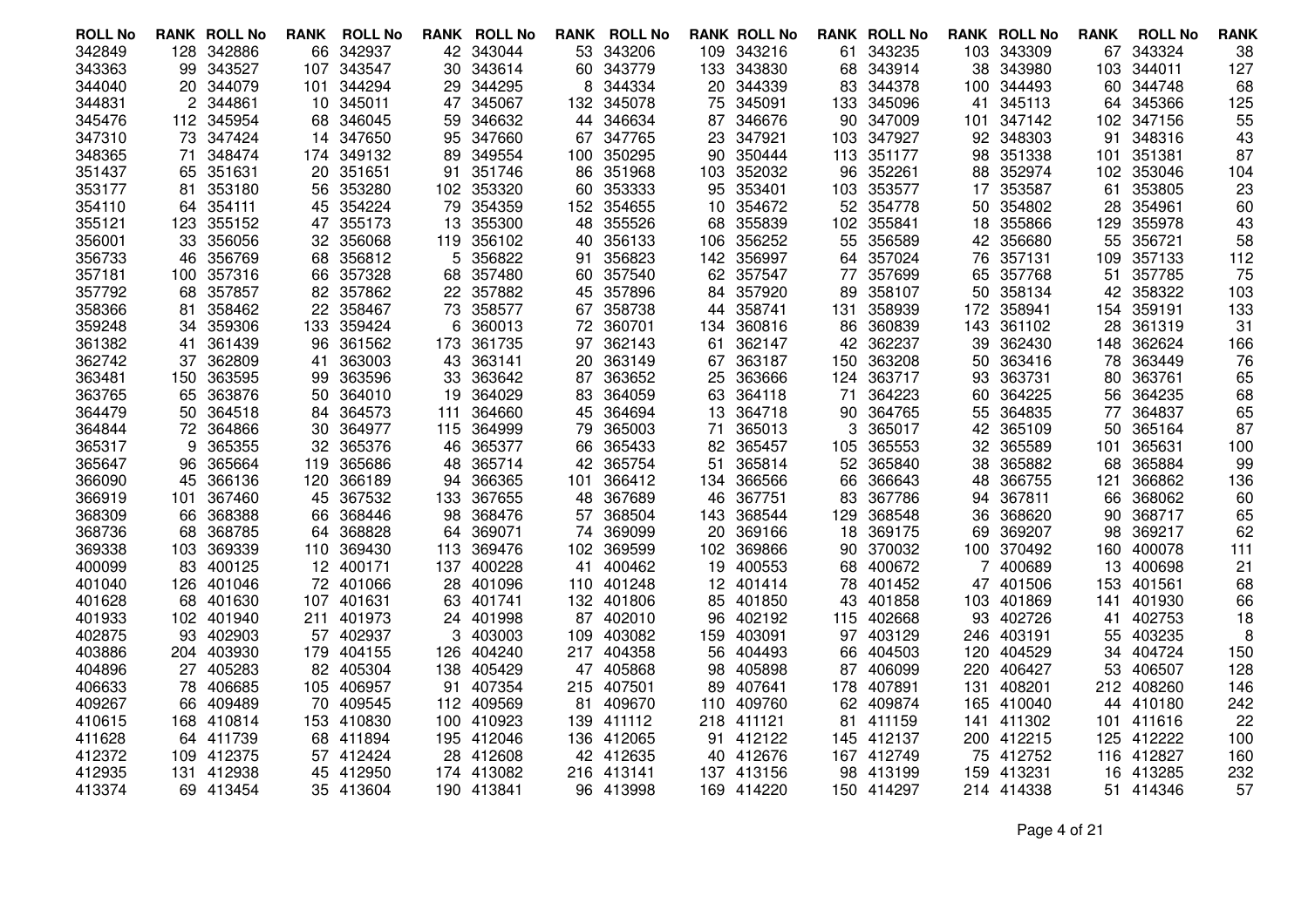| <b>ROLL No</b>   |     | <b>RANK ROLL No</b>  | <b>RANK</b> | <b>ROLL No</b>   | RANK      | <b>ROLL No</b>   | RANK      | <b>ROLL No</b>   |     | <b>RANK ROLL No</b> |          | <b>RANK ROLL No</b> |      | <b>RANK ROLL No</b>  | <b>RANK</b> | <b>ROLL No</b>   | <b>RANK</b> |
|------------------|-----|----------------------|-------------|------------------|-----------|------------------|-----------|------------------|-----|---------------------|----------|---------------------|------|----------------------|-------------|------------------|-------------|
| 342849           | 128 | 342886               | 66          | 342937           | 42        | 343044           |           | 53 343206        | 109 | 343216              | 61       | 343235              |      | 103 343309           | 67          | 343324           | 38          |
| 343363           | 99  | 343527               | 107         | 343547           | 30        | 343614           |           | 60 343779        | 133 | 343830              | 68       | 343914              | 38   | 343980               | 103         | 344011           | 127         |
| 344040           |     | 20 344079            | 101         | 344294           | 29        | 344295           | 8         | 344334           |     | 20 344339           | 83       | 344378              | 100  | 344493               | 60          | 344748           | 68          |
| 344831           |     | 2 344861             | 10          | 345011           | 47        | 345067           |           | 132 345078       | 75  | 345091              |          | 133 345096          | 41   | 345113               | 64          | 345366           | 125         |
| 345476           |     | 112 345954           | 68          | 346045           | 59        | 346632           | 44        | 346634           | 87  | 346676              | 90       | 347009              | 101  | 347142               | 102         | 347156           | 55          |
| 347310           |     | 73 347424            | 14          | 347650           | 95        | 347660           |           | 67 347765        | 23  | 347921              | 103      | 347927              |      | 92 348303            | 91          | 348316           | 43          |
| 348365           | 71  | 348474               | 174         | 349132           | 89        | 349554           |           | 100 350295       | 90  | 350444              |          | 113 351177          | 98   | 351338               | 101         | 351381           | 87          |
| 351437           | 65  | 351631               | 20          | 351651           | 91        | 351746           | 86        | 351968           | 103 | 352032              | 96       | 352261              | 88   | 352974               | 102         | 353046           | 104         |
| 353177           | 81  | 353180               | 56          | 353280           | 102       | 353320           |           | 60 353333        |     | 95 353401           | 103      | 353577              | 17   | 353587               | 61          | 353805           | 23          |
| 354110           |     | 64 354111            | 45          | 354224           | 79        | 354359           |           | 152 354655       | 10  | 354672              |          | 52 354778           | 50   | 354802               | 28          | 354961           | 60          |
| 355121           | 123 | 355152               | 47          | 355173           | 13        | 355300           | 48        | 355526           | 68  | 355839              | 102      | 355841              | 18   | 355866               | 129         | 355978           | 43          |
| 356001           |     | 33 356056            | 32          | 356068           | 119       | 356102           |           | 40 356133        |     | 106 356252          | 55       | 356589              |      | 42 356680            | 55          | 356721           | 58          |
| 356733           | 46  | 356769               | 68          | 356812           | 5         | 356822           | 91        | 356823           | 142 | 356997              |          | 64 357024           | 76   | 357131               | 109         | 357133           | 112         |
| 357181           | 100 | 357316               | 66          | 357328           | 68        | 357480           | 60        | 357540           | 62  | 357547              | 77       | 357699              | 65   | 357768               | 51          | 357785           | 75          |
| 357792           | 68  | 357857               | 82          | 357862           | 22.       | 357882           |           | 45 357896        |     | 84 357920           | 89       | 358107              | 50   | 358134               |             | 42 358322        | 103         |
| 358366           | 81  | 358462               | 22          | 358467           | 73        | 358577           |           | 67 358738        | 44  | 358741              |          | 131 358939          | 172  | 358941               | 154         | 359191           | 133         |
| 359248           | 34  | 359306               | 133         | 359424           | 6         | 360013           | 72        | 360701           | 134 | 360816              | 86       | 360839              | 143  | 361102               | 28          | 361319           | 31          |
| 361382           | 41  | 361439               | 96          | 361562           | 173       | 361735           |           | 97 362143        | 61  | 362147              | 42       | 362237              | 39   | 362430               | 148         | 362624           | 166         |
| 362742           | 37  | 362809               | 41          | 363003           | 43        | 363141           | 20        | 363149           | 67  | 363187              | 150      | 363208              | 50   | 363416               | 78          | 363449           | 76          |
| 363481           | 150 | 363595               | 99          | 363596           | 33        | 363642           | 87        | 363652           | 25  | 363666              | 124      | 363717              | 93   | 363731               | 80          | 363761           | 65          |
| 363765           |     | 65 363876            | 50          | 364010           | 19        | 364029           |           | 83 364059        |     | 63 364118           | 71       | 364223              | 60   | 364225               | 56          | 364235           | 68          |
| 364479           | 50  | 364518               | 84          | 364573           | 111       | 364660           | 45        | 364694           | 13  | 364718              | 90       | 364765              | 55   | 364835               | 77          | 364837           | 65          |
| 364844           | 72  | 364866               | 30          | 364977           | 115       | 364999           | 79        | 365003           | 71  | 365013              | 3        | 365017              | 42   | 365109               | 50          | 365164           | 87          |
| 365317           | 9   | 365355               | 32          | 365376           | 46        | 365377           |           | 66 365433        |     | 82 365457           | 105      | 365553              | 32   | 365589               | 101         | 365631           | 100         |
| 365647           | 96  | 365664               | 119         | 365686           | 48        | 365714           | 42        | 365754           | 51  | 365814              | 52       | 365840              | 38   | 365882               | 68          | 365884           | 99          |
| 366090           | 45  | 366136               | 120         | 366189           | 94        | 366365           | 101       | 366412           | 134 | 366566              | 66       | 366643              | 48   | 366755               | 121         | 366862           | 136         |
| 366919<br>368309 | 101 | 367460               | 45          | 367532           | 133       | 367655           | 48        | 367689           |     | 46 367751           | 83       | 367786              | 94   | 367811               | 66          | 368062           | 60          |
| 368736           | 66  | 368388               | 66          | 368446<br>368828 | 98        | 368476           | 57        | 368504<br>369099 | 143 | 368544<br>369166    | 129      | 368548              | 36   | 368620               | 90          | 368717<br>369217 | 65          |
| 369338           | 68  | 368785<br>103 369339 | 64          | 369430           | 64<br>113 | 369071           | 74        | 369599           | 20  | 102 369866          | 18<br>90 | 369175              | 69   | 369207<br>100 370492 | 98          | 400078           | 62          |
| 400099           | 83  | 400125               | 110<br>12   | 400171           | 137       | 369476<br>400228 | 102<br>41 | 400462           | 19  | 400553              | 68       | 370032<br>400672    |      | 400689               | 160<br>13   | 400698           | 111<br>21   |
| 401040           |     | 126 401046           | 72          | 401066           | 28        | 401096           |           | 110 401248       |     | 12 401414           | 78       | 401452              |      | 47 401506            | 153         | 401561           | 68          |
| 401628           |     | 68 401630            |             | 107 401631       | 63        | 401741           |           | 132 401806       | 85. | 401850              | 43       | 401858              |      | 103 401869           | 141         | 401930           | 66          |
| 401933           |     | 102 401940           | 211         | 401973           | 24.       | 401998           |           | 87 402010        | 96  | 402192              | 115      | 402668              | 93   | 402726               | 41          | 402753           | 18          |
| 402875           |     | 93 402903            | 57          | 402937           | 3         | 403003           | 109       | 403082           | 159 | 403091              | 97       | 403129              | 246  | 403191               | 55          | 403235           | 8           |
| 403886           |     | 204 403930           | 179         | 404155           | 126       | 404240           |           | 217 404358       | 56  | 404493              | 66       | 404503              | 120. | 404529               | 34          | 404724           | 150         |
| 404896           |     | 27 405283            | 82          | 405304           | 138       | 405429           |           | 47 405868        | 98  | 405898              | 87       | 406099              | 220  | 406427               | 53          | 406507           | 128         |
| 406633           |     | 78 406685            | 105         | 406957           | 91        | 407354           |           | 215 407501       | 89  | 407641              | 178      | 407891              | 131  | 408201               |             | 212 408260       | 146         |
| 409267           |     | 66 409489            | 70          | 409545           |           | 112 409569       |           | 81 409670        | 110 | 409760              |          | 62 409874           |      | 165 410040           |             | 44 410180        | 242         |
| 410615           |     | 168 410814           | 153         | 410830           | 100       | 410923           |           | 139 411112       |     | 218 411121          | 81       | 411159              | 141  | 411302               |             | 101 411616       | 22          |
| 411628           |     | 64 411739            |             | 68 411894        |           | 195 412046       |           | 136 412065       |     | 91 412122           | 145      | 412137              |      | 200 412215           | 125         | 412222           | 100         |
| 412372           |     | 109 412375           |             | 57 412424        | 28        | 412608           |           | 42 412635        |     | 40 412676           |          | 167 412749          |      | 75 412752            |             | 116 412827       | 160         |
| 412935           | 131 | 412938               | 45          | 412950           |           | 174 413082       |           | 216 413141       | 137 | 413156              | 98       | 413199              | 159  | 413231               | 16          | 413285           | 232         |
| 413374           |     | 69 413454            |             | 35 413604        |           | 190 413841       |           | 96 413998        |     | 169 414220          |          | 150 414297          |      | 214 414338           |             | 51 414346        | 57          |
|                  |     |                      |             |                  |           |                  |           |                  |     |                     |          |                     |      |                      |             |                  |             |

Page 4 of 21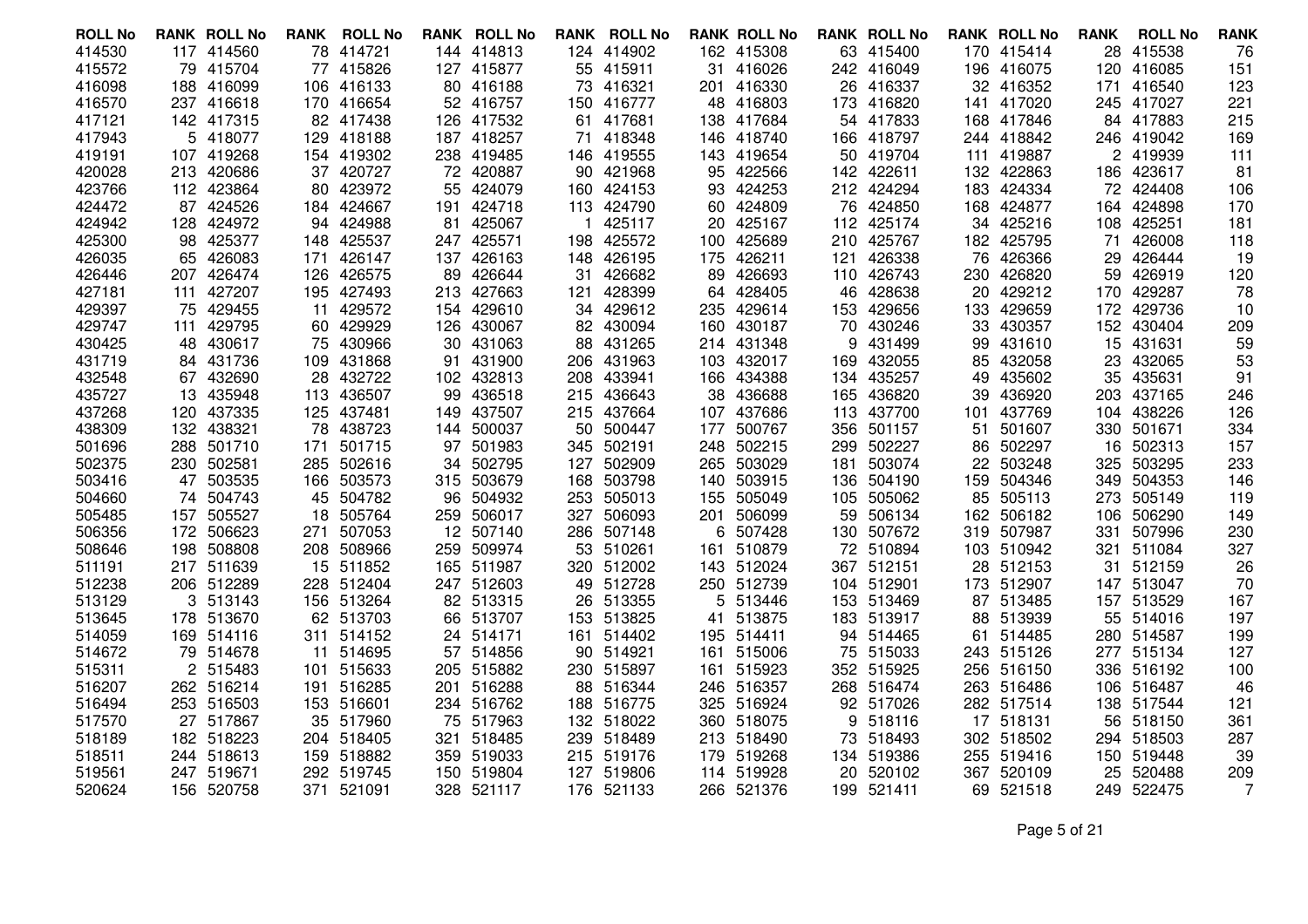| <b>ROLL No</b> |     | <b>RANK ROLL No</b> | RANK | <b>ROLL No</b> |     | <b>RANK ROLL No</b> |     | <b>RANK ROLL No</b> |            | <b>RANK ROLL No</b> |     | <b>RANK ROLL No</b> |     | <b>RANK ROLL No</b> | <b>RANK</b> | <b>ROLL No</b>       | <b>RANK</b> |
|----------------|-----|---------------------|------|----------------|-----|---------------------|-----|---------------------|------------|---------------------|-----|---------------------|-----|---------------------|-------------|----------------------|-------------|
| 414530         |     | 117 414560          | 78   | 414721         |     | 144 414813          |     | 124 414902          |            | 162 415308          |     | 63 415400           |     | 170 415414          | 28          | 415538               | 76          |
| 415572         |     | 79 415704           | 77   | 415826         | 127 | 415877              |     | 55 415911           |            | 31 416026           |     | 242 416049          |     | 196 416075          | 120         | 416085               | 151         |
| 416098         |     | 188 416099          | 106  | 416133         |     | 80 416188           |     | 73 416321           |            | 201 416330          | 26  | 416337              |     | 32 416352           | 171         | 416540               | 123         |
| 416570         |     | 237 416618          |      | 170 416654     |     | 52 416757           |     | 150 416777          |            | 48 416803           |     | 173 416820          |     | 141 417020          |             | 245 417027           | 221         |
| 417121         |     | 142 417315          |      | 82 417438      |     | 126 417532          | 61  | 417681              | 138        | 417684              | 54  | 417833              |     | 168 417846          |             | 84 417883            | 215         |
| 417943         |     | 5 418077            | 129  | 418188         |     | 187 418257          | 71  | 418348              |            | 146 418740          | 166 | 418797              |     | 244 418842          |             | 246 419042           | 169         |
| 419191         |     | 107 419268          |      | 154 419302     |     | 238 419485          |     | 146 419555          |            | 143 419654          |     | 50 419704           |     | 111 419887          |             | 2 419939             | 111         |
| 420028         |     | 213 420686          | 37   | 420727         | 72  | 420887              | 90  | 421968              | 95         | 422566              | 142 | 422611              |     | 132 422863          | 186         | 423617               | 81          |
| 423766         |     | 112 423864          |      | 80 423972      | 55  | 424079              |     | 160 424153          |            | 93 424253           |     | 212 424294          |     | 183 424334          |             | 72 424408            | 106         |
| 424472         |     | 87 424526           |      | 184 424667     |     | 191 424718          |     | 113 424790          |            | 60 424809           |     | 76 424850           |     | 168 424877          |             | 164 424898           | 170         |
| 424942         | 128 | 424972              | 94   | 424988         | 81  | 425067              |     | 425117              | 20         | 425167              | 112 | 425174              | 34  | 425216              | 108         | 425251               | 181         |
| 425300         |     | 98 425377           | 148  | 425537         |     | 247 425571          | 198 | 425572              |            | 100 425689          |     | 210 425767          |     | 182 425795          | 71          | 426008               | 118         |
| 426035         |     | 65 426083           | 171  | 426147         |     | 137 426163          |     | 148 426195          |            | 175 426211          | 121 | 426338              |     | 76 426366           | 29          | 426444               | 19          |
| 426446         |     | 207 426474          | 126  | 426575         | 89  | 426644              | 31  | 426682              | 89         | 426693              | 110 | 426743              | 230 | 426820              | 59          | 426919               | 120         |
| 427181         | 111 | 427207              |      | 195 427493     |     | 213 427663          | 121 | 428399              |            | 64 428405           | 46  | 428638              |     | 20 429212           |             | 170 429287           | 78          |
| 429397         |     | 75 429455           | 11   | 429572         |     | 154 429610          |     | 34 429612           | 235        | 429614              |     | 153 429656          |     | 133 429659          |             | 172 429736           | 10          |
| 429747         | 111 | 429795              | 60   | 429929         | 126 | 430067              | 82  | 430094              | 160        | 430187              | 70  | 430246              | 33  | 430357              |             | 152 430404           | 209         |
| 430425         |     | 48 430617           | 75   | 430966         |     | 30 431063           | 88  | 431265              |            | 214 431348          | 9   | 431499              |     | 99 431610           |             | 15 431631            | 59          |
| 431719         |     | 84 431736           | 109  | 431868         | 91  | 431900              | 206 | 431963              |            | 103 432017          | 169 | 432055              | 85. | 432058              | 23          | 432065               | 53          |
| 432548         |     | 67 432690           | 28   | 432722         | 102 | 432813              | 208 | 433941              |            | 166 434388          | 134 | 435257              | 49  | 435602              | 35          | 435631               | 91          |
| 435727         |     | 13 435948           |      | 113 436507     | 99  | 436518              |     | 215 436643          |            | 38 436688           |     | 165 436820          |     | 39 436920           |             | 203 437165           | 246         |
| 437268         |     | 120 437335          | 125  | 437481         | 149 | 437507              |     | 215 437664          |            | 107 437686          | 113 | 437700              | 101 | 437769              |             | 104 438226           | 126         |
| 438309         |     | 132 438321          | 78   | 438723         | 144 | 500037              | 50  | 500447              | 177        | 500767              | 356 | 501157              | 51  | 501607              | 330         | 501671               | 334         |
| 501696         |     | 288 501710          | 171  | 501715         |     | 97 501983           |     | 345 502191          | 248        | 502215              |     | 299 502227          |     | 86 502297           | 16          | 502313               | 157         |
| 502375         |     | 230 502581          | 285  | 502616         | 34  | 502795              | 127 | 502909              | 265        | 503029              | 181 | 503074              |     | 22 503248           | 325         | 503295               | 233         |
| 503416         |     | 47 503535           | 166  | 503573         | 315 | 503679              | 168 | 503798              | 140        | 503915              | 136 | 504190              | 159 | 504346              | 349         | 504353               | 146         |
| 504660         |     | 74 504743           |      | 45 504782      | 96  | 504932              |     | 253 505013          | 155        | 505049              |     | 105 505062          |     | 85 505113           | 273         | 505149               | 119         |
| 505485         |     | 157 505527          | 18   | 505764         | 259 | 506017              | 327 | 506093              | 201        | 506099              | 59  | 506134              |     | 162 506182          | 106         | 506290               | 149         |
| 506356         |     | 172 506623          | 271  | 507053         |     | 12 507140           | 286 | 507148              | 6          | 507428              | 130 | 507672              |     | 319 507987          | 331         | 507996               | 230         |
| 508646         |     | 198 508808          |      | 208 508966     | 259 | 509974              |     | 53 510261           | 161        | 510879              |     | 72 510894           |     | 103 510942          | 321         | 511084               | 327         |
| 511191         |     | 217 511639          | 15   | 511852         | 165 | 511987              |     | 320 512002          | 143        | 512024              |     | 367 512151          |     | 28 512153           | 31          | 512159               | 26          |
| 512238         |     | 206 512289          | 228  | 512404         |     | 247 512603          |     | 49 512728           |            | 250 512739          |     | 104 512901          |     | 173 512907          |             | 147 513047           | 70          |
| 513129         |     | 3 513143            |      | 156 513264     |     | 82 513315           |     | 26 513355           | 5          | 513446              |     | 153 513469          |     | 87 513485           | 157         | 513529               | 167         |
| 513645         |     | 178 513670          |      | 62 513703      | 66  | 513707              |     | 153 513825          | 41         | 513875              |     | 183 513917          |     | 88 513939           | 55          | 514016               | 197         |
| 514059         |     | 169 514116          | 311  | 514152         | 24  | 514171              | 161 | 514402              | 195        | 514411              |     | 94 514465           | 61  | 514485              | 280         | 514587               | 199         |
| 514672         |     | 79 514678           | 11   | 514695         | 57  | 514856              |     | 90 514921           | 161        | 515006              | 75  | 515033              |     | 243 515126          | 277         | 515134               | 127         |
| 515311         |     | 2 515483            | 101  | 515633         | 205 | 515882              |     | 230 515897          | 161        | 515923              |     | 352 515925          |     | 256 516150          | 336         | 516192               | 100         |
| 516207         |     | 262 516214          | 191  | 516285         | 201 | 516288              |     | 88 516344           | 246        | 516357              |     | 268 516474          |     | 263 516486          | 106         | 516487               | 46          |
| 516494         |     | 253 516503          | 35   | 153 516601     |     | 234 516762          |     | 188 516775          | 325<br>360 | 516924              |     | 92 517026           |     | 282 517514          |             | 138 517544           | 121         |
| 517570         |     | 27 517867           |      | 517960         | 75  | 517963              |     | 132 518022          |            | 518075              | 9   | 518116              |     | 17 518131           | 56          | 518150<br>294 518503 | 361         |
| 518189         |     | 182 518223          |      | 204 518405     | 321 | 518485              |     | 239 518489          |            | 213 518490          |     | 73 518493           |     | 302 518502          |             |                      | 287         |
| 518511         |     | 244 518613          | 159  | 518882         |     | 359 519033          |     | 215 519176          | 179.       | 519268              |     | 134 519386          |     | 255 519416          | 150         | 519448               | 39          |
| 519561         |     | 247 519671          | 292  | 519745         | 150 | 519804              |     | 127 519806          | 114        | 519928              | 20  | 520102              | 367 | 520109              | 25          | 520488               | 209         |
| 520624         |     | 156 520758          | 371  | 521091         |     | 328 521117          |     | 176 521133          |            | 266 521376          |     | 199 521411          |     | 69 521518           |             | 249 522475           | 7           |

Page 5 of 21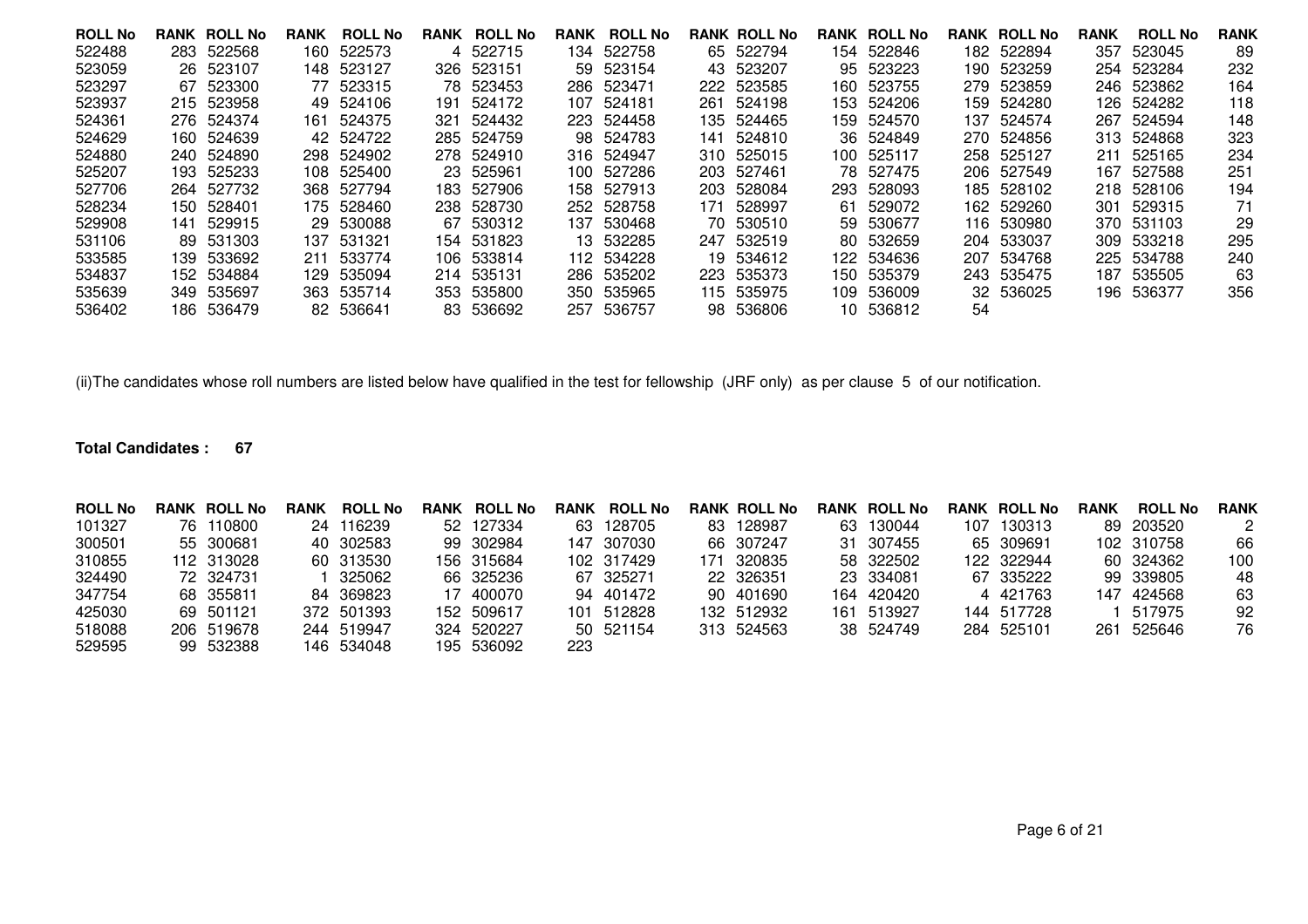| <b>ROLL No</b> |     | <b>RANK ROLL No</b> | <b>RANK</b> | <b>ROLL No</b> |     | <b>RANK ROLL No</b> | <b>RANK</b> | <b>ROLL No</b> |      | <b>RANK ROLL No</b> |      | <b>RANK ROLL No</b> |    | <b>RANK ROLL No</b> | <b>RANK</b> | <b>ROLL No</b> | <b>RANK</b> |
|----------------|-----|---------------------|-------------|----------------|-----|---------------------|-------------|----------------|------|---------------------|------|---------------------|----|---------------------|-------------|----------------|-------------|
| 522488         |     | 283 522568          |             | 160 522573     |     | 4 522715            |             | 134 522758     |      | 65 522794           |      | 154 522846          |    | 182 522894          | 357         | 523045         | 89          |
| 523059         |     | 26 523107           | 148.        | 523127         | 326 | 523151              |             | 59 523154      |      | 43 523207           |      | 95 523223           |    | 190 523259          |             | 254 523284     | 232         |
| 523297         | 67  | 523300              | 77          | 523315         |     | 78 523453           |             | 286 523471     | 222. | 523585              | 160- | 523755              |    | 279 523859          | 246.        | 523862         | 164         |
| 523937         |     | 215 523958          | 49.         | 524106         | 191 | 524172              |             | 107 524181     | 261. | 524198              |      | 153 524206          |    | 159 524280          |             | 126 524282     | 118         |
| 524361         |     | 276 524374          | 161         | 524375         | 321 | 524432              |             | 223 524458     |      | 135 524465          |      | 159 524570          |    | 137 524574          |             | 267 524594     | 148         |
| 524629         |     | 160 524639          |             | 42 524722      |     | 285 524759          |             | 98 524783      | 141  | 524810              |      | 36 524849           |    | 270 524856          |             | 313 524868     | 323         |
| 524880         |     | 240 524890          | 298         | 524902         |     | 278 524910          |             | 316 524947     | 310. | 525015              |      | 100 525117          |    | 258 525127          | 211         | 525165         | 234         |
| 525207         |     | 193 525233          | 108.        | 525400         |     | 23 525961           |             | 100 527286     | 203. | 527461              |      | 78 527475           |    | 206 527549          | 167         | 527588         | 251         |
| 527706         |     | 264 527732          | 368         | 527794         |     | 183 527906          |             | 158 527913     | 203. | 528084              |      | 293 528093          |    | 185 528102          | 218         | 528106         | 194         |
| 528234         |     | 150 528401          |             | 175 528460     |     | 238 528730          |             | 252 528758     | 171  | 528997              |      | 61 529072           |    | 162 529260          | 301         | 529315         | 71          |
| 529908         | 141 | 529915              |             | 29 530088      |     | 67 530312           |             | 137 530468     |      | 70 530510           |      | 59 530677           |    | 116 530980          |             | 370 531103     | 29          |
| 531106         |     | 89 531303           | 137.        | 531321         |     | 154 531823          |             | 13 532285      | 247  | 532519              |      | 80 532659           |    | 204 533037          | 309         | 533218         | 295         |
| 533585         |     | 139 533692          | 211         | 533774         |     | 106 533814          |             | 112 534228     |      | 19 534612           |      | 122 534636          |    | 207 534768          |             | 225 534788     | 240         |
| 534837         |     | 152 534884          | 129.        | 535094         |     | 214 535131          |             | 286 535202     | 223  | 535373              |      | 150 535379          |    | 243 535475          | 187         | 535505         | 63          |
| 535639         |     | 349 535697          |             | 363 535714     |     | 353 535800          |             | 350 535965     |      | 115 535975          |      | 109 536009          |    | 32 536025           |             | 196 536377     | 356         |
| 536402         |     | 186 536479          |             | 82 536641      |     | 83 536692           | 257         | 536757         |      | 98 536806           |      | 10 536812           | 54 |                     |             |                |             |

(ii)The candidates whose roll numbers are listed below have qualified in the test for fellowship (JRF only) as per clause 5 of our notification.

### **Total Candidates : 67**

| <b>ROLL No</b> | <b>RANK ROLL No</b> | <b>RANK</b> | <b>ROLL No</b> | RANK | <b>ROLL No</b> | RANK | <b>ROLL No</b> |     | <b>RANK ROLL No</b> |     | <b>RANK ROLL No</b> | <b>RANK ROLL No</b> | <b>RANK</b> | <b>ROLL No</b> | <b>RANK</b> |
|----------------|---------------------|-------------|----------------|------|----------------|------|----------------|-----|---------------------|-----|---------------------|---------------------|-------------|----------------|-------------|
| 101327         | 76 110800           | 24          | 116239         |      | 52 127334      |      | 63 128705      |     | 83 128987           | 63. | 130044              | 107 130313          |             | 89 203520      | 2           |
| 300501         | 55 300681           |             | 40 302583      |      | 99 302984      |      | 147 307030     |     | 66 307247           |     | 31 307455           | 65 309691           |             | 102 310758     | 66          |
| 310855         | 112 313028          |             | 60 313530      |      | 156 315684     |      | 102 317429     | 171 | 320835              |     | 58 322502           | 122 322944          |             | 60 324362      | 100         |
| 324490         | 72 324731           |             | 325062         |      | 66 325236      |      | 67 325271      |     | 22 326351           |     | 23 334081           | 67 335222           |             | 99 339805      | 48          |
| 347754         | 68 355811           | 84          | 369823         |      | 17 400070      |      | 94 401472      |     | 90 401690           |     | 164 420420          | 4 421763            |             | 147 424568     | 63          |
| 425030         | 69 501121           |             | 372 501393     |      | 152 509617     |      | 101 512828     |     | 132 512932          |     | 161 513927          | 144 517728          |             | 517975         | 92          |
| 518088         | 206 519678          |             | 244 519947     |      | 324 520227     |      | 50 521154      |     | 313 524563          |     | 38 524749           | 284 525101          | 261         | 525646         | 76          |
| 529595         | 99 532388           |             | 146 534048     |      | 195 536092     | 223  |                |     |                     |     |                     |                     |             |                |             |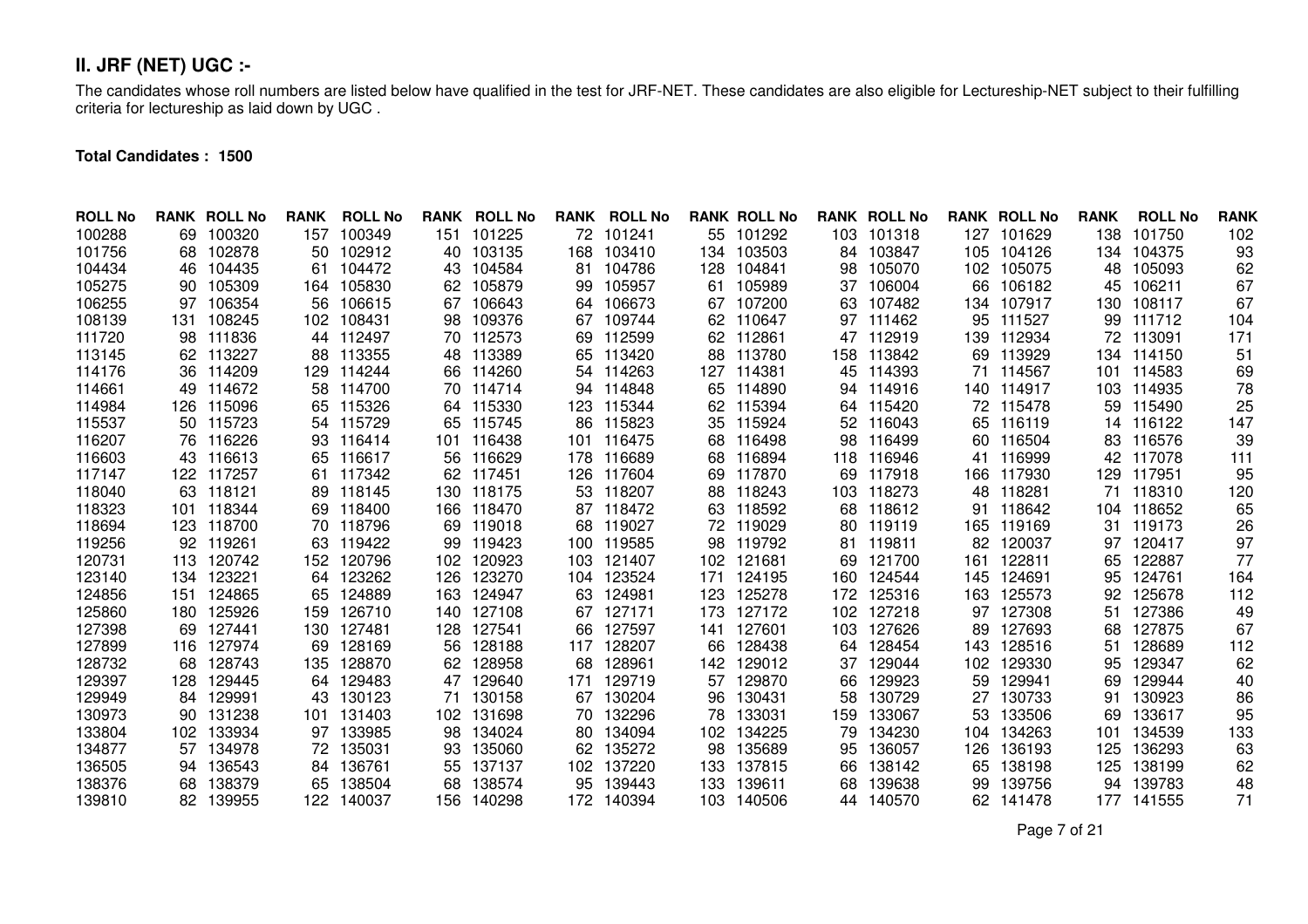# **II. JRF (NET) UGC :-**

The candidates whose roll numbers are listed below have qualified in the test for JRF-NET. These candidates are also eligible for Lectureship-NET subject to their fulfilling criteria for lectureship as laid down by UGC .

**Total Candidates : 1500**

| <b>ROLL No</b> |     | <b>RANK ROLL No</b> | <b>RANK</b> | <b>ROLL No</b> | <b>RANK</b> | <b>ROLL No</b> | <b>RANK</b> | <b>ROLL No</b> |     | <b>RANK ROLL No</b> |     | <b>RANK ROLL No</b> |      | <b>RANK ROLL No</b> | <b>RANK</b> | <b>ROLL No</b> | <b>RANK</b> |
|----------------|-----|---------------------|-------------|----------------|-------------|----------------|-------------|----------------|-----|---------------------|-----|---------------------|------|---------------------|-------------|----------------|-------------|
| 100288         | 69. | 100320              | 157         | 100349         | 151         | 101225         | 72          | 101241         |     | 55 101292           | 103 | 101318              | 127  | 101629              | 138         | 101750         | 102         |
| 101756         | 68  | 102878              | 50          | 102912         | 40          | 103135         | 168         | 103410         |     | 134 103503          | 84  | 103847              | 105  | 104126              |             | 134 104375     | 93          |
| 104434         | 46  | 104435              | 61          | 104472         | 43          | 104584         | 81          | 104786         | 128 | 104841              | 98  | 105070              | 102  | 105075              | 48          | 105093         | 62          |
| 105275         | 90  | 105309              | 164         | 105830         | 62          | 105879         | 99          | 105957         | 61  | 105989              | 37  | 106004              | 66   | 106182              | 45          | 106211         | 67          |
| 106255         | 97  | 106354              | 56          | 106615         | 67          | 106643         | 64          | 106673         | 67  | 107200              | 63  | 107482              | 134  | 107917              | 130         | 108117         | 67          |
| 108139         | 131 | 108245              | 102         | 108431         | 98          | 109376         | 67          | 109744         | 62  | 110647              | 97  | 111462              | 95   | 111527              | 99          | 111712         | 104         |
| 111720         | 98  | 111836              | 44          | 112497         | 70          | 112573         | 69          | 112599         | 62  | 112861              |     | 47 112919           | 139  | 112934              | 72          | 113091         | 171         |
| 113145         | 62  | 113227              | 88          | 113355         | 48          | 113389         | 65          | 113420         | 88  | 113780              | 158 | 113842              | 69   | 113929              |             | 134 114150     | 51          |
| 114176         | 36  | 114209              | 129         | 114244         | 66          | 114260         | 54          | 114263         | 127 | 114381              | 45  | 114393              | 71   | 114567              | 101         | 114583         | 69          |
| 114661         | 49  | 114672              | 58          | 114700         |             | 70 114714      | 94          | 114848         | 65  | 114890              | 94  | 114916              | 140. | 114917              | 103         | 114935         | 78          |
| 114984         | 126 | 115096              | 65          | 115326         | 64          | 115330         | 123         | 115344         | 62  | 115394              | 64  | 115420              | 72   | 115478              | 59          | 115490         | 25          |
| 115537         | 50  | 115723              | 54          | 115729         | 65          | 115745         | 86          | 115823         | 35  | 115924              | 52  | 116043              | 65   | 116119              |             | 14 116122      | 147         |
| 116207         |     | 76 116226           | 93          | 116414         | 101         | 116438         | 101         | 116475         | 68  | 116498              | 98  | 116499              | 60   | 116504              | 83          | 116576         | 39          |
| 116603         |     | 43 116613           | 65          | 116617         | 56          | 116629         | 178         | 116689         | 68  | 116894              | 118 | 116946              | 41   | 116999              | 42          | 117078         | 111         |
| 117147         | 122 | 117257              | 61          | 117342         | 62          | 117451         | 126         | 117604         | 69  | 117870              | 69  | 117918              | 166  | 117930              |             | 129 117951     | 95          |
| 118040         | 63  | 118121              | 89          | 118145         | 130         | 118175         | 53          | 118207         | 88  | 118243              |     | 103 118273          | 48   | 118281              | 71          | 118310         | 120         |
| 118323         | 101 | 118344              | 69          | 118400         | 166         | 118470         | 87          | 118472         | 63  | 118592              | 68  | 118612              | 91   | 118642              |             | 104 118652     | 65          |
| 118694         | 123 | 118700              | 70          | 118796         | 69          | 119018         | 68          | 119027         |     | 72 119029           | 80  | 119119              | 165  | 119169              | 31          | 119173         | 26          |
| 119256         | 92  | 119261              | 63          | 119422         | 99          | 119423         | 100         | 119585         | 98  | 119792              | 81  | 119811              | 82   | 120037              | 97          | 120417         | 97          |
| 120731         | 113 | 120742              | 152         | 120796         | 102         | 120923         | 103         | 121407         | 102 | 121681              | 69  | 121700              | 161  | 122811              | 65          | 122887         | 77          |
| 123140         | 134 | 123221              | 64          | 123262         | 126         | 123270         | 104         | 123524         | 171 | 124195              | 160 | 124544              | 145  | 124691              | 95          | 124761         | 164         |
| 124856         | 151 | 124865              | 65          | 124889         | 163         | 124947         | 63          | 124981         | 123 | 125278              | 172 | 125316              | 163  | 125573              | 92          | 125678         | 112         |
| 125860         | 180 | 125926              | 159         | 126710         | 140         | 127108         | 67          | 127171         | 173 | 127172              | 102 | 127218              | 97   | 127308              | 51          | 127386         | 49          |
| 127398         | 69  | 127441              | 130         | 127481         | 128         | 127541         | 66          | 127597         | 141 | 127601              | 103 | 127626              | 89   | 127693              | 68          | 127875         | 67          |
| 127899         |     | 116 127974          | 69          | 128169         | 56          | 128188         | 117         | 128207         | 66  | 128438              | 64  | 128454              | 143  | 128516              | 51          | 128689         | 112         |
| 128732         | 68  | 128743              | 135         | 128870         | 62          | 128958         | 68          | 128961         | 142 | 129012              | 37  | 129044              | 102  | 129330              | 95          | 129347         | 62          |
| 129397         | 128 | 129445              | 64          | 129483         | 47          | 129640         | 171         | 129719         | 57  | 129870              | 66  | 129923              | 59   | 129941              | 69          | 129944         | 40          |
| 129949         | 84  | 129991              | 43          | 130123         | 71          | 130158         | 67          | 130204         | 96  | 130431              | 58  | 130729              | 27   | 130733              | 91          | 130923         | 86          |
| 130973         | 90  | 131238              | 101         | 131403         | 102         | 131698         | 70          | 132296         | 78  | 133031              | 159 | 133067              | 53   | 133506              | 69          | 133617         | 95          |
| 133804         | 102 | 133934              | 97          | 133985         | 98          | 134024         | 80          | 134094         | 102 | 134225              | 79  | 134230              | 104  | 134263              | 101         | 134539         | 133         |
| 134877         | 57  | 134978              | 72          | 135031         | 93          | 135060         | 62          | 135272         | 98  | 135689              | 95  | 136057              | 126  | 136193              | 125         | 136293         | 63          |
| 136505         | 94  | 136543              | 84          | 136761         | 55          | 137137         | 102         | 137220         | 133 | 137815              | 66  | 138142              | 65   | 138198              | 125         | 138199         | 62          |
| 138376         | 68  | 138379              | 65          | 138504         | 68          | 138574         | 95          | 139443         | 133 | 139611              | 68  | 139638              | 99   | 139756              | 94          | 139783         | 48          |
| 139810         | 82  | 139955              | 122         | 140037         | 156         | 140298         |             | 172 140394     | 103 | 140506              | 44  | 140570              | 62   | 141478              |             | 177 141555     | 71          |

Page 7 of 21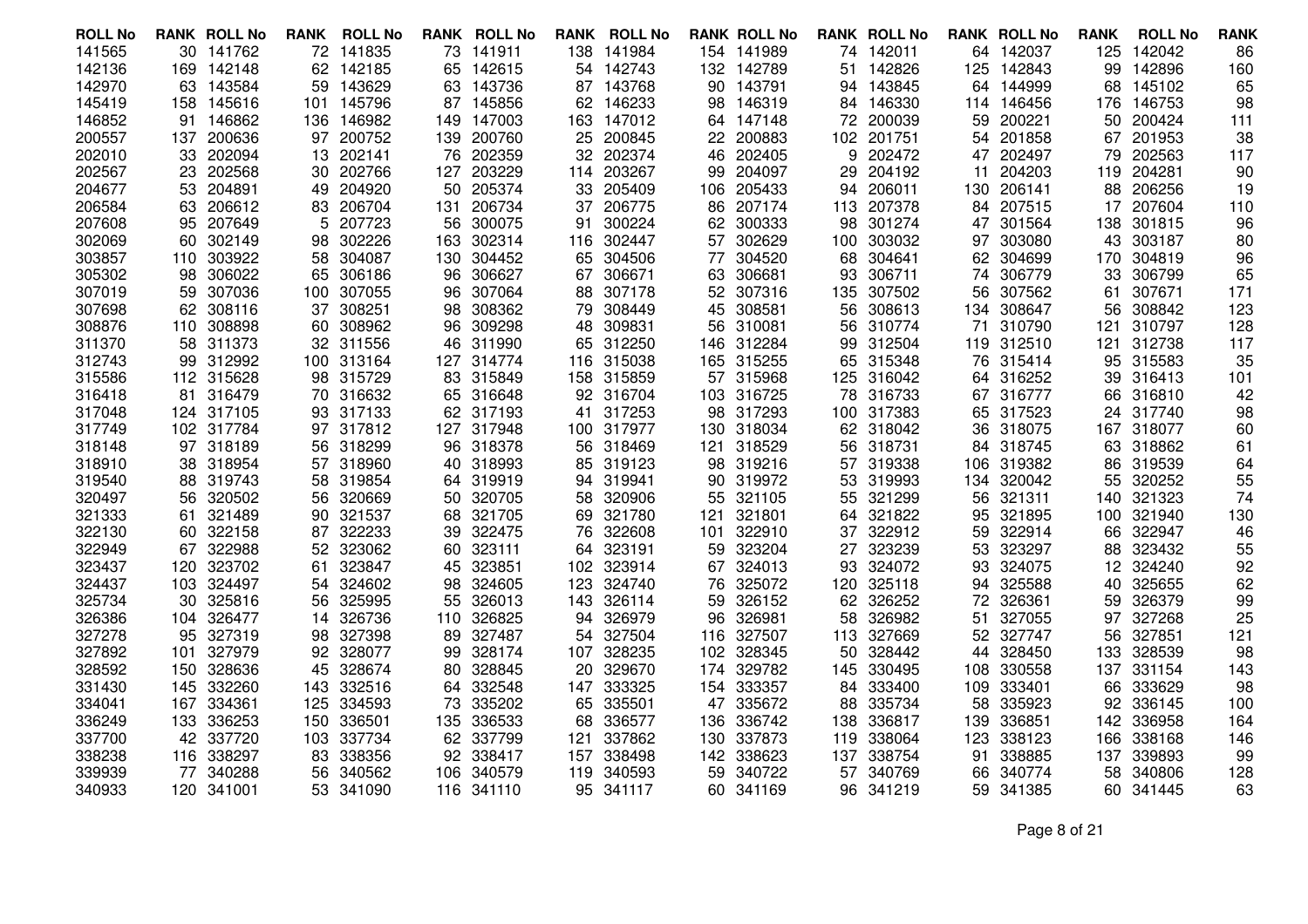| <b>ROLL No</b> |     | <b>RANK ROLL No</b> | RANK | <b>ROLL No</b> |     | <b>RANK ROLL No</b> |     | <b>RANK ROLL No</b> |     | <b>RANK ROLL No</b> |      | <b>RANK ROLL No</b> |      | <b>RANK ROLL No</b> | <b>RANK</b> | <b>ROLL No</b> | <b>RANK</b> |
|----------------|-----|---------------------|------|----------------|-----|---------------------|-----|---------------------|-----|---------------------|------|---------------------|------|---------------------|-------------|----------------|-------------|
| 141565         |     | 30 141762           |      | 72 141835      |     | 73 141911           |     | 138 141984          |     | 154 141989          |      | 74 142011           |      | 64 142037           | 125         | 142042         | 86          |
| 142136         | 169 | 142148              | 62   | 142185         | 65  | 142615              | 54  | 142743              | 132 | 142789              | 51   | 142826              | 125  | 142843              | 99          | 142896         | 160         |
| 142970         | 63  | 143584              | 59   | 143629         | 63  | 143736              | 87  | 143768              | 90  | 143791              | 94   | 143845              | 64   | 144999              | 68          | 145102         | 65          |
| 145419         |     | 158 145616          | 101  | 145796         |     | 87 145856           |     | 62 146233           | 98  | 146319              |      | 84 146330           |      | 114 146456          | 176         | 146753         | 98          |
| 146852         | 91  | 146862              | 136  | 146982         | 149 | 147003              |     | 163 147012          |     | 64 147148           | 72   | 200039              | 59   | 200221              | 50          | 200424         | 111         |
| 200557         | 137 | 200636              | 97   | 200752         | 139 | 200760              |     | 25 200845           |     | 22 200883           | 102  | 201751              | 54   | 201858              | 67          | 201953         | 38          |
| 202010         | 33  | 202094              | 13   | 202141         | 76  | 202359              | 32. | 202374              |     | 46 202405           | 9    | 202472              | 47   | 202497              | 79          | 202563         | 117         |
| 202567         | 23  | 202568              | 30   | 202766         | 127 | 203229              | 114 | 203267              | 99  | 204097              | 29   | 204192              | 11   | 204203              | 119         | 204281         | 90          |
| 204677         | 53  | 204891              | 49   | 204920         | 50  | 205374              | 33  | 205409              | 106 | 205433              | 94   | 206011              | 130  | 206141              | 88          | 206256         | 19          |
| 206584         |     | 63 206612           | 83   | 206704         | 131 | 206734              | 37  | 206775              | 86  | 207174              |      | 113 207378          |      | 84 207515           | 17          | 207604         | 110         |
| 207608         | 95  | 207649              | 5.   | 207723         | 56  | 300075              | 91  | 300224              |     | 62 300333           | 98   | 301274              | 47   | 301564              | 138         | 301815         | 96          |
| 302069         | 60  | 302149              | 98   | 302226         | 163 | 302314              | 116 | 302447              |     | 57 302629           | 100  | 303032              | 97   | 303080              | 43          | 303187         | 80          |
| 303857         |     | 110 303922          | 58   | 304087         | 130 | 304452              |     | 65 304506           | 77  | 304520              | 68   | 304641              |      | 62 304699           | 170         | 304819         | 96          |
| 305302         | 98  | 306022              | 65   | 306186         | 96  | 306627              | 67  | 306671              | 63  | 306681              | 93   | 306711              | 74   | 306779              | 33          | 306799         | 65          |
| 307019         | 59  | 307036              | 100  | 307055         | 96  | 307064              | 88  | 307178              |     | 52 307316           | 135  | 307502              | 56   | 307562              | 61          | 307671         | 171         |
| 307698         |     | 62 308116           | 37   | 308251         | 98  | 308362              | 79. | 308449              | 45  | 308581              | 56.  | 308613              |      | 134 308647          | 56          | 308842         | 123         |
| 308876         |     | 110 308898          | 60   | 308962         | 96  | 309298              | 48  | 309831              | 56  | 310081              | 56   | 310774              | 71   | 310790              | 121         | 310797         | 128         |
| 311370         |     | 58 311373           |      | 32 311556      | 46  | 311990              |     | 65 312250           | 146 | 312284              |      | 99 312504           |      | 119 312510          | 121         | 312738         | 117         |
| 312743         |     | 99 312992           | 100  | 313164         | 127 | 314774              |     | 116 315038          |     | 165 315255          | 65.  | 315348              |      | 76 315414           | 95          | 315583         | 35          |
| 315586         |     | 112 315628          | 98   | 315729         | 83  | 315849              |     | 158 315859          |     | 57 315968           | 125  | 316042              | 64   | 316252              | 39          | 316413         | 101         |
| 316418         |     | 81 316479           | 70   | 316632         | 65  | 316648              |     | 92 316704           |     | 103 316725          | 78   | 316733              |      | 67 316777           | 66          | 316810         | 42          |
| 317048         |     | 124 317105          | 93   | 317133         | 62. | 317193              |     | 41 317253           |     | 98 317293           |      | 100 317383          |      | 65 317523           | 24          | 317740         | 98          |
| 317749         |     | 102 317784          | 97   | 317812         | 127 | 317948              |     | 100 317977          |     | 130 318034          |      | 62 318042           | 36   | 318075              | 167         | 318077         | 60          |
| 318148         |     | 97 318189           | 56   | 318299         | 96  | 318378              |     | 56 318469           | 121 | 318529              | 56   | 318731              |      | 84 318745           | 63          | 318862         | 61          |
| 318910         |     | 38 318954           | 57   | 318960         | 40  | 318993              |     | 85 319123           |     | 98 319216           |      | 57 319338           | 106  | 319382              | 86          | 319539         | 64          |
| 319540         | 88  | 319743              | 58   | 319854         | 64. | 319919              | 94  | 319941              | 90  | 319972              | 53.  | 319993              | 134  | 320042              | 55          | 320252         | 55          |
| 320497         | 56  | 320502              | 56   | 320669         | 50  | 320705              | 58  | 320906              | 55  | 321105              | 55   | 321299              | 56   | 321311              | 140         | 321323         | 74          |
| 321333         | 61. | 321489              | 90   | 321537         | 68  | 321705              |     | 69 321780           | 121 | 321801              | 64.  | 321822              | 95   | 321895              | 100         | 321940         | 130         |
| 322130         | 60. | 322158              | 87   | 322233         | 39  | 322475              | 76  | 322608              | 101 | 322910              | 37   | 322912              | 59   | 322914              | 66          | 322947         | 46          |
| 322949         |     | 67 322988           | 52   | 323062         | 60  | 323111              | 64  | 323191              |     | 59 323204           | 27   | 323239              | 53   | 323297              | 88          | 323432         | 55          |
| 323437         | 120 | 323702              | 61   | 323847         | 45  | 323851              |     | 102 323914          |     | 67 324013           | 93   | 324072              | 93   | 324075              | 12          | 324240         | 92          |
| 324437         |     | 103 324497          | 54   | 324602         | 98  | 324605              | 123 | 324740              | 76  | 325072              | 120  | 325118              | 94   | 325588              | 40          | 325655         | 62          |
| 325734         |     | 30 325816           | 56   | 325995         | 55  | 326013              |     | 143 326114          | 59  | 326152              | 62.  | 326252              | 72   | 326361              | 59          | 326379         | 99          |
| 326386         |     | 104 326477          | 14   | 326736         | 110 | 326825              |     | 94 326979           | 96  | 326981              | 58   | 326982              | 51   | 327055              | 97          | 327268         | 25          |
| 327278         | 95  | 327319              | 98   | 327398         | 89  | 327487              | 54  | 327504              |     | 116 327507          | 113  | 327669              | 52   | 327747              | 56          | 327851         | 121         |
| 327892         | 101 | 327979              | 92   | 328077         | 99  | 328174              |     | 107 328235          | 102 | 328345              | 50   | 328442              | 44   | 328450              | 133         | 328539         | 98          |
| 328592         |     | 150 328636          | 45   | 328674         | 80  | 328845              |     | 20 329670           | 174 | 329782              | 145  | 330495              | 108. | 330558              | 137         | 331154         | 143         |
| 331430         |     | 145 332260          | 143  | 332516         | 64  | 332548              |     | 147 333325          |     | 154 333357          | 84   | 333400              | 109  | 333401              | 66          | 333629         | 98          |
| 334041         |     | 167 334361          | 125  | 334593         | 73  | 335202              |     | 65 335501           |     | 47 335672           | 88   | 335734              | 58   | 335923              | 92          | 336145         | 100         |
| 336249         |     | 133 336253          | 150  | 336501         | 135 | 336533              | 68  | 336577              | 136 | 336742              | 138. | 336817              | 139  | 336851              | 142         | 336958         | 164         |
| 337700         | 42  | 337720              | 103  | 337734         | 62  | 337799              | 121 | 337862              | 130 | 337873              | 119  | 338064              | 123. | 338123              | 166         | 338168         | 146         |
| 338238         |     | 116 338297          | 83   | 338356         | 92  | 338417              | 157 | 338498              |     | 142 338623          | 137  | 338754              | 91   | 338885              | 137         | 339893         | 99          |
| 339939         |     | 77 340288           | 56   | 340562         | 106 | 340579              |     | 119 340593          | 59  | 340722              | 57   | 340769              | 66.  | 340774              | 58          | 340806         | 128         |
| 340933         |     | 120 341001          | 53   | 341090         | 116 | 341110              |     | 95 341117           | 60  | 341169              | 96   | 341219              |      | 59 341385           |             | 60 341445      | 63          |

Page 8 of 21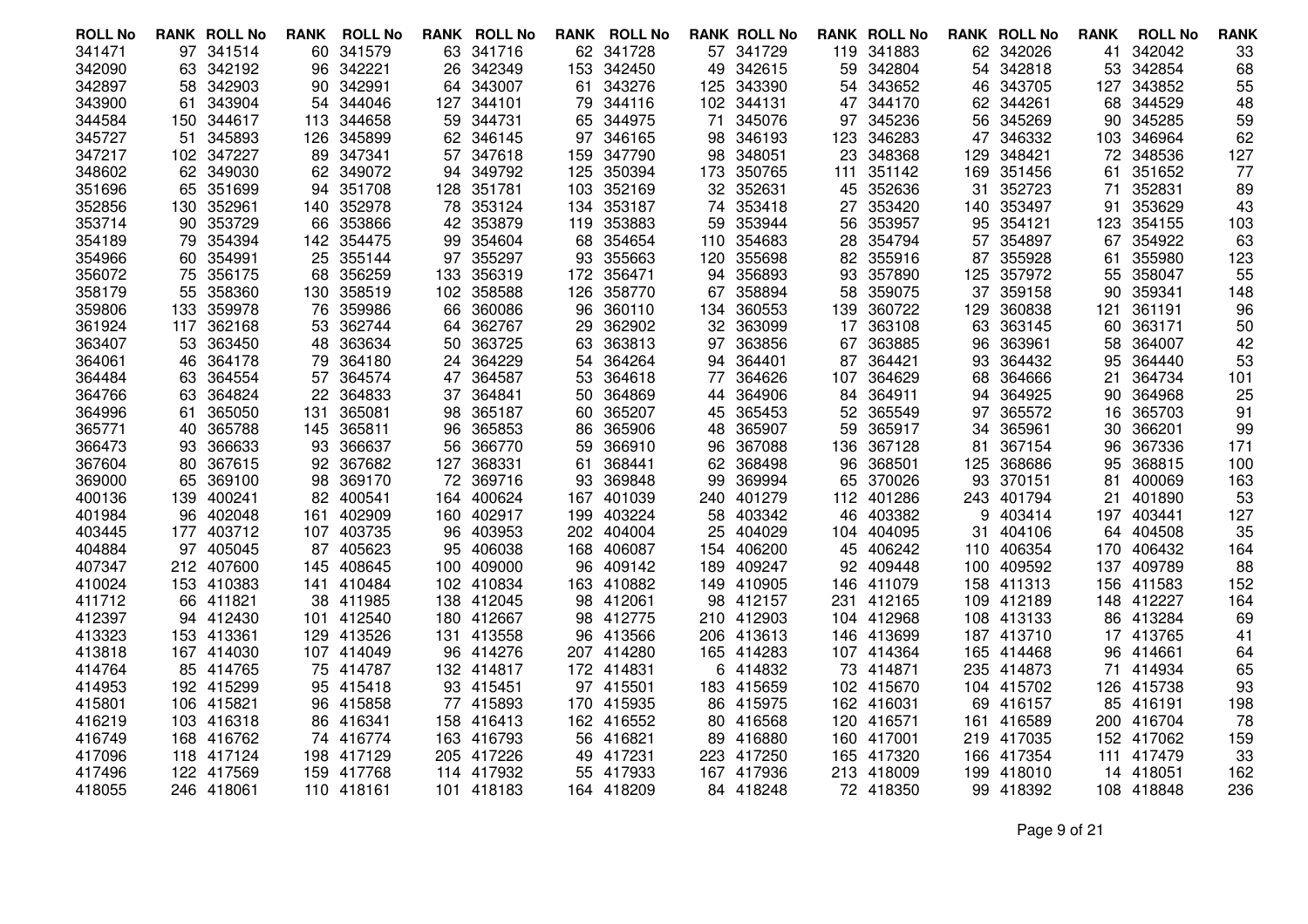| <b>ROLL No</b>   |      | <b>RANK ROLL No</b>     | <b>RANK</b> | <b>ROLL No</b>      | <b>RANK</b> | <b>ROLL No</b>       | RANK | <b>ROLL No</b>          |           | <b>RANK ROLL No</b>  |            | <b>RANK ROLL No</b>  |      | <b>RANK ROLL No</b>      | <b>RANK</b> | <b>ROLL No</b>   | <b>RANK</b> |
|------------------|------|-------------------------|-------------|---------------------|-------------|----------------------|------|-------------------------|-----------|----------------------|------------|----------------------|------|--------------------------|-------------|------------------|-------------|
| 341471           |      | 97 341514               | 60          | 341579              |             | 63 341716            |      | 62 341728               |           | 57 341729            |            | 119 341883           |      | 62 342026                | 41          | 342042           | 33          |
| 342090           | 63   | 342192                  | 96          | 342221              | 26          | 342349               |      | 153 342450              | 49        | 342615               | 59         | 342804               | 54   | 342818                   | 53          | 342854           | 68          |
| 342897           | 58   | 342903                  | 90          | 342991              | 64          | 343007               | 61   | 343276                  | 125       | 343390               | 54         | 343652               | 46   | 343705                   | 127         | 343852           | 55          |
| 343900           | 61   | 343904                  | 54          | 344046              | 127         | 344101               |      | 79 344116               |           | 102 344131           |            | 47 344170            | 62   | 344261                   | 68          | 344529           | 48          |
| 344584           | 150  | 344617                  | 113         | 344658              | 59          | 344731               | 65   | 344975                  | 71        | 345076               | 97         | 345236               | 56   | 345269                   | 90          | 345285           | 59          |
| 345727           | 51   | 345893                  | 126         | 345899              | 62          | 346145               |      | 97 346165               | 98        | 346193               | 123        | 346283               | 47   | 346332                   | 103         | 346964           | 62          |
| 347217           |      | 102 347227              | 89          | 347341              | 57          | 347618               |      | 159 347790              | 98        | 348051               | 23         | 348368               | 129  | 348421                   | 72          | 348536           | 127         |
| 348602           | 62   | 349030                  | 62          | 349072              | 94          | 349792               | 125  | 350394                  | 173       | 350765               | 111        | 351142               | 169  | 351456                   | 61          | 351652           | 77          |
| 351696           | 65   | 351699                  | 94          | 351708              | 128         | 351781               |      | 103 352169              |           | 32 352631            | 45         | 352636               | 31   | 352723                   | 71          | 352831           | 89          |
| 352856           |      | 130 352961              | 140         | 352978              | 78          | 353124               |      | 134 353187              | 74        | 353418               | 27         | 353420               | 140. | 353497                   | 91          | 353629           | 43          |
| 353714           | 90   | 353729                  | 66          | 353866              | 42          | 353879               | 119  | 353883                  | 59        | 353944               | 56         | 353957               | 95   | 354121                   | 123         | 354155           | 103         |
| 354189           | 79   | 354394                  | 142         | 354475              | 99          | 354604               |      | 68 354654               | 110       | 354683               | 28         | 354794               | 57   | 354897                   | 67          | 354922           | 63          |
| 354966           | 60   | 354991                  | 25          | 355144              | 97          | 355297               | 93   | 355663                  | 120       | 355698               |            | 82 355916            | 87   | 355928                   | 61          | 355980           | 123         |
| 356072           | 75   | 356175                  | 68          | 356259              | 133         | 356319               | 172  | 356471                  | 94        | 356893               | 93         | 357890               | 125  | 357972                   | 55          | 358047           | 55          |
| 358179           | 55   | 358360                  | 130         | 358519              | 102         | 358588               | 126  | 358770                  | 67        | 358894               | 58         | 359075               | 37   | 359158                   | 90          | 359341           | 148         |
| 359806           | 133. | 359978                  | 76          | 359986              | 66          | 360086               | 96   | 360110                  | 134       | 360553               | 139        | 360722               | 129  | 360838                   | 121         | 361191           | 96          |
| 361924           | 117  | 362168                  | 53          | 362744              | 64          | 362767               | 29   | 362902                  | 32        | 363099               | 17         | 363108               | 63   | 363145                   | 60          | 363171           | 50          |
| 363407           | 53   | 363450                  | 48          | 363634              | 50          | 363725               | 63   | 363813                  | 97        | 363856               | 67         | 363885               | 96   | 363961                   | 58          | 364007           | 42          |
| 364061           | 46.  | 364178                  | 79          | 364180              | 24          | 364229               | 54   | 364264                  | 94        | 364401               | 87         | 364421               | 93   | 364432                   | 95          | 364440           | 53          |
| 364484           | 63   | 364554                  | 57          | 364574              | 47          | 364587               | 53   | 364618                  | 77        | 364626               | 107        | 364629               | 68   | 364666                   | 21          | 364734           | 101         |
| 364766           | 63   | 364824                  | 22          | 364833              | 37          | 364841               | 50   | 364869                  |           | 44 364906            | 84         | 364911               | 94   | 364925                   | 90          | 364968           | 25          |
| 364996           | 61   | 365050                  | 131         | 365081              | 98          | 365187               | 60   | 365207                  | 45        | 365453               | 52         | 365549               | 97   | 365572                   | 16          | 365703           | 91          |
| 365771           | 40   | 365788                  | 145         | 365811              | 96          | 365853               | 86   | 365906                  | 48        | 365907               | 59         | 365917               | 34   | 365961                   | 30          | 366201           | 99          |
| 366473           | 93   | 366633                  | 93          | 366637              | 56          | 366770               | 59   | 366910                  | 96        | 367088               | 136        | 367128               | 81   | 367154                   | 96          | 367336           | 171         |
| 367604           | 80   | 367615                  | 92          | 367682              | 127         | 368331               | 61   | 368441                  |           | 62 368498            | 96         | 368501               | 125. | 368686                   | 95          | 368815           | 100         |
| 369000           | 65   | 369100                  | 98          | 369170              | 72          | 369716               | 93   | 369848                  | 99        | 369994               | 65         | 370026               | 93   | 370151                   | 81          | 400069           | 163         |
| 400136           |      | 139 400241              | 82          | 400541              | 164         | 400624               | 167  | 401039                  |           | 240 401279           | 112        | 401286               |      | 243 401794               | 21          | 401890           | 53          |
| 401984           |      | 96 402048               | 161         | 402909              |             | 160 402917           | 199  | 403224                  | 58        | 403342               | 46         | 403382               | 9    | 403414                   |             | 197 403441       | 127         |
| 403445           |      | 177 403712              |             | 107 403735          | 96          | 403953               | 202  | 404004                  | 25        | 404029               | 104        | 404095               | 31   | 404106                   |             | 64 404508        | 35          |
| 404884           |      | 97 405045               | 87          | 405623              | 95          | 406038               |      | 168 406087              | 154       | 406200               | 45         | 406242               | 110  | 406354                   | 170         | 406432           | 164         |
| 407347           |      | 212 407600              | 145         | 408645              | 100         | 409000               |      | 96 409142               | 189       | 409247               | 92.        | 409448               | 100  | 409592                   |             | 137 409789       | 88          |
| 410024           |      | 153 410383              | 141         | 410484              | 102         | 410834               |      | 163 410882              | 149       | 410905               | 146        | 411079               |      | 158 411313               | 156         | 411583           | 152         |
| 411712           |      | 66 411821               | 38          | 411985              | 138         | 412045               |      | 98 412061               |           | 98 412157            | 231        | 412165               |      | 109 412189               |             | 148 412227       | 164         |
| 412397           |      | 94 412430               | 101         | 412540              |             | 180 412667           |      | 98 412775               |           | 210 412903           |            | 104 412968           |      | 108 413133               |             | 86 413284        | 69          |
| 413323           |      | 153 413361              | 129         | 413526              | 131         | 413558               |      | 96 413566               | 206       | 413613               | 146        | 413699               |      | 187 413710               |             | 17 413765        | 41          |
| 413818           |      | 167 414030              |             | 107 414049          | 96          | 414276               |      | 207 414280              |           | 165 414283           | 107        | 414364               |      | 165 414468               | 96          | 414661           | 64          |
| 414764<br>414953 |      | 85 414765<br>192 415299 |             | 75 414787<br>415418 |             | 132 414817<br>415451 |      | 172 414831<br>97 415501 | 6         | 414832<br>183 415659 | 73         | 414871<br>102 415670 |      | 235 414873<br>104 415702 | 71          | 414934<br>415738 | 65<br>93    |
| 415801           |      | 106 415821              | 95          | 96 415858           | 93<br>77    | 415893               |      | 170 415935              |           | 86 415975            |            | 162 416031           | 69   | 416157                   | 126<br>85   | 416191           | 198         |
|                  |      | 103 416318              |             | 86 416341           |             | 158 416413           |      | 162 416552              |           | 416568               |            | 120 416571           |      | 161 416589               |             | 200 416704       |             |
| 416219<br>416749 |      | 168 416762              | 74          | 416774              |             | 163 416793           |      | 56 416821               | 80        | 416880               |            | 417001               |      | 219 417035               |             | 152 417062       | 78<br>159   |
| 417096           |      | 118 417124              | 198         | 417129              | 205         | 417226               | 49   | 417231                  | 89<br>223 | 417250               | 160<br>165 | 417320               |      | 166 417354               | 111         | 417479           | 33          |
| 417496           |      | 122 417569              |             | 159 417768          |             | 114 417932           |      | 55 417933               |           | 167 417936           |            | 213 418009           |      | 199 418010               |             | 14 418051        | 162         |
| 418055           |      | 246 418061              |             | 110 418161          | 101         | 418183               |      | 164 418209              |           | 84 418248            |            | 72 418350            |      | 99 418392                |             | 108 418848       | 236         |
|                  |      |                         |             |                     |             |                      |      |                         |           |                      |            |                      |      |                          |             |                  |             |

Page 9 of 21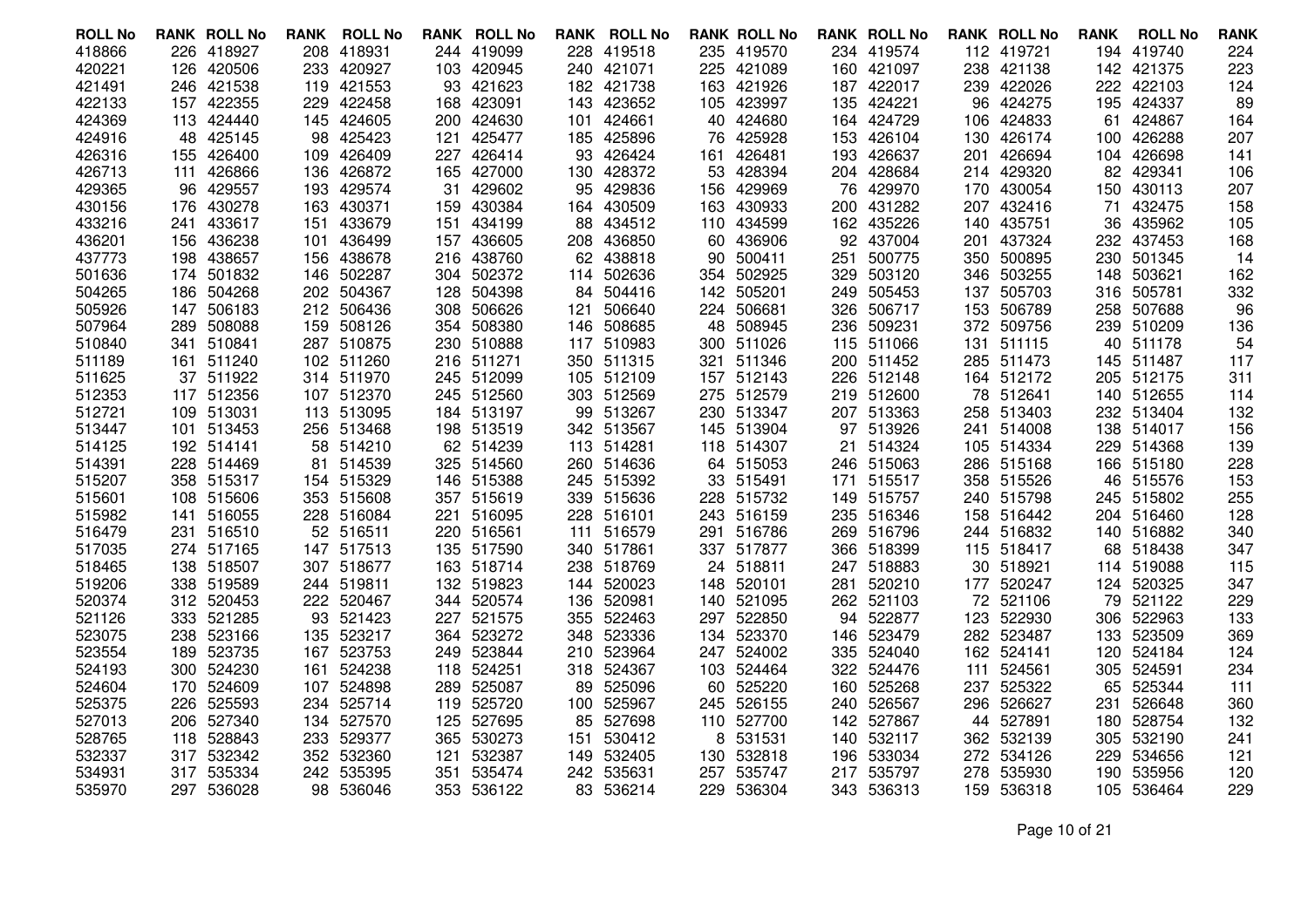| <b>ROLL No</b> |     | <b>RANK ROLL No</b> | RANK | <b>ROLL No</b> |     | <b>RANK ROLL No</b> |      | <b>RANK ROLL No</b> |     | <b>RANK ROLL No</b> |     | <b>RANK ROLL No</b> |       | <b>RANK ROLL No</b> | <b>RANK</b> | <b>ROLL No</b> | <b>RANK</b> |
|----------------|-----|---------------------|------|----------------|-----|---------------------|------|---------------------|-----|---------------------|-----|---------------------|-------|---------------------|-------------|----------------|-------------|
| 418866         |     | 226 418927          | 208  | 418931         |     | 244 419099          |      | 228 419518          | 235 | 419570              |     | 234 419574          |       | 112 419721          |             | 194 419740     | 224         |
| 420221         |     | 126 420506          | 233  | 420927         | 103 | 420945              |      | 240 421071          | 225 | 421089              |     | 160 421097          | 238   | 421138              |             | 142 421375     | 223         |
| 421491         |     | 246 421538          | 119  | 421553         | 93  | 421623              |      | 182 421738          | 163 | 421926              | 187 | 422017              |       | 239 422026          | 222         | 422103         | 124         |
| 422133         |     | 157 422355          | 229  | 422458         | 168 | 423091              |      | 143 423652          |     | 105 423997          |     | 135 424221          |       | 96 424275           | 195         | 424337         | 89          |
| 424369         |     | 113 424440          | 145  | 424605         | 200 | 424630              | 101  | 424661              | 40  | 424680              | 164 | 424729              | 106   | 424833              | 61          | 424867         | 164         |
| 424916         |     | 48 425145           | 98   | 425423         | 121 | 425477              |      | 185 425896          | 76  | 425928              | 153 | 426104              | 130   | 426174              | 100         | 426288         | 207         |
| 426316         |     | 155 426400          | 109  | 426409         | 227 | 426414              |      | 93 426424           | 161 | 426481              | 193 | 426637              | 201   | 426694              |             | 104 426698     | 141         |
| 426713         | 111 | 426866              | 136  | 426872         | 165 | 427000              | 130  | 428372              | 53  | 428394              |     | 204 428684          |       | 214 429320          | 82          | 429341         | 106         |
| 429365         |     | 96 429557           | 193  | 429574         | 31  | 429602              |      | 95 429836           | 156 | 429969              | 76  | 429970              | 170   | 430054              | 150         | 430113         | 207         |
| 430156         |     | 176 430278          | 163  | 430371         | 159 | 430384              |      | 164 430509          | 163 | 430933              |     | 200 431282          |       | 207 432416          | 71          | 432475         | 158         |
| 433216         | 241 | 433617              | 151  | 433679         | 151 | 434199              |      | 88 434512           |     | 110 434599          |     | 162 435226          | 140   | 435751              | 36          | 435962         | 105         |
| 436201         |     | 156 436238          | 101  | 436499         | 157 | 436605              |      | 208 436850          |     | 60 436906           |     | 92 437004           | 201   | 437324              |             | 232 437453     | 168         |
| 437773         |     | 198 438657          | 156  | 438678         |     | 216 438760          |      | 62 438818           | 90  | 500411              | 251 | 500775              |       | 350 500895          |             | 230 501345     | -14         |
| 501636         | 174 | 501832              | 146  | 502287         | 304 | 502372              | 114  | 502636              |     | 354 502925          | 329 | 503120              |       | 346 503255          | 148         | 503621         | 162         |
| 504265         |     | 186 504268          |      | 202 504367     | 128 | 504398              |      | 84 504416           |     | 142 505201          |     | 249 505453          | 137   | 505703              | 316         | 505781         | 332         |
| 505926         | 147 | 506183              |      | 212 506436     | 308 | 506626              | 121  | 506640              |     | 224 506681          |     | 326 506717          |       | 153 506789          | 258         | 507688         | 96          |
| 507964         |     | 289 508088          | 159  | 508126         | 354 | 508380              | 146  | 508685              |     | 48 508945           | 236 | 509231              |       | 372 509756          |             | 239 510209     | 136         |
| 510840         |     | 341 510841          |      | 287 510875     |     | 230 510888          |      | 117 510983          |     | 300 511026          |     | 115 511066          | 131   | 511115              | 40          | 511178         | 54          |
| 511189         |     | 161 511240          |      | 102 511260     |     | 216 511271          |      | 350 511315          |     | 321 511346          |     | 200 511452          |       | 285 511473          |             | 145 511487     | 117         |
| 511625         |     | 37 511922           |      | 314 511970     | 245 | 512099              |      | 105 512109          |     | 157 512143          | 226 | 512148              |       | 164 512172          | 205         | 512175         | 311         |
| 512353         |     | 117 512356          |      | 107 512370     | 245 | 512560              |      | 303 512569          | 275 | 512579              |     | 219 512600          |       | 78 512641           |             | 140 512655     | 114         |
| 512721         |     | 109 513031          |      | 113 513095     |     | 184 513197          |      | 99 513267           |     | 230 513347          |     | 207 513363          |       | 258 513403          |             | 232 513404     | 132         |
| 513447         |     | 101 513453          |      | 256 513468     | 198 | 513519              |      | 342 513567          |     | 145 513904          | 97  | 513926              |       | 241 514008          |             | 138 514017     | 156         |
| 514125         |     | 192 514141          | 58   | 514210         |     | 62 514239           |      | 113 514281          |     | 118 514307          | 21  | 514324              |       | 105 514334          | 229         | 514368         | 139         |
| 514391         |     | 228 514469          | 81   | 514539         |     | 325 514560          |      | 260 514636          |     | 64 515053           |     | 246 515063          |       | 286 515168          |             | 166 515180     | 228         |
| 515207         |     | 358 515317          |      | 154 515329     | 146 | 515388              |      | 245 515392          |     | 33 515491           | 171 | 515517              |       | 358 515526          | 46          | 515576         | 153         |
| 515601         |     | 108 515606          |      | 353 515608     | 357 | 515619              |      | 339 515636          | 228 | 515732              |     | 149 515757          |       | 240 515798          | 245         | 515802         | 255         |
| 515982         |     | 141 516055          |      | 228 516084     | 221 | 516095              |      | 228 516101          |     | 243 516159          |     | 235 516346          |       | 158 516442          |             | 204 516460     | 128         |
| 516479         |     | 231 516510          |      | 52 516511      |     | 220 516561          | 111  | 516579              | 291 | 516786              | 269 | 516796              |       | 244 516832          |             | 140 516882     | 340         |
| 517035         |     | 274 517165          | 147  | 517513         | 135 | 517590              |      | 340 517861          |     | 337 517877          | 366 | 518399              |       | 115 518417          | 68          | 518438         | 347         |
| 518465         |     | 138 518507          |      | 307 518677     |     | 163 518714          |      | 238 518769          |     | 24 518811           |     | 247 518883          |       | 30 518921           | 114         | 519088         | 115         |
| 519206         |     | 338 519589          |      | 244 519811     | 132 | 519823              | 144  | 520023              |     | 148 520101          | 281 | 520210              |       | 177 520247          | 124         | 520325         | 347         |
| 520374         |     | 312 520453          |      | 222 520467     | 344 | 520574              | 136  | 520981              |     | 140 521095          |     | 262 521103          |       | 72 521106           | 79          | 521122         | 229         |
| 521126         |     | 333 521285          | 93   | 521423         |     | 227 521575          |      | 355 522463          |     | 297 522850          | 94  | 522877              |       | 123 522930          |             | 306 522963     | 133         |
| 523075         |     | 238 523166          |      | 135 523217     | 364 | 523272              |      | 348 523336          |     | 134 523370          | 146 | 523479              |       | 282 523487          |             | 133 523509     | 369         |
| 523554         |     | 189 523735          | 167  | 523753         | 249 | 523844              | 210. | 523964              |     | 247 524002          | 335 | 524040              |       | 162 524141          | 120         | 524184         | 124         |
| 524193         |     | 300 524230          | 161  | 524238         | 118 | 524251              |      | 318 524367          |     | 103 524464          |     | 322 524476          | 111   | 524561              | 305         | 524591         | 234         |
| 524604         |     | 170 524609          | 107  | 524898         | 289 | 525087              | 89.  | 525096              |     | 60 525220           | 160 | 525268              | 237 - | 525322              | 65          | 525344         | 111         |
| 525375         |     | 226 525593          |      | 234 525714     | 119 | 525720              | 100  | 525967              |     | 245 526155          |     | 240 526567          | 296   | 526627              | 231         | 526648         | 360         |
| 527013         |     | 206 527340          | 134  | 527570         | 125 | 527695              |      | 85 527698           |     | 110 527700          |     | 142 527867          |       | 44 527891           | 180         | 528754         | 132         |
| 528765         |     | 118 528843          |      | 233 529377     | 365 | 530273              | 151  | 530412              | 8   | 531531              | 140 | 532117              |       | 362 532139          | 305         | 532190         | 241         |
| 532337         |     | 317 532342          |      | 352 532360     | 121 | 532387              |      | 149 532405          | 130 | 532818              | 196 | 533034              |       | 272 534126          | 229         | 534656         | 121         |
| 534931         |     | 317 535334          |      | 242 535395     | 351 | 535474              |      | 242 535631          | 257 | 535747              | 217 | 535797              |       | 278 535930          | 190         | 535956         | 120         |
| 535970         |     | 297 536028          |      | 98 536046      | 353 | 536122              |      | 83 536214           |     | 229 536304          |     | 343 536313          |       | 159 536318          |             | 105 536464     | 229         |

Page 10 of 21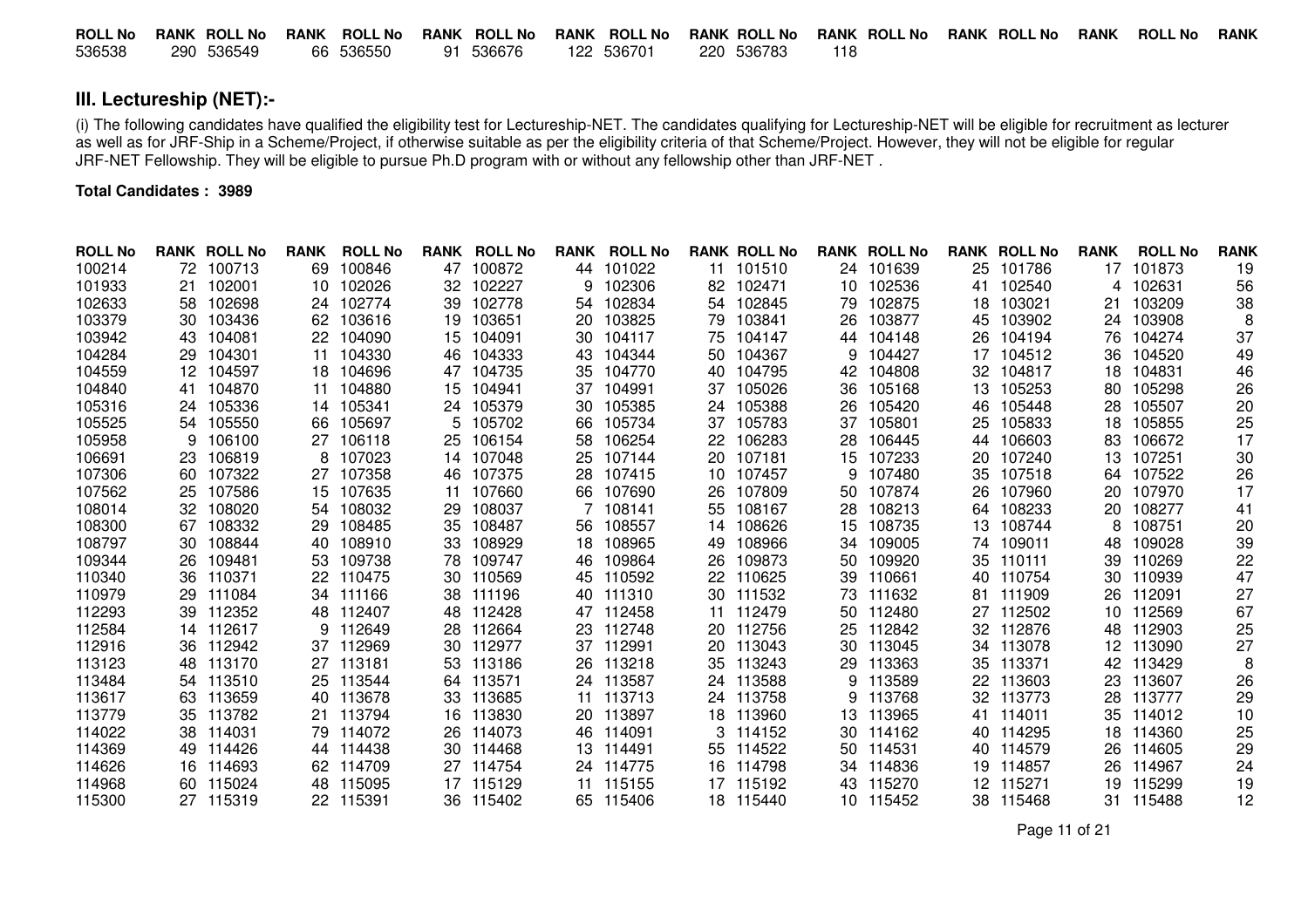| <b>ROLL No</b> | <b>RANK ROLL No</b> | <b>ROLL No</b><br>RANK | RANK ROLL No | RANK ROLL No | RANK ROLL No | RANK ROLL No RANK ROLL No RANK | <b>ROLL No</b> | RANK |
|----------------|---------------------|------------------------|--------------|--------------|--------------|--------------------------------|----------------|------|
| 536538         | 290 536549          | 66 536550              | 91 536676    | 122 536701   | 220 536783   |                                |                |      |

# **III. Lectureship (NET):-**

(i) The following candidates have qualified the eligibility test for Lectureship-NET. The candidates qualifying for Lectureship-NET will be eligible for recruitment as lecturer as well as for JRF-Ship in a Scheme/Project, if otherwise suitable as per the eligibility criteria of that Scheme/Project. However, they will not be eligible for regular JRF-NET Fellowship. They will be eligible to pursue Ph.D program with or without any fellowship other than JRF-NET .

### **Total Candidates : 3989**

| <b>ROLL No</b> |                   | <b>RANK ROLL No</b> | <b>RANK</b> | <b>ROLL No</b> | <b>RANK</b> | <b>ROLL No</b> | <b>RANK</b> | <b>ROLL No</b> |    | <b>RANK ROLL No</b> |    | <b>RANK ROLL No</b> |     | <b>RANK ROLL No</b> | <b>RANK</b> | <b>ROLL No</b> | <b>RANK</b> |
|----------------|-------------------|---------------------|-------------|----------------|-------------|----------------|-------------|----------------|----|---------------------|----|---------------------|-----|---------------------|-------------|----------------|-------------|
| 100214         | 72                | 100713              | 69          | 100846         | 47          | 100872         |             | 44 101022      |    | 11 101510           |    | 24 101639           |     | 25 101786           | 17          | 101873         | 19          |
| 101933         | 21                | 102001              | 10          | 102026         | 32          | 102227         | 9           | 102306         | 82 | 102471              | 10 | 102536              | 41  | 102540              |             | 102631         | 56          |
| 102633         | 58                | 102698              | 24          | 102774         | 39          | 102778         | 54          | 102834         | 54 | 102845              | 79 | 102875              | 18  | 103021              |             | 103209         | 38          |
| 103379         | 30                | 103436              | 62          | 103616         | 19          | 103651         | 20          | 103825         | 79 | 103841              | 26 | 103877              | 45  | 103902              | 24          | 103908         |             |
| 103942         | 43                | 104081              | 22          | 104090         | 15          | 104091         | 30          | 104117         | 75 | 104147              | 44 | 104148              | 26  | 104194              | 76          | 104274         | 37          |
| 104284         | 29                | 104301              | 11          | 104330         | 46          | 104333         | 43          | 104344         | 50 | 104367              | 9  | 104427              | 17  | 104512              | 36          | 104520         | 49          |
| 104559         | $12 \overline{ }$ | 104597              | 18          | 104696         | 47          | 104735         | 35          | 104770         | 40 | 104795              | 42 | 104808              | 32  | 104817              | 18          | 104831         | 46          |
| 104840         | 41                | 104870              | 11          | 104880         | 15          | 104941         | 37          | 104991         | 37 | 105026              | 36 | 105168              | 13  | 105253              | 80          | 105298         | 26          |
| 105316         | 24                | 105336              | 14          | 105341         |             | 24 105379      | 30          | 105385         |    | 24 105388           | 26 | 105420              | 46. | 105448              | 28          | 105507         | 20          |
| 105525         | 54                | 105550              | 66          | 105697         | 5.          | 105702         | 66          | 105734         | 37 | 105783              | 37 | 105801              | 25  | 105833              | 18          | 105855         | 25          |
| 105958         | 9                 | 106100              | 27          | 106118         | 25          | 106154         | 58          | 106254         | 22 | 106283              | 28 | 106445              | 44  | 106603              | 83          | 106672         | 17          |
| 106691         | 23                | 106819              |             | 107023         | 14          | 107048         | 25          | 107144         | 20 | 107181              | 15 | 107233              | 20  | 107240              | 13          | 107251         | 30          |
| 107306         | -60               | 107322              | 27          | 107358         | 46          | 107375         | 28          | 107415         | 10 | 107457              | 9  | 107480              | 35  | 107518              | 64          | 107522         | 26          |
| 107562         | 25                | 107586              | 15          | 107635         | 11          | 107660         | 66          | 107690         | 26 | 107809              | 50 | 107874              | 26  | 107960              | 20          | 107970         | 17          |
| 108014         | 32                | 108020              | 54          | 108032         | 29          | 108037         |             | 108141         | 55 | 108167              | 28 | 108213              | 64. | 108233              | 20          | 108277         | 41          |
| 108300         | 67                | 108332              | 29          | 108485         | 35          | 108487         | 56          | 108557         | 14 | 108626              | 15 | 108735              | 13. | 108744              |             | 108751         | 20          |
| 108797         | 30                | 108844              | 40          | 108910         | 33          | 108929         | 18          | 108965         | 49 | 108966              | 34 | 109005              | 74  | 109011              | 48          | 109028         | 39          |
| 109344         | 26                | 109481              | 53          | 109738         | 78          | 109747         | 46          | 109864         | 26 | 109873              | 50 | 109920              | 35  | 110111              | 39          | 110269         | 22          |
| 110340         | 36                | 110371              | 22          | 110475         | 30          | 110569         | 45          | 110592         | 22 | 110625              | 39 | 110661              | 40  | 110754              | 30          | 110939         | 47          |
| 110979         | 29                | 111084              | 34          | 111166         | 38          | 111196         | 40          | 111310         | 30 | 111532              | 73 | 111632              | 81  | 111909              | 26          | 112091         | 27          |
| 112293         | 39                | 112352              | 48          | 112407         | 48          | 112428         | 47          | 112458         | 11 | 112479              | 50 | 112480              | 27  | 112502              | 10          | 112569         | 67          |
| 112584         |                   | 14 112617           | 9           | 112649         | 28          | 112664         | 23.         | 112748         | 20 | 112756              | 25 | 112842              | 32  | 112876              | 48          | 112903         | 25          |
| 112916         | 36                | 112942              | 37          | 112969         | 30          | 112977         | 37          | 112991         | 20 | 113043              | 30 | 113045              | 34  | 113078              | 12          | 113090         | 27          |
| 113123         | 48                | 113170              | 27          | 113181         | 53          | 113186         | 26          | 113218         | 35 | 113243              | 29 | 113363              | 35  | 113371              | 42          | 113429         | 8           |
| 113484         | 54                | 113510              | 25          | 113544         | 64          | 113571         | 24          | 113587         |    | 24 113588           | 9  | 113589              | 22  | 113603              | 23          | 113607         | 26          |
| 113617         | 63                | 113659              | 40          | 113678         | 33          | 113685         |             | 11 113713      |    | 24 113758           | 9  | 113768              | 32  | 113773              | 28          | 113777         | 29          |
| 113779         | 35                | 113782              | 21          | 113794         | 16          | 113830         | 20          | 113897         | 18 | 113960              | 13 | 113965              | 41  | 114011              | 35          | 114012         | 10          |
| 114022         | 38                | 114031              | 79          | 114072         | 26          | 114073         | 46          | 114091         | 3  | 114152              | 30 | 114162              | 40  | 114295              | 18          | 114360         | 25          |
| 114369         | 49                | 114426              | 44          | 114438         | 30          | 114468         | 13.         | 114491         | 55 | 114522              | 50 | 114531              | 40  | 114579              | 26          | 114605         | 29          |
| 114626         | 16                | 114693              | 62          | 114709         | 27          | 114754         |             | 24 114775      | 16 | 114798              | 34 | 114836              | 19  | 114857              | 26          | 114967         | 24          |
| 114968         | 60                | 115024              | 48          | 115095         |             | 17 115129      | 11          | 115155         |    | 17 115192           | 43 | 115270              | 12. | 115271              | 19          | 115299         | 19          |
| 115300         |                   | 27 115319           | 22          | 115391         |             | 36 115402      |             | 65 115406      |    | 18 115440           |    | 10 115452           |     | 38 115468           |             | 31 115488      | 12          |

Page 11 of 21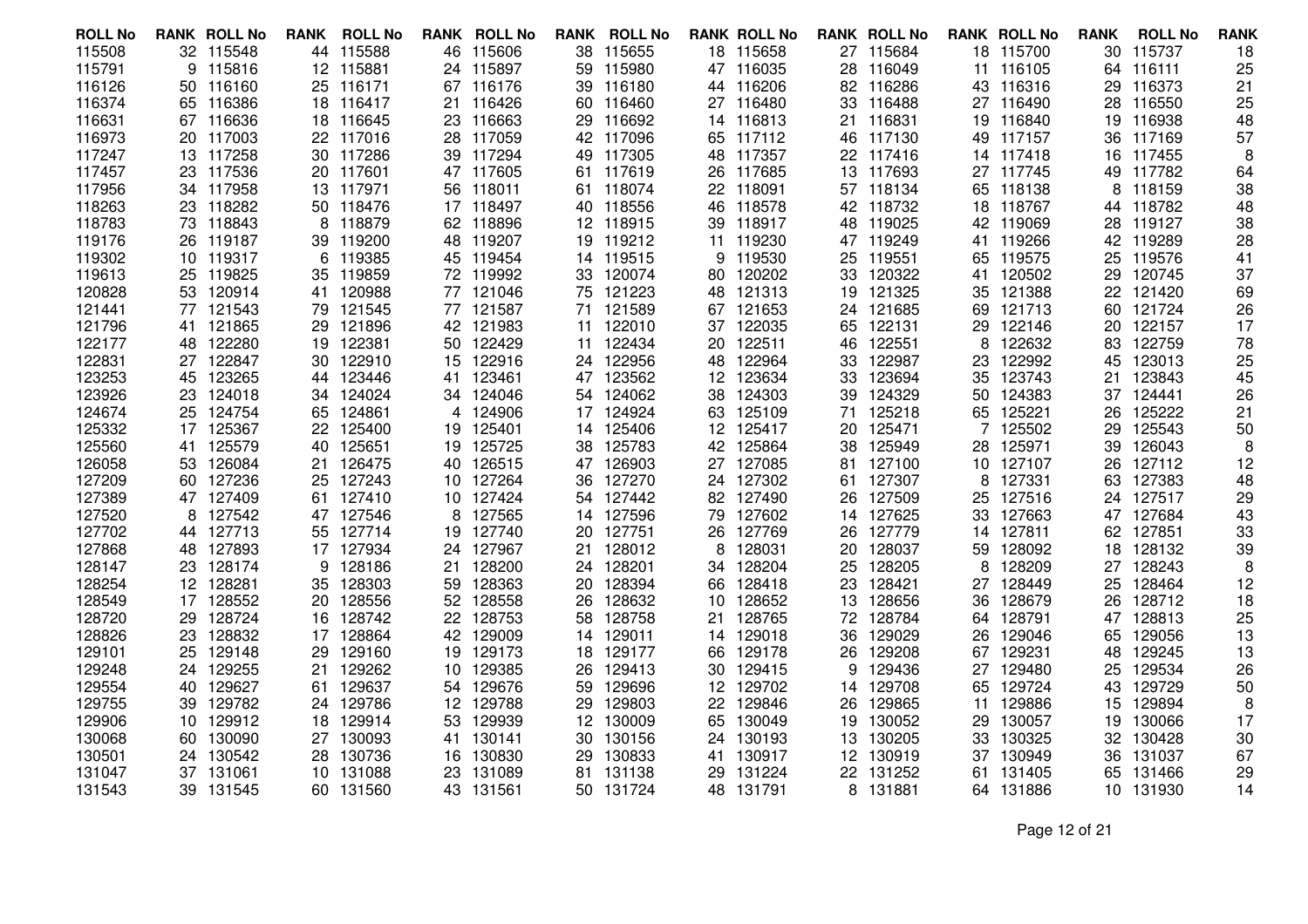| <b>ROLL No</b>   | <b>RANK ROLL No</b>       | <b>RANK</b> | <b>ROLL No</b>   |     | <b>RANK ROLL No</b> |          | <b>RANK ROLL No</b>    |     | <b>RANK ROLL No</b> |     | <b>RANK ROLL No</b>    |          | <b>RANK ROLL No</b> | <b>RANK</b> | <b>ROLL No</b>   | <b>RANK</b> |
|------------------|---------------------------|-------------|------------------|-----|---------------------|----------|------------------------|-----|---------------------|-----|------------------------|----------|---------------------|-------------|------------------|-------------|
| 115508           | 32 115548                 |             | 44 115588        |     | 46 115606           |          | 38 115655              |     | 18 115658           |     | 27 115684              |          | 18 115700           |             | 30 115737        | 18          |
| 115791           | 115816<br>9               | 12          | 115881           |     | 24 115897           | 59       | 115980                 |     | 47 116035           |     | 28 116049              | 11       | 116105              |             | 64 116111        | 25          |
| 116126           | 50 116160                 |             | 25 116171        |     | 67 116176           |          | 39 116180              |     | 44 116206           |     | 82 116286              | 43       | 116316              |             | 29 116373        | 21          |
| 116374           | 65 116386                 |             | 18 116417        | 21  | 116426              |          | 60 116460              |     | 27 116480           |     | 33 116488              |          | 27 116490           |             | 28 116550        | 25          |
| 116631           | 67 116636                 | 18          | 116645           | 23  | 116663              | 29       | 116692                 |     | 14 116813           | 21. | 116831                 | 19       | 116840              | 19          | 116938           | 48          |
| 116973           | 20 117003                 |             | 22 117016        |     | 28 117059           |          | 42 117096              |     | 65 117112           |     | 46 117130              | 49       | 117157              |             | 36 117169        | 57          |
| 117247           | 13 117258                 |             | 30 117286        |     | 39 117294           |          | 49 117305              |     | 48 117357           |     | 22 117416              |          | 14 117418           |             | 16 117455        | 8           |
| 117457           | 117536<br>23              | 20          | 117601           |     | 47 117605           |          | 61 117619              | 26  | 117685              |     | 13 117693              |          | 27 117745           | 49          | 117782           | 64          |
| 117956           | 34 117958                 |             | 13 117971        | 56  | 118011              |          | 61 118074              |     | 22 118091           |     | 57 118134              | 65       | 118138              |             | 8 118159         | 38          |
| 118263           | 23 118282                 | 50          | 118476           |     | 17 118497           |          | 40 118556              |     | 46 118578           |     | 42 118732              |          | 18 118767           |             | 44 118782        | 48          |
| 118783           | 118843<br>73              | 8           | 118879           |     | 62 118896           |          | 12 118915              | 39  | 118917              |     | 48 119025              | 42       | 119069              |             | 28 119127        | 38          |
| 119176           | 26 119187                 | 39          | 119200           | 48  | 119207              | 19       | 119212                 |     | 11 119230           |     | 47 119249              | 41       | 119266              |             | 42 119289        | 28          |
| 119302           | 10 119317                 | 6           | 119385           |     | 45 119454           |          | 14 119515              | 9   | 119530              |     | 25 119551              |          | 65 119575           | 25          | 119576           | 41          |
| 119613           | 119825<br>25              | 35          | 119859           |     | 72 119992           | 33       | 120074                 |     | 80 120202           | 33  | 120322                 | 41       | 120502              | 29          | 120745           | 37          |
| 120828           | 53 120914                 | 41          | 120988           |     | 77 121046           |          | 75 121223              |     | 48 121313           |     | 19 121325              | 35       | 121388              |             | 22 121420        | 69          |
| 121441           | 77 121543                 | 79          | 121545           |     | 77 121587           |          | 71 121589              |     | 67 121653           |     | 24 121685              | 69.      | 121713              |             | 60 121724        | 26          |
| 121796           | 121865<br>41              | 29          | 121896           | 42  | 121983              | 11       | 122010                 |     | 37 122035           |     | 65 122131              | 29       | 122146              | 20          | 122157           | 17          |
| 122177           | 122280<br>48              | 19          | 122381           | 50  | 122429              |          | 11 122434              |     | 20 122511           | 46  | 122551                 | 8        | 122632              | 83          | 122759           | 78          |
| 122831           | 27 122847                 | 30          | 122910           |     | 15 122916           |          | 24 122956              |     | 48 122964           |     | 33 122987              | 23.      | 122992              | 45          | 123013           | 25          |
| 123253           | 123265<br>45              | 44          | 123446           | 41  | 123461              |          | 47 123562              | 12  | 123634              |     | 33 123694              | 35       | 123743              | 21          | 123843           | 45          |
| 123926           | 23 124018                 | 34          | 124024           | 34  | 124046              |          | 54 124062              |     | 38 124303           | 39  | 124329                 | 50       | 124383              |             | 37 124441        | 26          |
| 124674           | 25 124754                 | 65          | 124861           | 4   | 124906              |          | 17 124924              |     | 63 125109           |     | 71 125218              |          | 65 125221           | 26          | 125222           | 21          |
| 125332           | 125367<br>17              | 22          | 125400           | 19  | 125401              |          | 14 125406              | 12  | 125417              |     | 20 125471              |          | 125502              | 29          | 125543           | 50          |
| 125560           | 125579<br>41              | 40          | 125651           | 19  | 125725              | 38       | 125783                 |     | 42 125864           | 38  | 125949                 | 28       | 125971              | 39          | 126043           | 8           |
| 126058           | 53 126084                 | 21          | 126475           |     | 40 126515           |          | 47 126903              |     | 27 127085           |     | 81 127100              |          | 10 127107           | 26          | 127112           | 12          |
| 127209           | 60 127236                 | 25          | 127243           | 10  | 127264              | 36       | 127270                 |     | 24 127302           |     | 61 127307              | 8        | 127331              | 63          | 127383           | 48          |
| 127389           | 47 127409                 | 61          | 127410           | 10  | 127424              |          | 54 127442              |     | 82 127490           | 26  | 127509                 | 25       | 127516              |             | 24 127517        | 29          |
| 127520           | 8<br>127542               |             | 47 127546        | 8   | 127565              |          | 14 127596              | 79  | 127602              |     | 14 127625              |          | 33 127663           |             | 47 127684        | 43          |
| 127702           | 127713<br>44              | 55          | 127714           | 19  | 127740              | 20       | 127751                 | 26  | 127769              | 26  | 127779                 | 14       | 127811              | 62          | 127851           | 33          |
| 127868           | 127893<br>48              | 17          | 127934           | 24  | 127967              | 21       | 128012                 | 8   | 128031              | 20  | 128037                 | 59       | 128092              | 18          | 128132           | 39          |
| 128147           | 23 128174                 | 9           | 128186           | 21  | 128200              |          | 24 128201              |     | 34 128204           |     | 25 128205              | 8        | 128209              |             | 27 128243        | 8           |
| 128254           | 12 128281                 | 35          | 128303           | 59  | 128363              | 20       | 128394                 | 66  | 128418              | 23  | 128421                 |          | 27 128449           | 25          | 128464           | 12          |
| 128549           | 17 128552                 | 20          | 128556           | 52  | 128558              | 26       | 128632                 | 10  | 128652              | 13  | 128656                 | 36       | 128679              | 26          | 128712           | 18          |
| 128720           | 29 128724                 | 16          | 128742           |     | 22 128753           | 58       | 128758                 |     | 21 128765           |     | 72 128784              |          | 64 128791           |             | 47 128813        | 25          |
| 128826           | 128832<br>23              | 17          | 128864           | 42  | 129009              | 14       | 129011                 |     | 14 129018           | 36  | 129029                 | 26       | 129046              | 65          | 129056           | 13          |
| 129101           | 129148<br>25              | 29          | 129160           | 19  | 129173              | 18       | 129177                 | 66  | 129178              | 26  | 129208                 | 67       | 129231              | 48          | 129245           | 13          |
| 129248           | 24 129255                 | 21.         | 129262           |     | 10 129385<br>129676 | 26       | 129413<br>129696       |     | 30 129415           | 9   | 129436                 | 27       | 129480<br>129724    | 25          | 129534<br>129729 | 26          |
| 129554           | 129627<br>40<br>39 129782 | 61          | 129637           | 54  |                     | 59       |                        | 12  | 129702              |     | 14 129708              | 65       |                     | 43          | 129894           | 50          |
| 129755           |                           |             | 24 129786        |     | 12 129788           | 29       | 129803                 |     | 22 129846           | 26  | 129865                 | 11       | 129886              | 15          |                  | 8           |
| 129906           | 10 129912                 | 18          | 129914           | 53. | 129939              |          | 12 130009              | 65  | 130049              |     | 19 130052<br>13 130205 | 29.      | 130057<br>130325    | 19          | 130066<br>130428 | 17          |
| 130068<br>130501 | 60 130090<br>24 130542    | 27          | 130093<br>130736 | 41  | 130141<br>130830    | 30<br>29 | 130156<br>130833       | 24  | 130193<br>130917    |     | 12 130919              | 33<br>37 | 130949              | 32<br>36    | 131037           | 30<br>67    |
|                  | 37 131061                 | 28          |                  | 16  |                     |          |                        | 41  |                     |     |                        |          |                     |             | 131466           |             |
| 131047           |                           |             | 10 131088        | 23  | 131089              |          | 81 131138<br>50 131724 | 29. | 131224              |     | 22 131252              |          | 61 131405           | 65          |                  | 29          |
| 131543           | 39 131545                 |             | 60 131560        |     | 43 131561           |          |                        |     | 48 131791           |     | 8 131881               |          | 64 131886           |             | 10 131930        | 14          |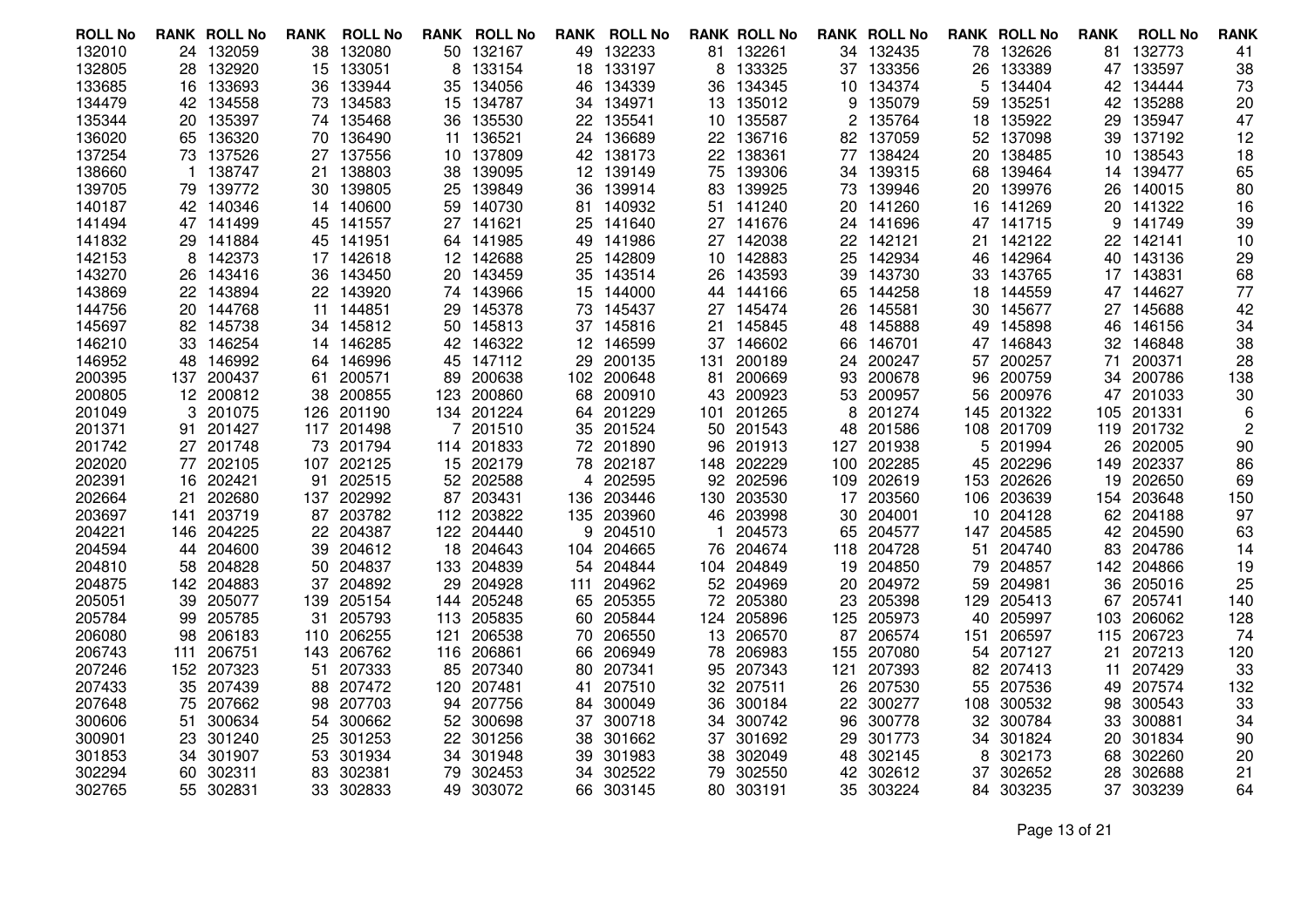| <b>ROLL No</b> |     | <b>RANK ROLL No</b> | RANK | <b>ROLL No</b> |     | <b>RANK ROLL No</b> |     | <b>RANK ROLL No</b> |     | <b>RANK ROLL No</b> |     | <b>RANK ROLL No</b> |      | <b>RANK ROLL No</b> | <b>RANK</b> | <b>ROLL No</b> | <b>RANK</b> |
|----------------|-----|---------------------|------|----------------|-----|---------------------|-----|---------------------|-----|---------------------|-----|---------------------|------|---------------------|-------------|----------------|-------------|
| 132010         |     | 24 132059           | 38   | 132080         | 50  | 132167              |     | 49 132233           |     | 81 132261           |     | 34 132435           | 78   | 132626              | 81          | 132773         | 41          |
| 132805         | 28  | 132920              | 15   | 133051         | 8   | 133154              | 18  | 133197              | 8   | 133325              |     | 37 133356           | 26   | 133389              | 47          | 133597         | 38          |
| 133685         | 16  | 133693              | 36   | 133944         | 35  | 134056              | 46  | 134339              | 36  | 134345              | 10  | 134374              | 5    | 134404              | 42          | 134444         | 73          |
| 134479         |     | 42 134558           | 73   | 134583         |     | 15 134787           |     | 34 134971           |     | 13 135012           | 9   | 135079              | 59   | 135251              |             | 42 135288      | 20          |
| 135344         | 20  | 135397              | 74   | 135468         | 36  | 135530              | 22  | 135541              | 10  | 135587              | 2   | 135764              | 18   | 135922              | 29          | 135947         | 47          |
| 136020         |     | 65 136320           | 70   | 136490         | 11  | 136521              |     | 24 136689           | 22  | 136716              | 82  | 137059              | 52   | 137098              | 39          | 137192         | 12          |
| 137254         |     | 73 137526           | 27   | 137556         | 10  | 137809              |     | 42 138173           |     | 22 138361           | 77  | 138424              | 20   | 138485              |             | 10 138543      | 18          |
| 138660         |     | 138747              | 21   | 138803         | 38  | 139095              | 12  | 139149              | 75  | 139306              | 34  | 139315              | 68   | 139464              | 14          | 139477         | 65          |
| 139705         | 79  | 139772              | 30   | 139805         | 25  | 139849              | 36  | 139914              | 83  | 139925              | 73  | 139946              | 20   | 139976              | 26          | 140015         | 80          |
| 140187         |     | 42 140346           | 14   | 140600         | 59  | 140730              |     | 81 140932           |     | 51 141240           |     | 20 141260           |      | 16 141269           |             | 20 141322      | 16          |
| 141494         |     | 47 141499           | 45   | 141557         | 27  | 141621              | 25  | 141640              |     | 27 141676           | 24. | 141696              |      | 47 141715           | 9           | 141749         | 39          |
| 141832         |     | 29 141884           | 45   | 141951         | 64  | 141985              | 49  | 141986              |     | 27 142038           | 22  | 142121              | 21.  | 142122              | 22          | 142141         | 10          |
| 142153         | 8   | 142373              | 17   | 142618         |     | 12 142688           |     | 25 142809           |     | 10 142883           | 25  | 142934              |      | 46 142964           |             | 40 143136      | 29          |
| 143270         | 26  | 143416              | 36   | 143450         | 20  | 143459              | 35  | 143514              | 26  | 143593              | 39  | 143730              | 33   | 143765              | 17          | 143831         | 68          |
| 143869         |     | 22 143894           | 22   | 143920         | 74  | 143966              | 15  | 144000              |     | 44 144166           | 65  | 144258              | 18   | 144559              | 47          | 144627         | 77          |
| 144756         |     | 20 144768           | 11   | 144851         | 29  | 145378              |     | 73 145437           |     | 27 145474           | 26  | 145581              | 30   | 145677              |             | 27 145688      | 42          |
| 145697         |     | 82 145738           | 34   | 145812         | 50  | 145813              |     | 37 145816           | 21  | 145845              | 48  | 145888              | 49   | 145898              | 46          | 146156         | 34          |
| 146210         | 33  | 146254              | 14   | 146285         | 42  | 146322              |     | 12 146599           | 37  | 146602              | 66  | 146701              | 47   | 146843              | 32          | 146848         | 38          |
| 146952         | 48  | 146992              | 64.  | 146996         | 45  | 147112              | 29  | 200135              | 131 | 200189              | 24  | 200247              | 57   | 200257              | 71          | 200371         | 28          |
| 200395         | 137 | 200437              | 61   | 200571         | 89  | 200638              |     | 102 200648          | 81  | 200669              | 93  | 200678              | 96   | 200759              | 34          | 200786         | 138         |
| 200805         |     | 12 200812           | 38   | 200855         | 123 | 200860              | 68  | 200910              | 43  | 200923              | 53  | 200957              | 56   | 200976              | 47          | 201033         | 30          |
| 201049         | 3   | 201075              | 126  | 201190         | 134 | 201224              |     | 64 201229           |     | 101 201265          | 8   | 201274              | 145  | 201322              | 105         | 201331         | 6           |
| 201371         | 91  | 201427              |      | 117 201498     |     | 201510              |     | 35 201524           | 50  | 201543              | 48  | 201586              | 108  | 201709              |             | 119 201732     | 2           |
| 201742         |     | 27 201748           | 73   | 201794         | 114 | 201833              |     | 72 201890           | 96  | 201913              | 127 | 201938              | 5    | 201994              | 26          | 202005         | 90          |
| 202020         | 77  | 202105              | 107  | 202125         |     | 15 202179           |     | 78 202187           | 148 | 202229              | 100 | 202285              | 45   | 202296              | 149         | 202337         | 86          |
| 202391         | 16  | 202421              | 91   | 202515         | 52  | 202588              | 4   | 202595              |     | 92 202596           | 109 | 202619              | 153  | 202626              | 19          | 202650         | 69          |
| 202664         | 21  | 202680              | 137  | 202992         | 87  | 203431              |     | 136 203446          | 130 | 203530              | 17  | 203560              | 106. | 203639              | 154         | 203648         | 150         |
| 203697         | 141 | 203719              | 87   | 203782         |     | 112 203822          |     | 135 203960          | 46  | 203998              | 30  | 204001              |      | 10 204128           | 62          | 204188         | 97          |
| 204221         |     | 146 204225          | 22   | 204387         | 122 | 204440              | 9   | 204510              |     | 204573              | 65  | 204577              |      | 147 204585          | 42          | 204590         | 63          |
| 204594         | 44  | 204600              | 39   | 204612         | 18  | 204643              | 104 | 204665              | 76  | 204674              | 118 | 204728              | 51   | 204740              | 83          | 204786         | 14          |
| 204810         |     | 58 204828           | 50   | 204837         | 133 | 204839              |     | 54 204844           | 104 | 204849              | 19  | 204850              | 79   | 204857              | 142         | 204866         | 19          |
| 204875         |     | 142 204883          | 37   | 204892         | 29  | 204928              | 111 | 204962              |     | 52 204969           | 20  | 204972              | 59   | 204981              | 36          | 205016         | 25          |
| 205051         | 39  | 205077              | 139  | 205154         | 144 | 205248              |     | 65 205355           | 72  | 205380              | 23  | 205398              | 129  | 205413              | 67          | 205741         | 140         |
| 205784         | 99  | 205785              | 31   | 205793         | 113 | 205835              |     | 60 205844           | 124 | 205896              | 125 | 205973              | 40   | 205997              | 103         | 206062         | 128         |
| 206080         | 98  | 206183              | 110  | 206255         | 121 | 206538              | 70  | 206550              |     | 13 206570           | 87  | 206574              | 151  | 206597              | 115         | 206723         | 74          |
| 206743         | 111 | 206751              | 143  | 206762         | 116 | 206861              | 66  | 206949              | 78  | 206983              | 155 | 207080              | 54   | 207127              | 21          | 207213         | 120         |
| 207246         |     | 152 207323          | 51   | 207333         | 85  | 207340              | 80. | 207341              | 95  | 207343              | 121 | 207393              | 82.  | 207413              | 11          | 207429         | 33          |
| 207433         | 35  | 207439              | 88   | 207472         | 120 | 207481              | 41  | 207510              |     | 32 207511           | 26  | 207530              | 55   | 207536              | 49          | 207574         | 132         |
| 207648         | 75  | 207662              | 98   | 207703         | 94  | 207756              | 84  | 300049              | 36  | 300184              | 22  | 300277              | 108  | 300532              | 98          | 300543         | 33          |
| 300606         | 51  | 300634              | 54   | 300662         | 52  | 300698              | 37  | 300718              | 34  | 300742              | 96  | 300778              | 32   | 300784              | 33          | 300881         | 34          |
| 300901         | 23  | 301240              | 25   | 301253         | 22  | 301256              | 38  | 301662              | 37  | 301692              | 29  | 301773              | 34   | 301824              | 20          | 301834         | 90          |
| 301853         | 34  | 301907              | 53   | 301934         | 34  | 301948              | 39  | 301983              | 38  | 302049              | 48  | 302145              | 8    | 302173              | 68          | 302260         | 20          |
| 302294         | 60  | 302311              | 83   | 302381         | 79  | 302453              | 34  | 302522              | 79  | 302550              | 42  | 302612              | 37   | 302652              | 28          | 302688         | 21          |
| 302765         |     | 55 302831           | 33   | 302833         | 49. | 303072              |     | 66 303145           |     | 80 303191           | 35  | 303224              | 84   | 303235              |             | 37 303239      | 64          |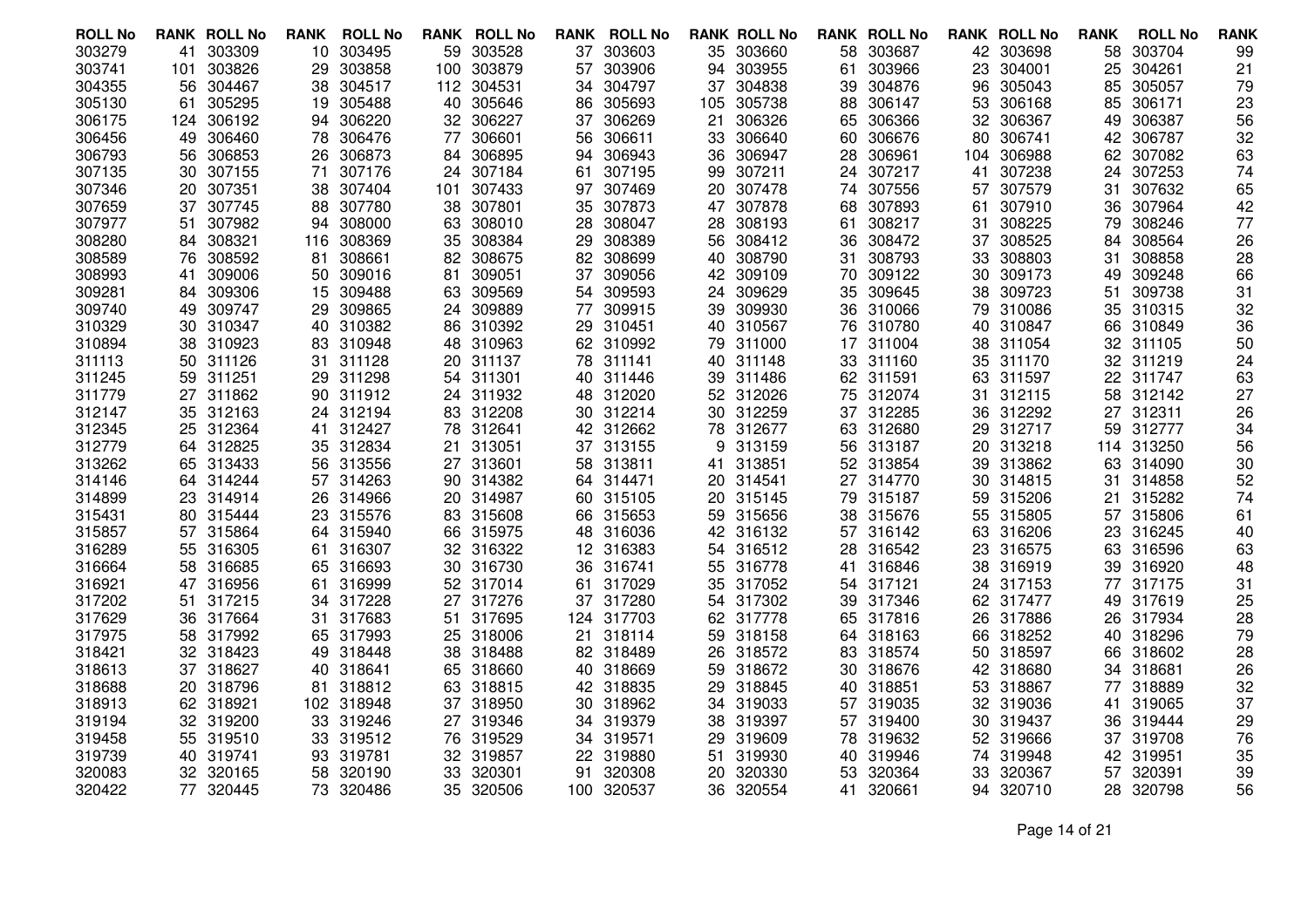| <b>ROLL No</b>   |     | <b>RANK ROLL No</b> | <b>RANK</b> | <b>ROLL No</b>      | RANK | <b>ROLL No</b>      |     | <b>RANK ROLL No</b> |     | <b>RANK ROLL No</b>    |     | <b>RANK ROLL No</b>    |     | <b>RANK ROLL No</b>    | <b>RANK</b> | <b>ROLL No</b>   | <b>RANK</b> |
|------------------|-----|---------------------|-------------|---------------------|------|---------------------|-----|---------------------|-----|------------------------|-----|------------------------|-----|------------------------|-------------|------------------|-------------|
| 303279           | 41  | 303309              | 10          | 303495              | 59   | 303528              |     | 37 303603           |     | 35 303660              | 58  | 303687                 |     | 42 303698              | 58          | 303704           | 99          |
| 303741           | 101 | 303826              | 29          | 303858              | 100  | 303879              | 57  | 303906              | 94  | 303955                 | 61  | 303966                 | 23  | 304001                 | 25          | 304261           | 21          |
| 304355           | 56  | 304467              | 38          | 304517              | 112  | 304531              | 34  | 304797              |     | 37 304838              | 39  | 304876                 | 96  | 305043                 | 85          | 305057           | 79          |
| 305130           | 61  | 305295              | 19          | 305488              | 40   | 305646              | 86  | 305693              |     | 105 305738             | 88  | 306147                 | 53  | 306168                 | 85          | 306171           | 23          |
| 306175           | 124 | 306192              | 94          | 306220              | 32   | 306227              | 37  | 306269              | 21  | 306326                 | 65  | 306366                 | 32  | 306367                 | 49          | 306387           | 56          |
| 306456           | 49  | 306460              | 78          | 306476              | 77   | 306601              | 56  | 306611              | 33  | 306640                 | 60  | 306676                 | 80  | 306741                 | 42          | 306787           | 32          |
| 306793           | 56  | 306853              | 26          | 306873              | 84   | 306895              | 94  | 306943              | 36  | 306947                 | 28  | 306961                 | 104 | 306988                 | 62          | 307082           | 63          |
| 307135           | 30  | 307155              | 71          | 307176              | 24   | 307184              | 61  | 307195              | 99  | 307211                 | 24  | 307217                 | 41  | 307238                 | 24          | 307253           | 74          |
| 307346           | 20  | 307351              | 38          | 307404              | 101  | 307433              | 97  | 307469              |     | 20 307478              | 74  | 307556                 | 57  | 307579                 | 31          | 307632           | 65          |
| 307659           | 37  | 307745              | 88          | 307780              | 38   | 307801              | 35  | 307873              |     | 47 307878              | 68  | 307893                 | 61  | 307910                 | 36          | 307964           | 42          |
| 307977           | 51  | 307982              | 94          | 308000              | 63   | 308010              | 28. | 308047              | 28  | 308193                 | 61  | 308217                 | 31  | 308225                 | 79          | 308246           | 77          |
| 308280           |     | 84 308321           | 116         | 308369              | 35   | 308384              | 29  | 308389              |     | 56 308412              | 36. | 308472                 | 37  | 308525                 | 84          | 308564           | 26          |
| 308589           | 76  | 308592              | 81          | 308661              | 82   | 308675              | 82  | 308699              | 40  | 308790                 | 31  | 308793                 | 33  | 308803                 | 31          | 308858           | 28          |
| 308993           | 41  | 309006              | 50          | 309016              | 81   | 309051              | 37  | 309056              |     | 42 309109              | 70  | 309122                 | 30  | 309173                 | 49          | 309248           | 66          |
| 309281           | 84  | 309306              | 15          | 309488              | 63   | 309569              |     | 54 309593           | 24  | 309629                 | 35  | 309645                 | 38  | 309723                 | 51          | 309738           | 31          |
| 309740           | 49. | 309747              | 29          | 309865              | 24   | 309889              | 77  | 309915              |     | 39 309930              |     | 36 310066              |     | 79 310086              | 35          | 310315           | 32          |
| 310329           | 30  | 310347              |             | 40 310382           | 86   | 310392              | 29. | 310451              |     | 40 310567              |     | 76 310780              | 40  | 310847                 | 66          | 310849           | 36          |
| 310894           | 38  | 310923              | 83          | 310948              | 48   | 310963              |     | 62 310992           | 79  | 311000                 |     | 17 311004              |     | 38 311054              | 32          | 311105           | 50          |
| 311113           | 50  | 311126              | 31.         | 311128              | 20   | 311137              |     | 78 311141           |     | 40 311148              |     | 33 311160              |     | 35 311170              | 32          | 311219           | 24          |
| 311245           | 59  | 311251              | 29          | 311298              | 54   | 311301              |     | 40 311446           |     | 39 311486              |     | 62 311591              | 63  | 311597                 | 22          | 311747           | 63          |
| 311779           |     | 27 311862           | 90          | 311912              |      | 24 311932           |     | 48 312020           |     | 52 312026              |     | 75 312074              | 31  | 312115                 | 58          | 312142           | 27          |
| 312147           |     | 35 312163           | 24          | 312194              |      | 83 312208           |     | 30 312214           |     | 30 312259              |     | 37 312285              |     | 36 312292              | 27          | 312311           | 26          |
| 312345           | 25  | 312364              | 41          | 312427              | 78   | 312641              | 42  | 312662              |     | 78 312677              |     | 63 312680              | 29. | 312717                 | 59          | 312777           | 34          |
| 312779           |     | 64 312825           | 35          | 312834              | 21   | 313051              |     | 37 313155           | 9   | 313159                 |     | 56 313187              | 20  | 313218                 | 114         | 313250           | 56          |
| 313262           |     | 65 313433           | 56          | 313556              | 27   | 313601              |     | 58 313811           | 41  | 313851                 |     | 52 313854              | 39  | 313862                 | 63          | 314090           | 30          |
| 314146           | 64. | 314244              | 57          | 314263              | 90   | 314382              |     | 64 314471           |     | 20 314541              | 27  | 314770                 | 30  | 314815                 | 31          | 314858           | 52          |
| 314899           | 23  | 314914              | 26          | 314966              | 20   | 314987              |     | 60 315105           |     | 20 315145              |     | 79 315187              | 59. | 315206                 | 21          | 315282           | 74          |
| 315431           |     | 80 315444           |             | 23 315576           | 83.  | 315608              |     | 66 315653           |     | 59 315656              |     | 38 315676              |     | 55 315805              |             | 57 315806        | 61          |
| 315857           |     | 57 315864           | 64          | 315940              | 66   | 315975              |     | 48 316036           |     | 42 316132              |     | 57 316142              |     | 63 316206              | 23          | 316245           | 40          |
| 316289           | 55  | 316305              | 61          | 316307              | 32   | 316322              |     | 12 316383           |     | 54 316512              | 28  | 316542                 | 23  | 316575                 | 63          | 316596           | 63          |
| 316664           | 58  | 316685              | 65          | 316693              | 30   | 316730              |     | 36 316741           |     | 55 316778              | 41  | 316846                 |     | 38 316919              | 39          | 316920           | 48          |
| 316921           | 47  | 316956              | 61          | 316999              | 52   | 317014              | 61. | 317029              |     | 35 317052              | 54  | 317121                 | 24  | 317153                 | 77          | 317175           | 31          |
| 317202           | 51  | 317215              | 34          | 317228              | 27   | 317276              |     | 37 317280           |     | 54 317302              | 39  | 317346                 |     | 62 317477              | 49          | 317619           | 25          |
| 317629           |     | 36 317664           |             | 31 317683           | 51   | 317695              |     | 124 317703          |     | 62 317778              |     | 65 317816              |     | 26 317886              | 26          | 317934           | 28          |
| 317975           | 58  | 317992              | 65          | 317993              | 25   | 318006              | 21  | 318114              |     | 59 318158              | 64  | 318163                 |     | 66 318252              |             | 40 318296        | 79          |
| 318421           |     | 32 318423           | 49          | 318448              | 38   | 318488              |     | 82 318489           | 26  | 318572                 | 83  | 318574                 | 50  | 318597                 | 66          | 318602           | 28          |
| 318613           |     | 37 318627           | 40.         | 318641              |      | 65 318660           |     | 40 318669           | 59. | 318672                 |     | 30 318676              |     | 42 318680              | 34          | 318681           | 26          |
| 318688           | 20  | 318796              | 81          | 318812              | 63   | 318815              |     | 42 318835           | 29  | 318845                 |     | 40 318851              |     | 53 318867              | 77          | 318889           | 32          |
| 318913           |     | 62 318921           |             | 102 318948          | 37   | 318950              |     | 30 318962           |     | 34 319033              |     | 57 319035              |     | 32 319036              | 41          | 319065           | 37          |
| 319194           |     | 32 319200           |             | 33 319246<br>319512 |      | 27 319346<br>319529 |     | 34 319379           | 38  | 319397                 |     | 57 319400<br>78 319632 |     | 30 319437              | 36          | 319444<br>319708 | 29          |
| 319458<br>319739 | 55  | 319510<br>40 319741 | 33          | 319781              | 76   | 319857              | 34  | 319571<br>319880    | 29  | 319609<br>319930       |     | 319946                 |     | 52 319666<br>74 319948 | 37          | 319951           | 76<br>35    |
| 320083           |     | 32 320165           | 93          |                     | 32.  |                     | 22  |                     | 51  |                        | 40  |                        |     |                        | 42          | 320391           |             |
|                  |     |                     | 58          | 320190              | 33   | 320301              | 91  | 320308              |     | 20 320330<br>36 320554 | 53  | 320364                 |     | 33 320367              | 57          | 320798           | 39          |
| 320422           |     | 77 320445           |             | 73 320486           | 35   | 320506              |     | 100 320537          |     |                        | 41  | 320661                 |     | 94 320710              | 28          |                  | 56          |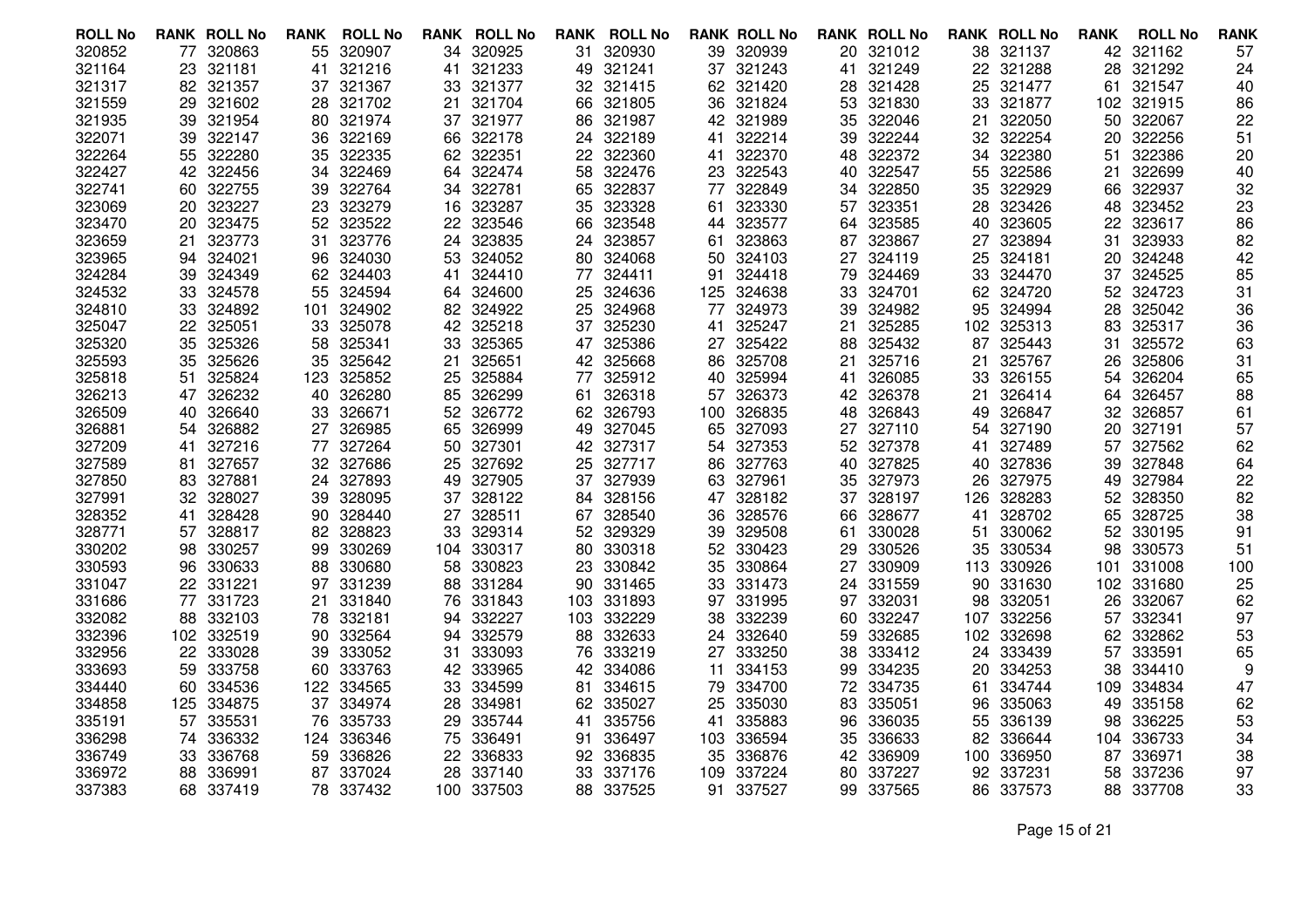| <b>ROLL No</b> |     | <b>RANK ROLL No</b> | <b>RANK</b> | <b>ROLL No</b> | RANK | <b>ROLL No</b> |     | <b>RANK ROLL No</b> |     | <b>RANK ROLL No</b> |     | <b>RANK ROLL No</b> |      | <b>RANK ROLL No</b> | <b>RANK</b> | <b>ROLL No</b> | <b>RANK</b> |
|----------------|-----|---------------------|-------------|----------------|------|----------------|-----|---------------------|-----|---------------------|-----|---------------------|------|---------------------|-------------|----------------|-------------|
| 320852         | 77  | 320863              | 55          | 320907         | 34   | 320925         | 31. | 320930              | 39  | 320939              | 20. | 321012              |      | 38 321137           | 42          | 321162         | 57          |
| 321164         | 23  | 321181              | 41          | 321216         | 41   | 321233         | 49  | 321241              |     | 37 321243           | 41  | 321249              | 22   | 321288              | 28          | 321292         | 24          |
| 321317         | 82  | 321357              | 37          | 321367         | 33   | 321377         |     | 32 321415           |     | 62 321420           | 28  | 321428              | 25   | 321477              | 61          | 321547         | 40          |
| 321559         | 29  | 321602              | 28          | 321702         | 21   | 321704         |     | 66 321805           | 36  | 321824              |     | 53 321830           | 33   | 321877              | 102         | 321915         | 86          |
| 321935         | 39  | 321954              | 80          | 321974         | 37   | 321977         | 86  | 321987              |     | 42 321989           | 35  | 322046              | 21   | 322050              | 50          | 322067         | 22          |
| 322071         | 39  | 322147              | 36          | 322169         | 66   | 322178         |     | 24 322189           | 41  | 322214              | 39  | 322244              | 32   | 322254              | 20          | 322256         | 51          |
| 322264         | 55  | 322280              | 35          | 322335         | 62.  | 322351         | 22  | 322360              | 41  | 322370              | 48  | 322372              | 34   | 322380              | 51          | 322386         | 20          |
| 322427         | 42  | 322456              | 34          | 322469         | 64   | 322474         | 58  | 322476              | 23  | 322543              | 40  | 322547              | 55   | 322586              | 21          | 322699         | 40          |
| 322741         | 60  | 322755              | 39          | 322764         | 34   | 322781         | 65  | 322837              | 77  | 322849              | 34  | 322850              | 35   | 322929              | 66          | 322937         | 32          |
| 323069         | 20  | 323227              | 23          | 323279         | 16   | 323287         | 35  | 323328              |     | 61 323330           | 57  | 323351              | 28   | 323426              | 48          | 323452         | 23          |
| 323470         | 20  | 323475              | 52          | 323522         | 22   | 323546         | 66  | 323548              |     | 44 323577           | 64  | 323585              | 40   | 323605              | 22          | 323617         | 86          |
| 323659         | 21  | 323773              | 31          | 323776         | 24   | 323835         |     | 24 323857           | 61. | 323863              | 87  | 323867              | 27   | 323894              | 31          | 323933         | 82          |
| 323965         | 94  | 324021              | 96          | 324030         | 53   | 324052         |     | 80 324068           | 50  | 324103              | 27  | 324119              | 25   | 324181              | 20          | 324248         | 42          |
| 324284         | 39  | 324349              | 62          | 324403         | 41   | 324410         | 77  | 324411              | 91  | 324418              | 79  | 324469              | 33   | 324470              | 37          | 324525         | 85          |
| 324532         | 33  | 324578              | 55          | 324594         | 64   | 324600         |     | 25 324636           | 125 | 324638              | 33  | 324701              | 62   | 324720              |             | 52 324723      | 31          |
| 324810         | 33  | 324892              | 101         | 324902         | 82.  | 324922         | 25  | 324968              | 77  | 324973              | 39  | 324982              | 95   | 324994              | 28          | 325042         | 36          |
| 325047         | 22  | 325051              | 33          | 325078         | 42   | 325218         | 37  | 325230              | 41  | 325247              | 21  | 325285              |      | 102 325313          | 83          | 325317         | 36          |
| 325320         | 35  | 325326              | 58          | 325341         | 33   | 325365         |     | 47 325386           |     | 27 325422           | 88  | 325432              | 87   | 325443              | 31          | 325572         | 63          |
| 325593         | 35  | 325626              | 35          | 325642         | 21   | 325651         |     | 42 325668           |     | 86 325708           | 21  | 325716              | 21   | 325767              | 26          | 325806         | 31          |
| 325818         | 51  | 325824              | 123         | 325852         | 25   | 325884         | 77  | 325912              |     | 40 325994           | 41  | 326085              | 33   | 326155              | 54          | 326204         | 65          |
| 326213         | 47  | 326232              | 40          | 326280         | 85   | 326299         | 61  | 326318              |     | 57 326373           |     | 42 326378           | 21   | 326414              | 64          | 326457         | 88          |
| 326509         | 40. | 326640              | 33          | 326671         | 52   | 326772         |     | 62 326793           |     | 100 326835          | 48  | 326843              | 49   | 326847              | 32          | 326857         | 61          |
| 326881         | 54  | 326882              | 27          | 326985         | 65   | 326999         | 49  | 327045              | 65  | 327093              | 27  | 327110              | 54   | 327190              | 20          | 327191         | 57          |
| 327209         | 41  | 327216              | 77          | 327264         | 50   | 327301         |     | 42 327317           |     | 54 327353           | 52  | 327378              | 41   | 327489              | 57          | 327562         | 62          |
| 327589         | 81. | 327657              | 32.         | 327686         | 25   | 327692         | 25. | 327717              | 86  | 327763              | 40  | 327825              | 40   | 327836              | 39          | 327848         | 64          |
| 327850         | 83  | 327881              | 24          | 327893         | 49   | 327905         | 37  | 327939              | 63  | 327961              | 35  | 327973              | 26   | 327975              | 49          | 327984         | 22          |
| 327991         | 32  | 328027              | 39          | 328095         | 37   | 328122         | 84  | 328156              |     | 47 328182           | 37  | 328197              | 126. | 328283              | 52          | 328350         | 82          |
| 328352         | 41  | 328428              | 90          | 328440         | 27   | 328511         |     | 67 328540           |     | 36 328576           |     | 66 328677           | 41   | 328702              | 65          | 328725         | 38          |
| 328771         | 57  | 328817              | 82          | 328823         | 33   | 329314         | 52  | 329329              | 39  | 329508              | 61  | 330028              | 51   | 330062              | 52          | 330195         | 91          |
| 330202         | 98  | 330257              | 99          | 330269         | 104  | 330317         | 80  | 330318              |     | 52 330423           | 29  | 330526              | 35   | 330534              | 98          | 330573         | 51          |
| 330593         | 96  | 330633              | 88          | 330680         | 58   | 330823         | 23  | 330842              | 35  | 330864              | 27  | 330909              |      | 113 330926          | 101         | 331008         | 100         |
| 331047         |     | 22 331221           | 97          | 331239         | 88   | 331284         | 90  | 331465              | 33  | 331473              | 24  | 331559              | 90   | 331630              | 102         | 331680         | 25          |
| 331686         | 77  | 331723              | 21          | 331840         | 76   | 331843         |     | 103 331893          |     | 97 331995           | 97  | 332031              | 98   | 332051              | 26          | 332067         | 62          |
| 332082         |     | 88 332103           | 78.         | 332181         | 94   | 332227         |     | 103 332229          | 38  | 332239              | 60. | 332247              | 107. | 332256              | 57          | 332341         | 97          |
| 332396         |     | 102 332519          | 90          | 332564         | 94   | 332579         | 88  | 332633              |     | 24 332640           | 59  | 332685              |      | 102 332698          | 62          | 332862         | 53          |
| 332956         | 22  | 333028              | 39          | 333052         | 31   | 333093         | 76  | 333219              |     | 27 333250           | 38  | 333412              | 24   | 333439              | 57          | 333591         | 65          |
| 333693         | 59  | 333758              | 60          | 333763         | 42   | 333965         |     | 42 334086           |     | 11 334153           | 99  | 334235              | 20   | 334253              | 38          | 334410         | 9           |
| 334440         | 60  | 334536              | 122         | 334565         | 33   | 334599         | 81  | 334615              | 79  | 334700              |     | 72 334735           | 61   | 334744              | 109         | 334834         | 47          |
| 334858         | 125 | 334875              | 37          | 334974         | 28   | 334981         |     | 62 335027           | 25  | 335030              | 83  | 335051              | 96   | 335063              | 49          | 335158         | 62          |
| 335191         | 57  | 335531              | 76          | 335733         | 29   | 335744         | 41  | 335756              | 41  | 335883              | 96  | 336035              | 55   | 336139              | 98          | 336225         | 53          |
| 336298         | 74. | 336332              | 124         | 336346         | 75   | 336491         | 91. | 336497              |     | 103 336594          | 35  | 336633              | 82.  | 336644              | 104         | 336733         | 34          |
| 336749         | 33  | 336768              | 59          | 336826         | 22   | 336833         |     | 92 336835           | 35  | 336876              | 42. | 336909              | 100  | 336950              | 87          | 336971         | 38          |
| 336972         | 88  | 336991              | 87.         | 337024         | 28   | 337140         |     | 33 337176           | 109 | 337224              | 80  | 337227              |      | 92 337231           | 58          | 337236         | 97          |
| 337383         |     | 68 337419           | 78.         | 337432         | 100  | 337503         | 88  | 337525              | 91  | 337527              | 99  | 337565              |      | 86 337573           | 88          | 337708         | 33          |

Page 15 of 21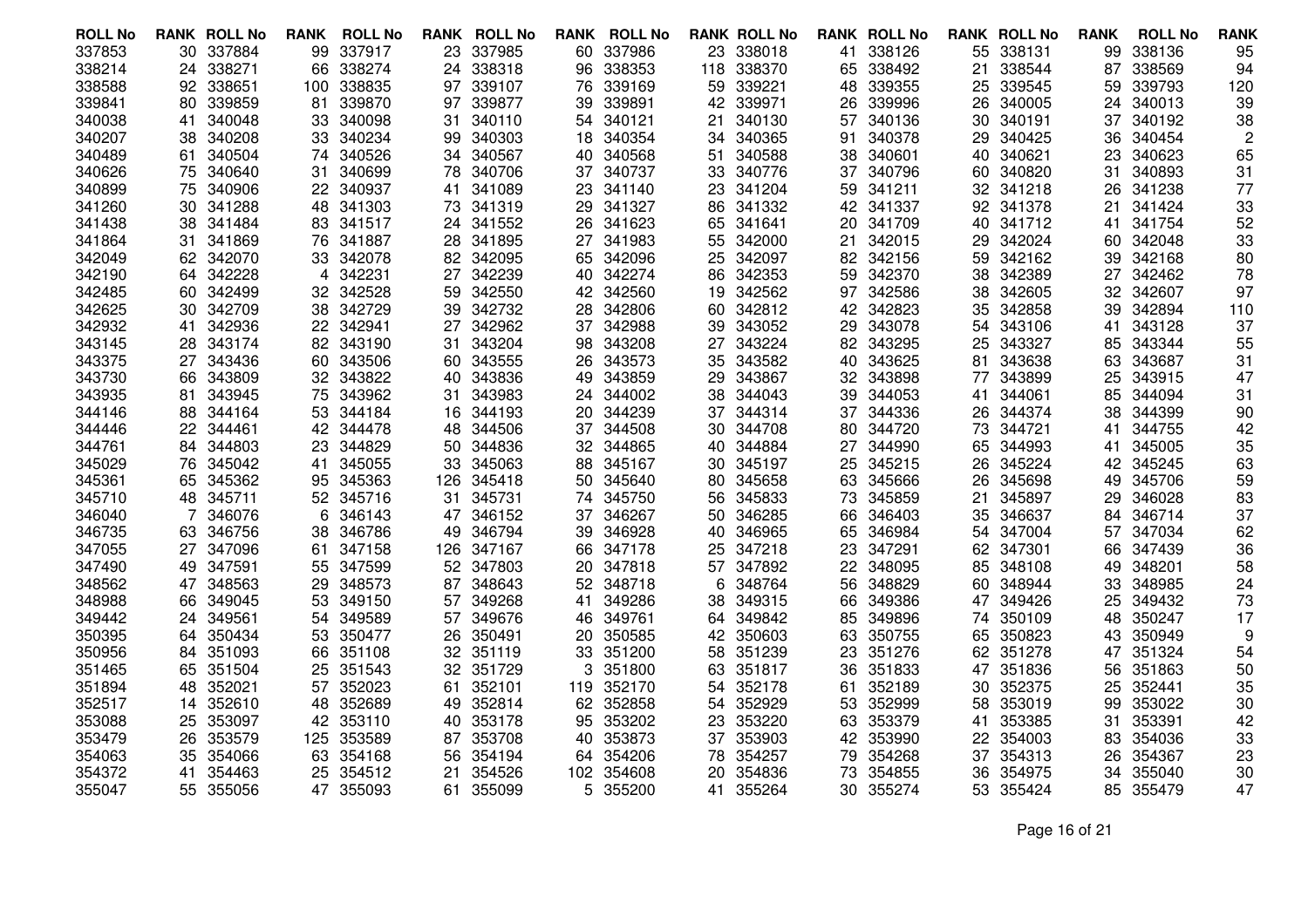| <b>ROLL No</b>   |     | <b>RANK ROLL No</b> | <b>RANK</b> | <b>ROLL No</b>   | <b>RANK</b> | <b>ROLL No</b>   |     | <b>RANK ROLL No</b> |          | <b>RANK ROLL No</b> |          | <b>RANK ROLL No</b> |          | <b>RANK ROLL No</b> | <b>RANK</b> | <b>ROLL No</b>   | <b>RANK</b> |
|------------------|-----|---------------------|-------------|------------------|-------------|------------------|-----|---------------------|----------|---------------------|----------|---------------------|----------|---------------------|-------------|------------------|-------------|
| 337853           |     | 30 337884           | 99          | 337917           | 23.         | 337985           |     | 60 337986           |          | 23 338018           |          | 41 338126           |          | 55 338131           | 99          | 338136           | 95          |
| 338214           | 24  | 338271              | 66          | 338274           | 24          | 338318           | 96  | 338353              |          | 118 338370          | 65       | 338492              | 21       | 338544              | 87          | 338569           | 94          |
| 338588           | 92  | 338651              | 100         | 338835           | 97          | 339107           | 76  | 339169              | 59       | 339221              | 48       | 339355              |          | 25 339545           | 59          | 339793           | 120         |
| 339841           | 80  | 339859              | 81          | 339870           | 97          | 339877           | 39. | 339891              |          | 42 339971           |          | 26 339996           | 26       | 340005              | 24          | 340013           | 39          |
| 340038           | 41  | 340048              | 33          | 340098           | 31          | 340110           | 54  | 340121              | 21       | 340130              | 57       | 340136              | 30       | 340191              | 37          | 340192           | 38          |
| 340207           | 38  | 340208              | 33          | 340234           | 99          | 340303           |     | 18 340354           |          | 34 340365           | 91       | 340378              | 29       | 340425              | 36          | 340454           | 2           |
| 340489           | 61. | 340504              | 74          | 340526           | 34          | 340567           |     | 40 340568           | 51       | 340588              | 38       | 340601              | 40       | 340621              | 23          | 340623           | 65          |
| 340626           | 75  | 340640              | 31          | 340699           | 78          | 340706           |     | 37 340737           | 33       | 340776              | 37       | 340796              | 60       | 340820              | 31          | 340893           | 31          |
| 340899           | 75  | 340906              |             | 22 340937        | 41          | 341089           |     | 23 341140           |          | 23 341204           | 59       | 341211              |          | 32 341218           | 26          | 341238           | 77          |
| 341260           |     | 30 341288           | 48          | 341303           | 73.         | 341319           |     | 29 341327           | 86       | 341332              |          | 42 341337           |          | 92 341378           | 21          | 341424           | 33          |
| 341438           | 38  | 341484              | 83          | 341517           | 24          | 341552           | 26  | 341623              | 65       | 341641              | 20       | 341709              | 40       | 341712              | 41          | 341754           | 52          |
| 341864           | 31. | 341869              | 76          | 341887           | 28          | 341895           |     | 27 341983           | 55       | 342000              | 21       | 342015              | 29       | 342024              | 60          | 342048           | 33          |
| 342049           |     | 62 342070           | 33          | 342078           | 82.         | 342095           |     | 65 342096           | 25       | 342097              |          | 82 342156           | 59.      | 342162              | 39          | 342168           | 80          |
| 342190           | 64. | 342228              | 4           | 342231           | 27          | 342239           |     | 40 342274           | 86       | 342353              | 59       | 342370              | 38       | 342389              | 27          | 342462           | 78          |
| 342485           | 60  | 342499              | 32          | 342528           | 59          | 342550           |     | 42 342560           | 19       | 342562              | 97       | 342586              | 38       | 342605              | 32          | 342607           | 97          |
| 342625           | 30  | 342709              | 38          | 342729           | 39          | 342732           | 28. | 342806              | 60       | 342812              | 42.      | 342823              | 35       | 342858              | 39          | 342894           | 110         |
| 342932           | 41  | 342936              | 22          | 342941           | 27          | 342962           | 37  | 342988              | 39       | 343052              | 29       | 343078              | 54       | 343106              | 41          | 343128           | 37          |
| 343145           | 28  | 343174              | 82          | 343190           | 31          | 343204           |     | 98 343208           |          | 27 343224           |          | 82 343295           | 25       | 343327              | 85          | 343344           | 55          |
| 343375           | 27  | 343436              | 60          | 343506           | 60          | 343555           | 26. | 343573              | 35       | 343582              | 40       | 343625              | 81       | 343638              | 63          | 343687           | 31          |
| 343730           | 66  | 343809              | 32          | 343822           | 40          | 343836           | 49  | 343859              | 29       | 343867              | 32.      | 343898              | 77       | 343899              | 25          | 343915           | 47          |
| 343935           | 81  | 343945              | 75          | 343962           | 31          | 343983           | 24  | 344002              | 38       | 344043              | 39       | 344053              | 41       | 344061              | 85          | 344094           | 31          |
| 344146           | 88  | 344164              | 53          | 344184           | 16          | 344193           |     | 20 344239           | 37       | 344314              | 37       | 344336              | 26       | 344374              | 38          | 344399           | 90          |
| 344446           | 22  | 344461              | 42          | 344478           | 48          | 344506           | 37  | 344508              | 30       | 344708              | 80       | 344720              | 73       | 344721              | 41          | 344755           | 42          |
| 344761           | 84  | 344803              | 23          | 344829           | 50          | 344836           |     | 32 344865           |          | 40 344884           | 27       | 344990              | 65       | 344993              | 41          | 345005           | 35          |
| 345029           | 76  | 345042              | 41          | 345055           | 33          | 345063           |     | 88 345167           | 30       | 345197              | 25       | 345215              | 26       | 345224              | 42          | 345245           | 63          |
| 345361           | 65  | 345362              | 95          | 345363           | 126         | 345418           |     | 50 345640           | 80       | 345658              | 63       | 345666              | 26       | 345698              | 49          | 345706           | 59          |
| 345710           |     | 48 345711           | 52          | 345716           | 31          | 345731           | 74  | 345750              |          | 56 345833           | 73       | 345859              | 21       | 345897              | 29          | 346028           | 83          |
| 346040           |     | 346076              | 6           | 346143           | 47          | 346152           |     | 37 346267           | 50       | 346285              | 66       | 346403              |          | 35 346637           | 84          | 346714           | 37          |
| 346735           | 63  | 346756              | 38          | 346786           | 49          | 346794           | 39  | 346928              | 40       | 346965              | 65       | 346984              | 54       | 347004              | 57          | 347034           | 62          |
| 347055           | 27  | 347096              | 61          | 347158           | 126         | 347167           | 66  | 347178              | 25       | 347218              | 23       | 347291              | 62       | 347301              | 66          | 347439           | 36          |
| 347490           |     | 49 347591           | 55          | 347599           | 52          | 347803           |     | 20 347818           | 57       | 347892              | 22       | 348095              | 85.      | 348108              | 49          | 348201           | 58          |
| 348562           | 47  | 348563              | 29          | 348573           | 87          | 348643           |     | 52 348718           | 6        | 348764              | 56       | 348829              | 60       | 348944              | 33          | 348985           | 24          |
| 348988           | 66  | 349045              | 53          | 349150           | 57          | 349268           | 41  | 349286              | 38       | 349315              | 66       | 349386              | 47       | 349426              | 25          | 349432           | 73          |
| 349442           |     | 24 349561           | 54          | 349589           | 57          | 349676           |     | 46 349761           | 64       | 349842              | 85       | 349896              |          | 74 350109           | 48          | 350247           | 17          |
| 350395           | 64  | 350434              | 53          | 350477           | 26          | 350491           | 20  | 350585              |          | 42 350603           | 63       | 350755              | 65       | 350823              | 43          | 350949           | 9           |
| 350956           | 84  | 351093              | 66          | 351108           | 32          | 351119           | 33  | 351200              | 58       | 351239              | 23       | 351276              | 62       | 351278              | 47          | 351324           | 54          |
| 351465           | 65  | 351504              | 25          | 351543           | 32          | 351729           | 3   | 351800              | 63.      | 351817              | 36       | 351833              | 47       | 351836              | 56          | 351863           | 50          |
| 351894           | 48  | 352021              | 57          | 352023<br>352689 | 61          | 352101           |     | 119 352170          | 54       | 352178              | 61       | 352189              | 30       | 352375              | 25          | 352441<br>353022 | 35          |
| 352517           | 14. | 352610              | 48          |                  | 49          | 352814           |     | 62 352858           |          | 54 352929           | 53       | 352999              | 58       | 353019              | 99          |                  | 30          |
| 353088           | 25  | 353097              | 42          | 353110           | 40          | 353178           |     | 95 353202<br>353873 | 23       | 353220<br>353903    | 63       | 353379              | 41       | 353385              | 31          | 353391           | 42          |
| 353479<br>354063 | 26  | 353579<br>354066    | 125<br>63   | 353589<br>354168 | 87          | 353708<br>354194 | 40  | 64 354206           | 37       | 354257              | 42       | 353990<br>354268    | 22<br>37 | 354003<br>354313    | 83          | 354036<br>354367 | 33<br>23    |
| 354372           | 35  | 354463              | 25          | 354512           | 56<br>21    | 354526           |     | 102 354608          | 78<br>20 | 354836              | 79<br>73 | 354855              | 36       | 354975              | 26<br>34    | 355040           | 30          |
| 355047           | 41  | 55 355056           |             | 47 355093        | 61          | 355099           | 5.  | 355200              |          | 41 355264           | 30-      | 355274              | 53       | 355424              | 85          | 355479           | 47          |
|                  |     |                     |             |                  |             |                  |     |                     |          |                     |          |                     |          |                     |             |                  |             |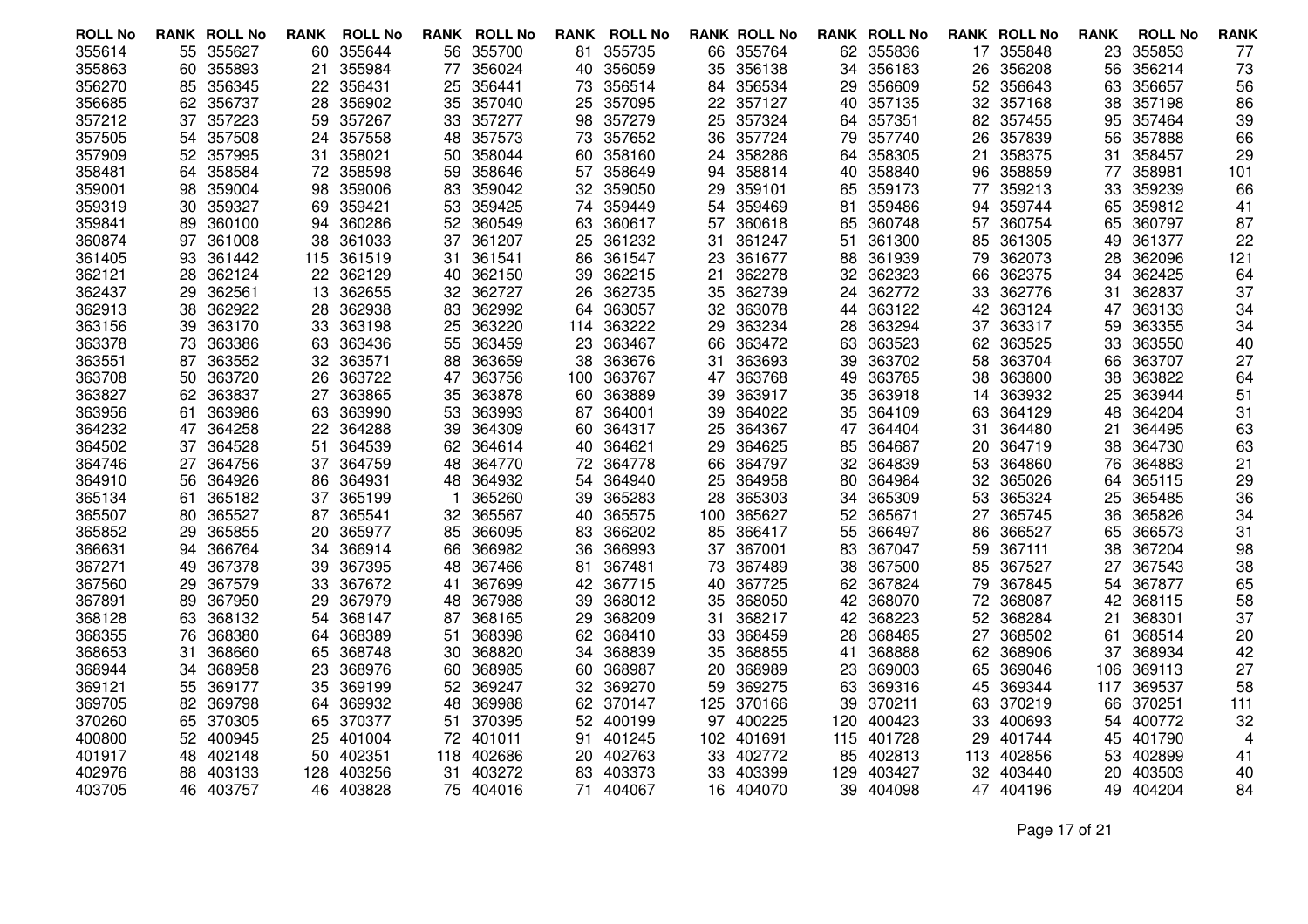| <b>ROLL No</b> |     | <b>RANK ROLL No</b> | <b>RANK</b> | <b>ROLL No</b> | <b>RANK</b> | <b>ROLL No</b> | RANK | <b>ROLL No</b> |     | <b>RANK ROLL No</b> |     | <b>RANK ROLL No</b> |     | <b>RANK ROLL No</b> | <b>RANK</b> | <b>ROLL No</b> | <b>RANK</b> |
|----------------|-----|---------------------|-------------|----------------|-------------|----------------|------|----------------|-----|---------------------|-----|---------------------|-----|---------------------|-------------|----------------|-------------|
| 355614         |     | 55 355627           | 60          | 355644         | 56.         | 355700         |      | 81 355735      |     | 66 355764           |     | 62 355836           |     | 17 355848           | 23          | 355853         | 77          |
| 355863         | 60  | 355893              | 21          | 355984         | 77          | 356024         | 40   | 356059         | 35  | 356138              | 34  | 356183              | 26  | 356208              | 56          | 356214         | 73          |
| 356270         | 85  | 356345              | 22          | 356431         | 25          | 356441         | 73   | 356514         |     | 84 356534           | 29  | 356609              |     | 52 356643           | 63          | 356657         | 56          |
| 356685         | 62  | 356737              | 28          | 356902         | 35          | 357040         | 25   | 357095         |     | 22 357127           | 40  | 357135              |     | 32 357168           | 38          | 357198         | 86          |
| 357212         | 37  | 357223              | 59          | 357267         | 33          | 357277         | 98   | 357279         | 25  | 357324              | 64  | 357351              | 82. | 357455              | 95          | 357464         | 39          |
| 357505         | 54  | 357508              | 24          | 357558         | 48          | 357573         | 73   | 357652         | 36  | 357724              | 79  | 357740              | 26  | 357839              | 56          | 357888         | 66          |
| 357909         | 52  | 357995              | 31          | 358021         | 50          | 358044         |      | 60 358160      | 24  | 358286              | 64  | 358305              | 21  | 358375              | 31          | 358457         | 29          |
| 358481         | 64  | 358584              | 72          | 358598         | 59          | 358646         | 57   | 358649         | 94  | 358814              | 40  | 358840              | 96  | 358859              | 77          | 358981         | 101         |
| 359001         | 98  | 359004              | 98          | 359006         | 83          | 359042         |      | 32 359050      | 29  | 359101              | 65  | 359173              | 77  | 359213              | 33          | 359239         | 66          |
| 359319         | 30  | 359327              | 69          | 359421         | 53          | 359425         |      | 74 359449      | 54  | 359469              | 81  | 359486              | 94  | 359744              | 65          | 359812         | 41          |
| 359841         | 89  | 360100              | 94          | 360286         | 52          | 360549         | 63   | 360617         | 57  | 360618              | 65  | 360748              | 57  | 360754              | 65          | 360797         | 87          |
| 360874         | 97  | 361008              | 38          | 361033         | 37          | 361207         | 25   | 361232         | 31  | 361247              | 51  | 361300              | 85  | 361305              | 49          | 361377         | 22          |
| 361405         | 93  | 361442              | 115         | 361519         | 31          | 361541         | 86   | 361547         | 23  | 361677              | 88  | 361939              | 79  | 362073              | 28          | 362096         | 121         |
| 362121         | 28  | 362124              | 22          | 362129         | 40          | 362150         | 39   | 362215         | 21  | 362278              | 32  | 362323              | 66  | 362375              | 34          | 362425         | 64          |
| 362437         | 29  | 362561              | 13          | 362655         | 32          | 362727         | 26   | 362735         |     | 35 362739           | 24  | 362772              | 33  | 362776              | 31          | 362837         | 37          |
| 362913         | 38  | 362922              | 28          | 362938         | 83          | 362992         | 64   | 363057         | 32  | 363078              | 44  | 363122              | 42  | 363124              | 47          | 363133         | 34          |
| 363156         | 39  | 363170              | 33          | 363198         | 25          | 363220         | 114  | 363222         | 29  | 363234              | 28  | 363294              | 37  | 363317              | 59          | 363355         | 34          |
| 363378         | 73  | 363386              | 63          | 363436         | 55          | 363459         | 23   | 363467         | 66  | 363472              | 63  | 363523              | 62  | 363525              | 33          | 363550         | 40          |
| 363551         | 87  | 363552              | 32          | 363571         | 88          | 363659         | 38   | 363676         | 31  | 363693              | 39  | 363702              | 58  | 363704              | 66          | 363707         | 27          |
| 363708         | 50  | 363720              | 26          | 363722         | 47          | 363756         | 100  | 363767         |     | 47 363768           | 49  | 363785              | 38  | 363800              | 38          | 363822         | 64          |
| 363827         | 62  | 363837              | 27          | 363865         | 35          | 363878         | 60   | 363889         | 39  | 363917              | 35  | 363918              | 14  | 363932              | 25          | 363944         | 51          |
| 363956         | 61  | 363986              | 63          | 363990         | 53          | 363993         | 87   | 364001         | 39  | 364022              | 35  | 364109              | 63  | 364129              | 48          | 364204         | 31          |
| 364232         | 47  | 364258              | 22          | 364288         | 39          | 364309         | 60.  | 364317         | 25  | 364367              | 47  | 364404              | 31  | 364480              | 21          | 364495         | 63          |
| 364502         | 37  | 364528              | 51          | 364539         | 62          | 364614         |      | 40 364621      | 29  | 364625              | 85  | 364687              | 20  | 364719              | 38          | 364730         | 63          |
| 364746         | 27  | 364756              | 37          | 364759         | 48          | 364770         |      | 72 364778      | 66  | 364797              | 32  | 364839              | 53  | 364860              | 76          | 364883         | 21          |
| 364910         | 56  | 364926              | 86          | 364931         | 48          | 364932         | 54   | 364940         | 25  | 364958              | 80  | 364984              | 32. | 365026              | 64          | 365115         | 29          |
| 365134         | 61  | 365182              | 37          | 365199         |             | 365260         | 39   | 365283         | 28  | 365303              | 34  | 365309              | 53  | 365324              | 25          | 365485         | 36          |
| 365507         | 80. | 365527              | 87          | 365541         | 32          | 365567         | 40   | 365575         | 100 | 365627              | 52. | 365671              | 27  | 365745              | 36          | 365826         | 34          |
| 365852         | 29  | 365855              | 20          | 365977         | 85          | 366095         | 83   | 366202         | 85  | 366417              | 55  | 366497              | 86  | 366527              | 65          | 366573         | 31          |
| 366631         | 94  | 366764              | 34          | 366914         | 66          | 366982         | 36   | 366993         | 37  | 367001              | 83  | 367047              | 59  | 367111              | 38          | 367204         | 98          |
| 367271         | 49  | 367378              | 39          | 367395         | 48          | 367466         | 81   | 367481         | 73. | 367489              | 38  | 367500              | 85  | 367527              | 27          | 367543         | 38          |
| 367560         | 29  | 367579              | 33          | 367672         | 41          | 367699         | 42   | 367715         | 40  | 367725              | 62  | 367824              | 79  | 367845              | 54          | 367877         | 65          |
| 367891         | 89  | 367950              | 29          | 367979         | 48          | 367988         | 39   | 368012         |     | 35 368050           | 42  | 368070              | 72  | 368087              | 42          | 368115         | 58          |
| 368128         | 63  | 368132              | 54          | 368147         | 87          | 368165         | 29.  | 368209         | 31  | 368217              | 42  | 368223              | 52  | 368284              | 21          | 368301         | 37          |
| 368355         | 76  | 368380              | 64          | 368389         | 51          | 368398         | 62   | 368410         | 33  | 368459              | 28  | 368485              | 27  | 368502              | 61          | 368514         | 20          |
| 368653         | 31  | 368660              | 65          | 368748         | 30          | 368820         | 34   | 368839         | 35  | 368855              | 41  | 368888              | 62  | 368906              | 37          | 368934         | 42          |
| 368944         | 34  | 368958              | 23          | 368976         | 60          | 368985         | 60   | 368987         | 20  | 368989              | 23  | 369003              | 65  | 369046              | 106         | 369113         | 27          |
| 369121         | 55  | 369177              | 35          | 369199         | 52          | 369247         | 32   | 369270         | 59. | 369275              | 63  | 369316              | 45  | 369344              | 117         | 369537         | 58          |
| 369705         | 82  | 369798              | 64          | 369932         | 48          | 369988         | 62   | 370147         | 125 | 370166              | 39  | 370211              | 63  | 370219              | 66          | 370251         | 111         |
| 370260         | 65  | 370305              | 65          | 370377         | 51          | 370395         |      | 52 400199      | 97  | 400225              | 120 | 400423              | 33  | 400693              | 54          | 400772         | 32          |
| 400800         | 52  | 400945              | 25          | 401004         | 72          | 401011         | 91   | 401245         |     | 102 401691          | 115 | 401728              | 29  | 401744              | 45          | 401790         | 4           |
| 401917         | 48  | 402148              | 50          | 402351         | 118         | 402686         | 20   | 402763         | 33  | 402772              | 85  | 402813              | 113 | 402856              | 53          | 402899         | 41          |
| 402976         | 88  | 403133              | 128         | 403256         | 31          | 403272         |      | 83 403373      | 33  | 403399              | 129 | 403427              | 32  | 403440              | 20          | 403503         | 40          |
| 403705         | 46  | 403757              |             | 46 403828      | 75          | 404016         | 71.  | 404067         |     | 16 404070           | 39  | 404098              |     | 47 404196           |             | 49 404204      | 84          |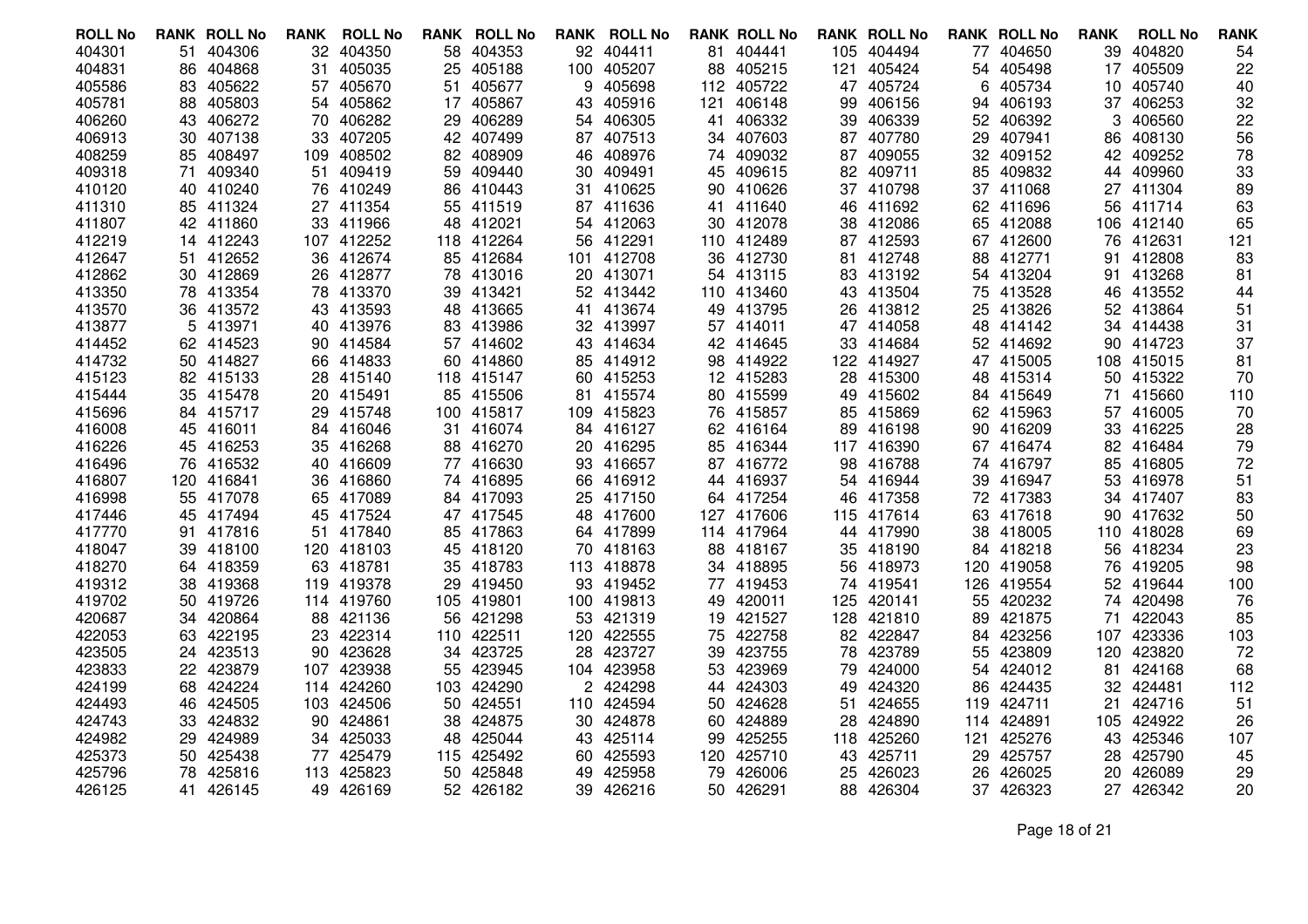| <b>ROLL No</b>   | <b>RANK ROLL No</b> |          | RANK     | <b>ROLL No</b>       | RANK | <b>ROLL No</b>   |     | <b>RANK ROLL No</b>  |           | <b>RANK ROLL No</b> |           | <b>RANK ROLL No</b> |     | <b>RANK ROLL No</b>  | <b>RANK</b> | <b>ROLL No</b>   | <b>RANK</b> |
|------------------|---------------------|----------|----------|----------------------|------|------------------|-----|----------------------|-----------|---------------------|-----------|---------------------|-----|----------------------|-------------|------------------|-------------|
| 404301           | 51                  | 404306   | 32       | 404350               | 58   | 404353           |     | 92 404411            |           | 81 404441           | 105       | 404494              | 77  | 404650               | 39          | 404820           | 54          |
| 404831           | 86                  | 404868   | 31       | 405035               | 25   | 405188           |     | 100 405207           | 88        | 405215              | 121       | 405424              | 54  | 405498               | 17          | 405509           | 22          |
| 405586           | 83                  | 405622   | 57       | 405670               | 51   | 405677           | 9   | 405698               |           | 112 405722          | 47        | 405724              | 6   | 405734               |             | 10 405740        | 40          |
| 405781           | 88                  | 405803   | 54       | 405862               |      | 17 405867        | 43  | 405916               | 121       | 406148              | 99        | 406156              | 94  | 406193               |             | 37 406253        | 32          |
| 406260           | 43                  | 406272   | 70       | 406282               | 29   | 406289           | 54  | 406305               | 41        | 406332              | 39        | 406339              | 52  | 406392               | 3           | 406560           | 22          |
| 406913           | 30                  | 407138   | 33       | 407205               | 42   | 407499           |     | 87 407513            |           | 34 407603           | 87        | 407780              | 29  | 407941               | 86          | 408130           | 56          |
| 408259           | 85 408497           |          | 109      | 408502               | 82   | 408909           | 46  | 408976               |           | 74 409032           | 87        | 409055              | 32  | 409152               | 42          | 409252           | 78          |
| 409318           | 71                  | 409340   | 51       | 409419               | 59   | 409440           | 30  | 409491               | 45        | 409615              | 82        | 409711              | 85  | 409832               | 44          | 409960           | 33          |
| 410120           | 40.                 | 410240   | 76       | 410249               | 86   | 410443           | 31  | 410625               |           | 90 410626           | 37        | 410798              |     | 37 411068            | 27          | 411304           | 89          |
| 411310           | 85 411324           |          |          | 27 411354            |      | 55 411519        |     | 87 411636            |           | 41 411640           |           | 46 411692           |     | 62 411696            | 56          | 411714           | 63          |
| 411807           | 42 411860           |          | 33.      | 411966               | 48   | 412021           |     | 54 412063            | 30 -      | 412078              |           | 38 412086           |     | 65 412088            | 106         | 412140           | 65          |
| 412219           | 14 412243           |          |          | 107 412252           | 118  | 412264           |     | 56 412291            |           | 110 412489          |           | 87 412593           |     | 67 412600            | 76          | 412631           | 121         |
| 412647           | 51 412652           |          | 36       | 412674               |      | 85 412684        |     | 101 412708           |           | 36 412730           |           | 81 412748           |     | 88 412771            | 91          | 412808           | 83          |
| 412862           | 30 412869           |          | 26       | 412877               | 78   | 413016           | 20  | 413071               |           | 54 413115           |           | 83 413192           | 54  | 413204               | 91          | 413268           | 81          |
| 413350           | 78 413354           |          | 78       | 413370               | 39   | 413421           |     | 52 413442            |           | 110 413460          |           | 43 413504           | 75  | 413528               | 46          | 413552           | 44          |
| 413570           | 36 413572           |          | 43       | 413593               |      | 48 413665        |     | 41 413674            |           | 49 413795           |           | 26 413812           |     | 25 413826            |             | 52 413864        | 51          |
| 413877           |                     | 5 413971 | 40       | 413976               | 83   | 413986           |     | 32 413997            |           | 57 414011           |           | 47 414058           | 48  | 414142               |             | 34 414438        | 31          |
| 414452           | 62 414523           |          | 90       | 414584               | 57   | 414602           |     | 43 414634            |           | 42 414645           | 33        | 414684              |     | 52 414692            | 90          | 414723           | 37          |
| 414732           | 50 414827           |          | 66       | 414833               |      | 60 414860        |     | 85 414912            |           | 98 414922           |           | 122 414927          |     | 47 415005            |             | 108 415015       | 81          |
| 415123           | 82 415133           |          | 28       | 415140               | 118  | 415147           |     | 60 415253            |           | 12 415283           | 28        | 415300              | 48  | 415314               |             | 50 415322        | 70          |
| 415444           | 35 415478           |          | 20       | 415491               | 85   | 415506           | 81  | 415574               |           | 80 415599           | 49        | 415602              |     | 84 415649            | 71          | 415660           | 110         |
| 415696           | 84 415717           |          | 29       | 415748               |      | 100 415817       |     | 109 415823           |           | 76 415857           |           | 85 415869           |     | 62 415963            |             | 57 416005        | 70          |
| 416008           | 45 416011           |          | 84       | 416046               | 31   | 416074           | 84  | 416127               |           | 62 416164           | 89        | 416198              | 90. | 416209               | 33          | 416225           | 28          |
| 416226           | 45 416253           |          | 35       | 416268               | 88   | 416270           |     | 20 416295            | 85        | 416344              |           | 117 416390          |     | 67 416474            |             | 82 416484        | 79          |
| 416496           | 76 416532           |          | 40       | 416609               |      | 77 416630        |     | 93 416657            |           | 87 416772           |           | 98 416788           |     | 74 416797            | 85          | 416805           | 72          |
| 416807           | 120                 | 416841   | 36       | 416860               |      | 74 416895        |     | 66 416912            | 44        | 416937              |           | 54 416944           | 39  | 416947               | 53          | 416978           | 51          |
| 416998           | 55 417078           |          | 65       | 417089               | 84   | 417093           |     | 25 417150            |           | 64 417254           | 46        | 417358              |     | 72 417383            |             | 34 417407        | 83          |
| 417446           | 45 417494           |          | 45       | 417524               |      | 47 417545        |     | 48 417600            | 127       | 417606              |           | 115 417614          |     | 63 417618            | 90.         | 417632           | 50          |
| 417770           | 91                  | 417816   | 51       | 417840               | 85   | 417863           |     | 64 417899            |           | 114 417964          | 44        | 417990              | 38  | 418005               |             | 110 418028       | 69          |
| 418047           | 39 418100           |          |          | 120 418103           | 45   | 418120           |     | 70 418163            |           | 88 418167           | 35        | 418190              |     | 84 418218            |             | 56 418234        | 23          |
| 418270           | 64 418359           |          | 63       | 418781               |      | 35 418783        |     | 113 418878           |           | 34 418895           |           | 56 418973           |     | 120 419058           | 76          | 419205           | 98          |
| 419312           | 38                  | 419368   | 119      | 419378               | 29   | 419450           |     | 93 419452            | 77        | 419453              | 74        | 419541              | 126 | 419554               | 52          | 419644           | 100         |
| 419702           | 50 419726           |          |          | 114 419760           | 105  | 419801           |     | 100 419813           |           | 49 420011           | 125       | 420141              |     | 55 420232            |             | 74 420498        | 76          |
| 420687           | 34 420864           |          | 88       | 421136               | 56   | 421298           |     | 53 421319            | 19        | 421527              |           | 128 421810          | 89. | 421875               | 71          | 422043           | 85          |
| 422053           | 63                  | 422195   | 23       | 422314               | 110  | 422511           | 120 | 422555               | 75        | 422758              | 82        | 422847              | 84  | 423256               | 107         | 423336           | 103         |
| 423505           | 24 423513           |          | 90       | 423628               | 34   | 423725           |     | 28 423727            | 39        | 423755              | 78        | 423789              | 55  | 423809               | 120         | 423820           | 72          |
| 423833           | 22 423879           |          | 107      | 423938               | 55   | 423945           |     | 104 423958           | 53        | 423969              |           | 79 424000           | 54  | 424012               | 81          | 424168           | 68          |
| 424199<br>424493 | 68<br>46 424505     | 424224   | 114      | 424260<br>103 424506 | 103  | 424290<br>424551 | 2   | 424298<br>110 424594 | 44        | 424303<br>50 424628 | 49        | 424320<br>424655    | 86  | 424435<br>424711     | 32          | 424481<br>424716 | 112         |
|                  |                     |          |          |                      | 50   |                  |     |                      |           |                     | 51        |                     | 119 |                      | 21          |                  | 51          |
| 424743<br>424982 | 33 424832<br>29     | 424989   | 90<br>34 | 424861<br>425033     | 38   | 424875<br>425044 | 43  | 30 424878<br>425114  | 60.<br>99 | 424889<br>425255    | 28<br>118 | 424890<br>425260    | 121 | 114 424891<br>425276 | 105<br>43   | 424922<br>425346 | 26<br>107   |
| 425373           | 50 425438           |          |          | 425479               | 48   | 425492           |     |                      |           | 120 425710          |           |                     |     | 425757               |             | 28 425790        |             |
|                  |                     |          | 77       | 425823               | 115  |                  |     | 60 425593            |           |                     | 43        | 425711              | 29  |                      |             | 426089           | 45          |
| 425796           | 78                  | 425816   | 113      |                      | 50   | 425848           | 49  | 425958<br>39 426216  | 79        | 426006<br>426291    | 25        | 426023              | 26  | 426025<br>426323     | 20          | 27 426342        | 29          |
| 426125           | 41                  | 426145   | 49       | 426169               |      | 52 426182        |     |                      | 50        |                     | 88        | 426304              | 37  |                      |             |                  | 20          |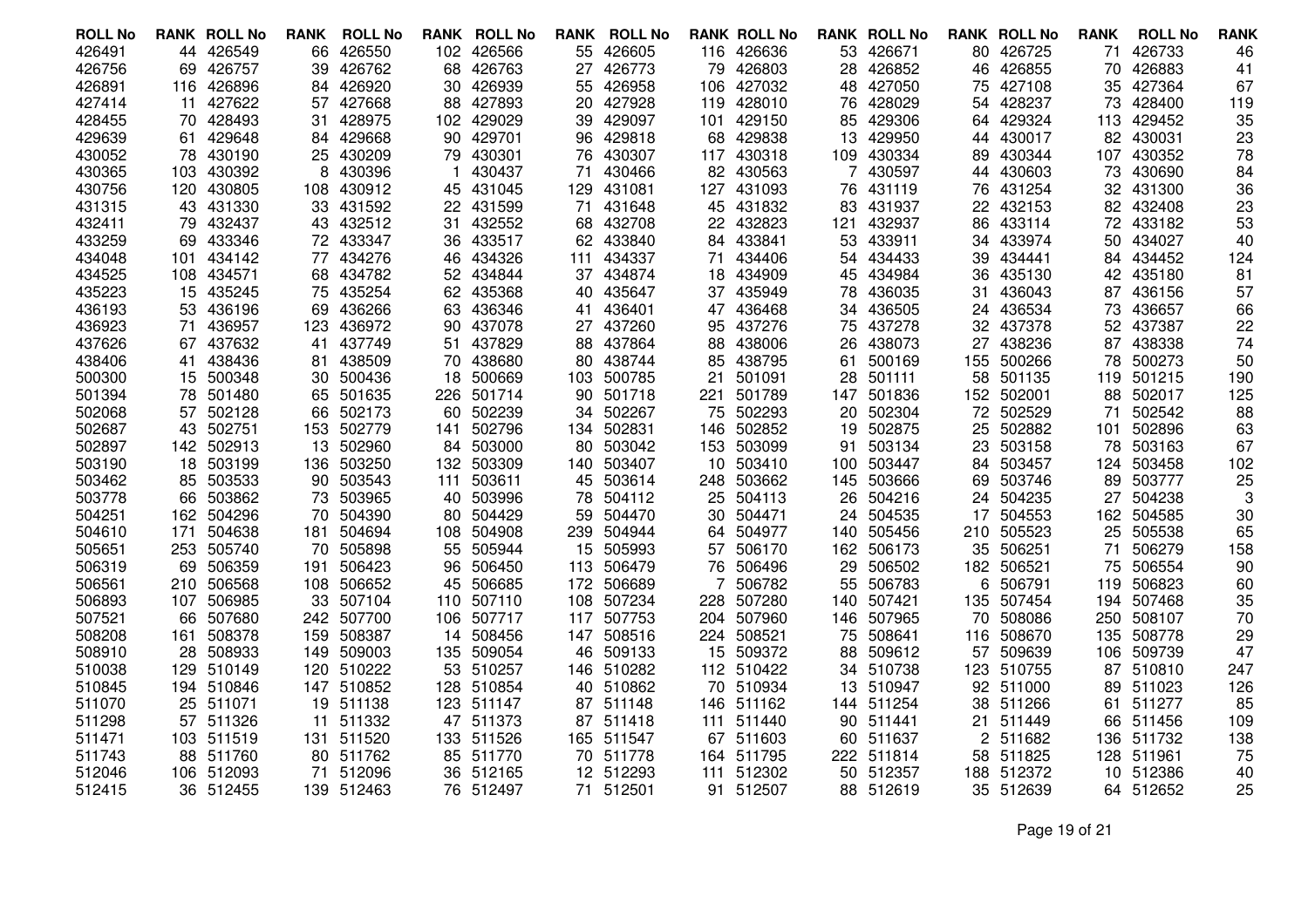| <b>ROLL No</b> |     | <b>RANK ROLL No</b> | <b>RANK</b> | <b>ROLL No</b> | <b>RANK</b> | <b>ROLL No</b> | RANK | <b>ROLL No</b> |     | <b>RANK ROLL No</b> |     | <b>RANK ROLL No</b> |                | <b>RANK ROLL No</b> | <b>RANK</b> | <b>ROLL No</b> | <b>RANK</b> |
|----------------|-----|---------------------|-------------|----------------|-------------|----------------|------|----------------|-----|---------------------|-----|---------------------|----------------|---------------------|-------------|----------------|-------------|
| 426491         |     | 44 426549           | 66          | 426550         |             | 102 426566     |      | 55 426605      |     | 116 426636          |     | 53 426671           |                | 80 426725           | 71          | 426733         | 46          |
| 426756         |     | 69 426757           | 39          | 426762         | 68          | 426763         | 27   | 426773         | 79  | 426803              | 28  | 426852              | 46             | 426855              | 70          | 426883         | 41          |
| 426891         |     | 116 426896          | 84.         | 426920         | 30          | 426939         |      | 55 426958      | 106 | 427032              | 48  | 427050              | 75             | 427108              | 35          | 427364         | 67          |
| 427414         | 11  | 427622              | 57          | 427668         | 88          | 427893         |      | 20 427928      | 119 | 428010              |     | 76 428029           | 54             | 428237              | 73          | 428400         | 119         |
| 428455         | 70  | 428493              | 31          | 428975         | 102         | 429029         | 39   | 429097         | 101 | 429150              | 85  | 429306              | 64             | 429324              | 113         | 429452         | 35          |
| 429639         | 61  | 429648              | 84          | 429668         | 90          | 429701         |      | 96 429818      |     | 68 429838           | 13  | 429950              | 44             | 430017              |             | 82 430031      | 23          |
| 430052         |     | 78 430190           | 25          | 430209         | 79          | 430301         |      | 76 430307      |     | 117 430318          | 109 | 430334              | 89             | 430344              |             | 107 430352     | 78          |
| 430365         | 103 | 430392              | 8           | 430396         |             | 430437         | 71   | 430466         | 82  | 430563              |     | 430597              | 44             | 430603              | 73          | 430690         | 84          |
| 430756         | 120 | 430805              | 108         | 430912         | 45          | 431045         | 129. | 431081         | 127 | 431093              | 76  | 431119              | 76             | 431254              |             | 32 431300      | 36          |
| 431315         |     | 43 431330           |             | 33 431592      | 22          | 431599         | 71   | 431648         | 45  | 431832              | 83  | 431937              | 22             | 432153              |             | 82 432408      | 23          |
| 432411         |     | 79 432437           | 43          | 432512         | 31          | 432552         |      | 68 432708      | 22  | 432823              | 121 | 432937              | 86             | 433114              |             | 72 433182      | 53          |
| 433259         |     | 69 433346           | 72          | 433347         | 36          | 433517         |      | 62 433840      |     | 84 433841           | 53  | 433911              | 34             | 433974              | 50          | 434027         | 40          |
| 434048         |     | 101 434142          | 77          | 434276         | 46          | 434326         |      | 111 434337     | 71  | 434406              | 54  | 434433              | 39.            | 434441              | 84          | 434452         | 124         |
| 434525         | 108 | 434571              | 68          | 434782         | 52          | 434844         |      | 37 434874      | 18  | 434909              | 45  | 434984              | 36             | 435130              | 42          | 435180         | 81          |
| 435223         | 15  | 435245              | 75          | 435254         | 62          | 435368         |      | 40 435647      |     | 37 435949           | 78  | 436035              | 31             | 436043              | 87          | 436156         | 57          |
| 436193         |     | 53 436196           | 69          | 436266         | 63          | 436346         | 41   | 436401         |     | 47 436468           | 34  | 436505              | 24             | 436534              | 73          | 436657         | 66          |
| 436923         | 71  | 436957              | 123         | 436972         | 90          | 437078         |      | 27 437260      | 95  | 437276              | 75  | 437278              | 32             | 437378              |             | 52 437387      | 22          |
| 437626         |     | 67 437632           | 41          | 437749         | 51          | 437829         |      | 88 437864      | 88  | 438006              | 26  | 438073              |                | 27 438236           | 87          | 438338         | 74          |
| 438406         | 41. | 438436              | 81          | 438509         | 70          | 438680         |      | 80 438744      | 85  | 438795              | 61  | 500169              |                | 155 500266          | 78          | 500273         | 50          |
| 500300         | 15  | 500348              | 30          | 500436         | 18          | 500669         |      | 103 500785     | 21  | 501091              | 28  | 501111              | 58             | 501135              | 119         | 501215         | 190         |
| 501394         | 78  | 501480              | 65          | 501635         | 226         | 501714         | 90   | 501718         | 221 | 501789              | 147 | 501836              | 152            | 502001              | 88          | 502017         | 125         |
| 502068         |     | 57 502128           | 66          | 502173         | 60          | 502239         |      | 34 502267      | 75  | 502293              | 20  | 502304              | 72             | 502529              | 71          | 502542         | 88          |
| 502687         |     | 43 502751           | 153         | 502779         | 141         | 502796         |      | 134 502831     | 146 | 502852              | 19  | 502875              | 25             | 502882              | 101         | 502896         | 63          |
| 502897         |     | 142 502913          | 13          | 502960         | 84          | 503000         | 80   | 503042         | 153 | 503099              | 91  | 503134              | 23             | 503158              | 78          | 503163         | 67          |
| 503190         |     | 18 503199           | 136         | 503250         | 132         | 503309         |      | 140 503407     | 10  | 503410              | 100 | 503447              | 84             | 503457              | 124         | 503458         | 102         |
| 503462         |     | 85 503533           | 90          | 503543         | 111         | 503611         |      | 45 503614      | 248 | 503662              | 145 | 503666              | 69             | 503746              | 89          | 503777         | 25          |
| 503778         | 66  | 503862              | 73          | 503965         | 40          | 503996         | 78   | 504112         | 25  | 504113              | 26  | 504216              | 24             | 504235              | 27          | 504238         | 3           |
| 504251         |     | 162 504296          | 70          | 504390         | 80          | 504429         | 59   | 504470         | 30  | 504471              | 24  | 504535              | 17             | 504553              |             | 162 504585     | 30          |
| 504610         | 171 | 504638              | 181         | 504694         | 108         | 504908         |      | 239 504944     | 64  | 504977              | 140 | 505456              | 210            | 505523              | 25          | 505538         | 65          |
| 505651         | 253 | 505740              | 70          | 505898         | 55          | 505944         |      | 15 505993      | 57  | 506170              | 162 | 506173              | 35             | 506251              | 71          | 506279         | 158         |
| 506319         |     | 69 506359           | 191         | 506423         | 96          | 506450         |      | 113 506479     |     | 76 506496           | 29  | 506502              |                | 182 506521          | 75          | 506554         | 90          |
| 506561         |     | 210 506568          | 108         | 506652         | 45          | 506685         | 172  | 506689         | 7   | 506782              | 55  | 506783              | 6              | 506791              | 119         | 506823         | 60          |
| 506893         |     | 107 506985          | 33          | 507104         | 110         | 507110         |      | 108 507234     | 228 | 507280              | 140 | 507421              |                | 135 507454          | 194         | 507468         | 35          |
| 507521         |     | 66 507680           |             | 242 507700     | 106         | 507717         |      | 117 507753     | 204 | 507960              |     | 146 507965          | 70             | 508086              |             | 250 508107     | 70          |
| 508208         | 161 | 508378              | 159         | 508387         | 14          | 508456         |      | 147 508516     |     | 224 508521          | 75  | 508641              | 116            | 508670              | 135         | 508778         | 29          |
| 508910         |     | 28 508933           | 149         | 509003         | 135         | 509054         |      | 46 509133      | 15  | 509372              | 88  | 509612              | 57             | 509639              | 106         | 509739         | 47          |
| 510038         |     | 129 510149          | 120         | 510222         | 53          | 510257         |      | 146 510282     |     | 112 510422          |     | 34 510738           |                | 123 510755          | 87          | 510810         | 247         |
| 510845         |     | 194 510846          | 147         | 510852         | 128         | 510854         |      | 40 510862      |     | 70 510934           | 13  | 510947              |                | 92 511000           | 89          | 511023         | 126         |
| 511070         |     | 25 511071           | 19          | 511138         | 123         | 511147         |      | 87 511148      | 146 | 511162              |     | 144 511254          | 38             | 511266              | 61          | 511277         | 85          |
| 511298         |     | 57 511326           | 11          | 511332         | 47          | 511373         |      | 87 511418      | 111 | 511440              |     | 90 511441           | 21             | 511449              | 66          | 511456         | 109         |
| 511471         |     | 103 511519          | 131         | 511520         | 133         | 511526         |      | 165 511547     |     | 67 511603           |     | 60 511637           | $\overline{2}$ | 511682              | 136         | 511732         | 138         |
| 511743         |     | 88 511760           |             | 80 511762      | 85          | 511770         |      | 70 511778      |     | 164 511795          |     | 222 511814          |                | 58 511825           | 128         | 511961         | 75          |
| 512046         |     | 106 512093          | 71          | 512096         |             | 36 512165      |      | 12 512293      | 111 | 512302              |     | 50 512357           |                | 188 512372          | 10          | 512386         | 40          |
| 512415         |     | 36 512455           |             | 139 512463     |             | 76 512497      |      | 71 512501      |     | 91 512507           |     | 88 512619           |                | 35 512639           |             | 64 512652      | 25          |

Page 19 of 21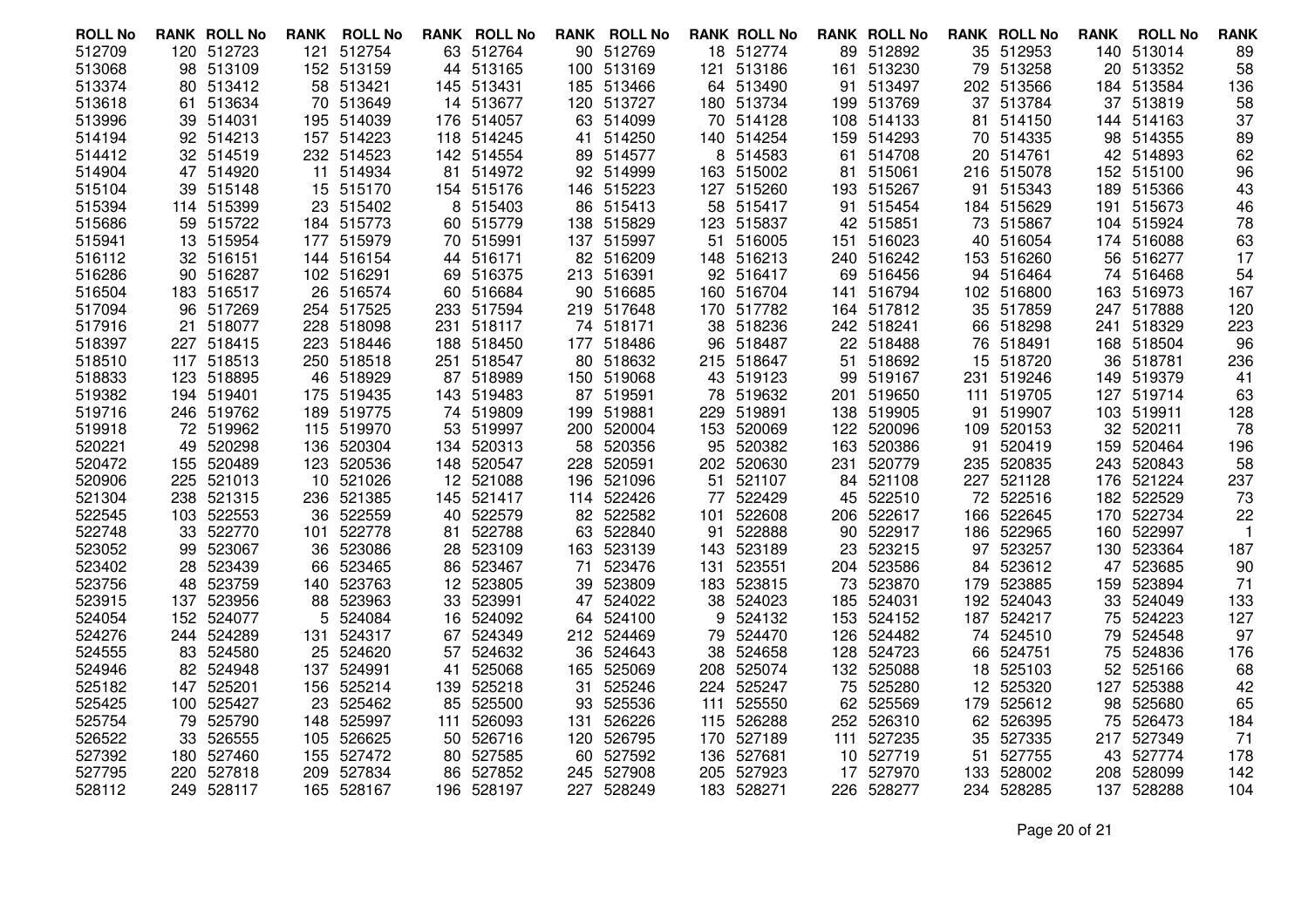| <b>ROLL No</b>   |     | <b>RANK ROLL No</b>    | RANK     | <b>ROLL No</b>   |          | <b>RANK ROLL No</b> |     | <b>RANK ROLL No</b>     |      | <b>RANK ROLL No</b>     |          | <b>RANK ROLL No</b>  |          | <b>RANK ROLL No</b>  | <b>RANK</b> | <b>ROLL No</b>           | <b>RANK</b>          |
|------------------|-----|------------------------|----------|------------------|----------|---------------------|-----|-------------------------|------|-------------------------|----------|----------------------|----------|----------------------|-------------|--------------------------|----------------------|
| 512709           |     | 120 512723             | 121      | 512754           |          | 63 512764           |     | 90 512769               |      | 18 512774               |          | 89 512892            |          | 35 512953            |             | 140 513014               | 89                   |
| 513068           |     | 98 513109              |          | 152 513159       |          | 44 513165           |     | 100 513169              |      | 121 513186              |          | 161 513230           |          | 79 513258            |             | 20 513352                | 58                   |
| 513374           |     | 80 513412              |          | 58 513421        |          | 145 513431          |     | 185 513466              |      | 64 513490               |          | 91 513497            |          | 202 513566           |             | 184 513584               | 136                  |
| 513618           |     | 61 513634              | 70       | 513649           |          | 14 513677           |     | 120 513727              |      | 180 513734              |          | 199 513769           |          | 37 513784            |             | 37 513819                | 58                   |
| 513996           |     | 39 514031              | 195      | 514039           | 176      | 514057              |     | 63 514099               |      | 70 514128               | 108      | 514133               |          | 81 514150            | 144         | 514163                   | 37                   |
| 514194           |     | 92 514213              |          | 157 514223       |          | 118 514245          |     | 41 514250               |      | 140 514254              |          | 159 514293           |          | 70 514335            |             | 98 514355                | 89                   |
| 514412           |     | 32 514519              |          | 232 514523       |          | 142 514554          |     | 89 514577               | 8    | 514583                  |          | 61 514708            |          | 20 514761            |             | 42 514893                | 62                   |
| 514904           |     | 47 514920              | 11       | 514934           | 81       | 514972              |     | 92 514999               |      | 163 515002              | 81       | 515061               |          | 216 515078           | 152         | 515100                   | 96                   |
| 515104           |     | 39 515148              |          | 15 515170        |          | 154 515176          |     | 146 515223              |      | 127 515260              |          | 193 515267           |          | 91 515343            |             | 189 515366               | 43                   |
| 515394           |     | 114 515399             | 23       | 515402           | 8        | 515403              |     | 86 515413               |      | 58 515417               |          | 91 515454            |          | 184 515629           |             | 191 515673               | 46                   |
| 515686           |     | 59 515722              |          | 184 515773       | 60       | 515779              |     | 138 515829              | 123  | 515837                  | 42       | 515851               |          | 73 515867            |             | 104 515924               | 78                   |
| 515941           |     | 13 515954              |          | 177 515979       |          | 70 515991           |     | 137 515997              |      | 51 516005               |          | 151 516023           |          | 40 516054            |             | 174 516088               | 63                   |
| 516112           |     | 32 516151              |          | 144 516154       |          | 44 516171           |     | 82 516209               |      | 148 516213              |          | 240 516242           |          | 153 516260           | 56          | 516277                   | 17                   |
| 516286           |     | 90 516287              |          | 102 516291       | 69       | 516375              |     | 213 516391              |      | 92 516417               |          | 69 516456            |          | 94 516464            | 74          | 516468                   | 54                   |
| 516504           |     | 183 516517             |          | 26 516574        | 60       | 516684              |     | 90 516685               |      | 160 516704              |          | 141 516794           |          | 102 516800           |             | 163 516973               | 167                  |
| 517094           |     | 96 517269              |          | 254 517525       |          | 233 517594          |     | 219 517648              |      | 170 517782              |          | 164 517812           |          | 35 517859            |             | 247 517888               | 120                  |
| 517916           | 21. | 518077                 |          | 228 518098       | 231      | 518117              |     | 74 518171               | 38   | 518236                  |          | 242 518241           |          | 66 518298            | 241         | 518329                   | 223                  |
| 518397           |     | 227 518415             |          | 223 518446       |          | 188 518450          |     | 177 518486              |      | 96 518487               |          | 22 518488            |          | 76 518491            |             | 168 518504               | 96                   |
| 518510           |     | 117 518513             |          | 250 518518       | 251      | 518547              |     | 80 518632               |      | 215 518647              |          | 51 518692            | 15       | 518720               | 36          | 518781                   | 236                  |
| 518833           |     | 123 518895             | 46       | 518929           | 87       | 518989              |     | 150 519068              |      | 43 519123               | 99       | 519167               | 231      | 519246               |             | 149 519379               | 41                   |
| 519382           |     | 194 519401             |          | 175 519435       |          | 143 519483          |     | 87 519591               |      | 78 519632               |          | 201 519650           |          | 111 519705           |             | 127 519714               | 63                   |
| 519716           |     | 246 519762             |          | 189 519775       |          | 74 519809           |     | 199 519881              | 229. | 519891                  |          | 138 519905           | 91       | 519907               |             | 103 519911               | 128                  |
| 519918           |     | 72 519962              |          | 115 519970       | 53       | 519997              |     | 200 520004              | 153  | 520069                  | 122      | 520096               |          | 109 520153           | 32          | 520211                   | 78                   |
| 520221           |     | 49 520298              |          | 136 520304       |          | 134 520313          |     | 58 520356               | 95   | 520382                  | 163      | 520386               | 91       | 520419               | 159         | 520464                   | 196                  |
| 520472           |     | 155 520489             |          | 123 520536       | 148      | 520547              | 228 | 520591                  |      | 202 520630              | 231      | 520779               |          | 235 520835           |             | 243 520843               | 58                   |
| 520906           |     | 225 521013             | 10       | 521026           | 12       | 521088              |     | 196 521096              | 51   | 521107                  | 84       | 521108               |          | 227 521128           |             | 176 521224               | 237                  |
| 521304           |     | 238 521315             |          | 236 521385       |          | 145 521417          |     | 114 522426              |      | 77 522429               | 45       | 522510               |          | 72 522516            |             | 182 522529               | 73                   |
| 522545           |     | 103 522553             |          | 36 522559        | 40       | 522579              |     | 82 522582               | 101  | 522608                  | 206      | 522617               |          | 166 522645           |             | 170 522734               | 22<br>$\overline{1}$ |
| 522748<br>523052 |     | 33 522770<br>99 523067 | 101      | 522778<br>523086 | 81       | 522788<br>523109    |     | 63 522840<br>163 523139 |      | 91 522888<br>143 523189 | 90<br>23 | 522917               |          | 186 522965<br>523257 |             | 160 522997<br>130 523364 | 187                  |
| 523402           |     | 28 523439              | 36<br>66 | 523465           | 28<br>86 | 523467              | 71  | 523476                  | 131  | 523551                  |          | 523215<br>204 523586 | 97<br>84 | 523612               | 47          | 523685                   | 90                   |
| 523756           |     | 48 523759              | 140      | 523763           | 12       | 523805              |     | 39 523809               |      | 183 523815              | 73       | 523870               | 179      | 523885               | 159         | 523894                   | 71                   |
| 523915           |     | 137 523956             | 88       | 523963           | 33       | 523991              |     | 47 524022               |      | 38 524023               |          | 185 524031           |          | 192 524043           | 33          | 524049                   | 133                  |
| 524054           |     | 152 524077             | 5        | 524084           | 16       | 524092              |     | 64 524100               | 9    | 524132                  |          | 153 524152           |          | 187 524217           | 75          | 524223                   | 127                  |
| 524276           |     | 244 524289             | 131      | 524317           | 67       | 524349              |     | 212 524469              |      | 79 524470               | 126      | 524482               |          | 74 524510            |             | 79 524548                | 97                   |
| 524555           |     | 83 524580              | 25       | 524620           | 57       | 524632              |     | 36 524643               | 38   | 524658                  |          | 128 524723           |          | 66 524751            | 75          | 524836                   | 176                  |
| 524946           | 82  | 524948                 | 137      | 524991           | 41       | 525068              |     | 165 525069              |      | 208 525074              |          | 132 525088           | 18       | 525103               | 52          | 525166                   | 68                   |
| 525182           |     | 147 525201             |          | 156 525214       | 139      | 525218              | 31  | 525246                  |      | 224 525247              | 75       | 525280               |          | 12 525320            | 127         | 525388                   | 42                   |
| 525425           |     | 100 525427             | 23       | 525462           | 85       | 525500              |     | 93 525536               | 111  | 525550                  |          | 62 525569            |          | 179 525612           | 98          | 525680                   | 65                   |
| 525754           |     | 79 525790              | 148      | 525997           | 111      | 526093              | 131 | 526226                  |      | 115 526288              | 252      | 526310               |          | 62 526395            | 75          | 526473                   | 184                  |
| 526522           |     | 33 526555              |          | 105 526625       | 50       | 526716              |     | 120 526795              |      | 170 527189              |          | 111 527235           |          | 35 527335            |             | 217 527349               | 71                   |
| 527392           |     | 180 527460             | 155      | 527472           | 80       | 527585              |     | 60 527592               | 136  | 527681                  | 10       | 527719               | 51       | 527755               |             | 43 527774                | 178                  |
| 527795           |     | 220 527818             | 209      | 527834           | 86       | 527852              |     | 245 527908              | 205  | 527923                  | 17       | 527970               | 133      | 528002               | 208         | 528099                   | 142                  |
| 528112           |     | 249 528117             |          | 165 528167       |          | 196 528197          |     | 227 528249              |      | 183 528271              |          | 226 528277           |          | 234 528285           |             | 137 528288               | 104                  |
|                  |     |                        |          |                  |          |                     |     |                         |      |                         |          |                      |          |                      |             |                          |                      |

Page 20 of 21